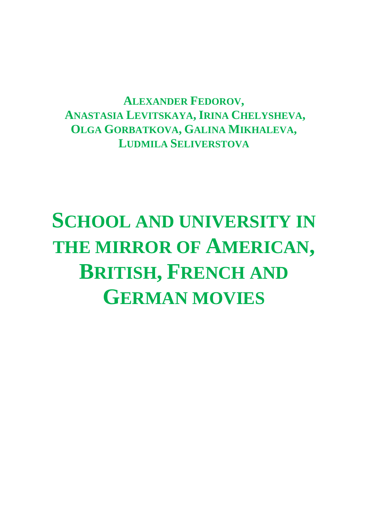# **ALEXANDER FEDOROV, ANASTASIA LEVITSKAYA, IRINA CHELYSHEVA, OLGA GORBATKOVA, GALINA MIKHALEVA, LUDMILA SELIVERSTOVA**

# **SCHOOL AND UNIVERSITY IN THE MIRROR OF AMERICAN, BRITISH, FRENCH AND GERMAN MOVIES**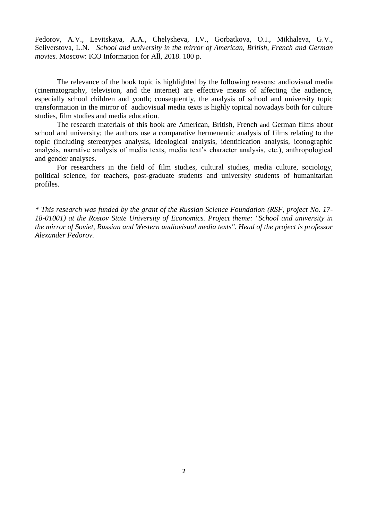Fedorov, A.V., Levitskaya, A.A., Chelysheva, I.V., Gorbatkova, O.I., Mikhaleva, G.V., Seliverstova, L.N. *School and university in the mirror of American, British, French and German movies.* Moscow: ICO Information for All, 2018. 100 p.

The relevance of the book topic is highlighted by the following reasons: audiovisual media (cinematography, television, and the internet) are effective means of affecting the audience, especially school children and youth; consequently, the analysis of school and university topic transformation in the mirror of audiovisual media texts is highly topical nowadays both for culture studies, film studies and media education.

The research materials of this book are American, British, French and German films about school and university; the authors use a comparative hermeneutic analysis of films relating to the topic (including stereotypes analysis, ideological analysis, identification analysis, iconographic analysis, narrative analysis of media texts, media text's character analysis, etc.), anthropological and gender analyses.

For researchers in the field of film studies, cultural studies, media culture, sociology, political science, for teachers, post-graduate students and university students of humanitarian profiles.

*\* This research was funded by the grant of the Russian Science Foundation (RSF, project No. 17- 18-01001) at the Rostov State University of Economics. Project theme: "School and university in the mirror of Soviet, Russian and Western audiovisual media texts". Head of the project is professor Alexander Fedorov.*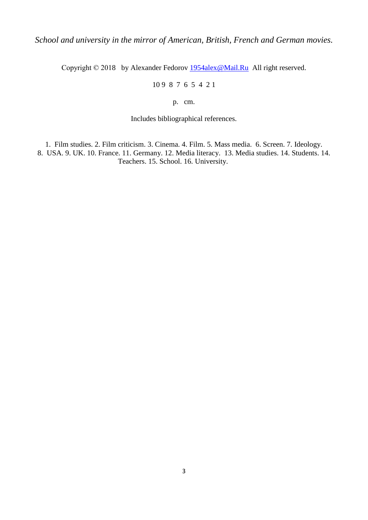*School and university in the mirror of American, British, French and German movies.*

Copyright © 2018 by Alexander Fedorov [1954alex@Mail.Ru](mailto:1954alex@Mail.Ru) All right reserved.

10 9 8 7 6 5 4 2 1

p. cm.

Includes bibliographical references.

1. Film studies. 2. Film criticism. 3. Cinema. 4. Film. 5. Mass media. 6. Screen. 7. Ideology. 8. USA. 9. UK. 10. France. 11. Germany. 12. Media literacy. 13. Media studies. 14. Students. 14. Teachers. 15. School. 16. University.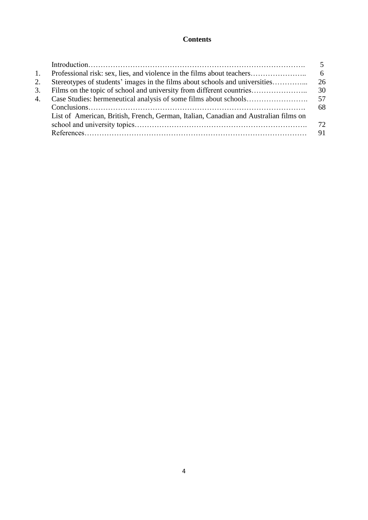# **Contents**

|                                                                                      | $\overline{5}$                                                              |
|--------------------------------------------------------------------------------------|-----------------------------------------------------------------------------|
| Professional risk: sex, lies, and violence in the films about teachers               | - 6                                                                         |
|                                                                                      | 26                                                                          |
|                                                                                      |                                                                             |
|                                                                                      |                                                                             |
|                                                                                      | -68                                                                         |
| List of American, British, French, German, Italian, Canadian and Australian films on |                                                                             |
|                                                                                      | 72                                                                          |
|                                                                                      |                                                                             |
|                                                                                      | Stereotypes of students' images in the films about schools and universities |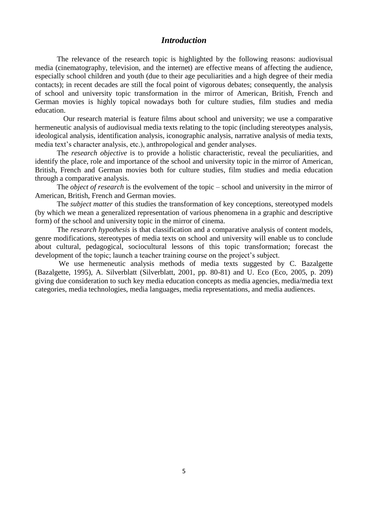# *Introduction*

The relevance of the research topic is highlighted by the following reasons: audiovisual media (cinematography, television, and the internet) are effective means of affecting the audience, especially school children and youth (due to their age peculiarities and a high degree of their media contacts); in recent decades are still the focal point of vigorous debates; consequently, the analysis of school and university topic transformation in the mirror of American, British, French and German movies is highly topical nowadays both for culture studies, film studies and media education.

Our research material is feature films about school and university; we use a comparative hermeneutic analysis of audiovisual media texts relating to the topic (including stereotypes analysis, ideological analysis, identification analysis, iconographic analysis, narrative analysis of media texts, media text's character analysis, etc.), anthropological and gender analyses.

The *research objective* is to provide a holistic characteristic, reveal the peculiarities, and identify the place, role and importance of the school and university topic in the mirror of American, British, French and German movies both for culture studies, film studies and media education through a comparative analysis.

The *object of research* is the evolvement of the topic – school and university in the mirror of American, British, French and German movies.

The *subject matter* of this studies the transformation of key conceptions, stereotyped models (by which we mean a generalized representation of various phenomena in a graphic and descriptive form) of the school and university topic in the mirror of cinema.

The *research hypothesis* is that classification and a comparative analysis of content models, genre modifications, stereotypes of media texts on school and university will enable us to conclude about cultural, pedagogical, sociocultural lessons of this topic transformation; forecast the development of the topic; launch a teacher training course on the project's subject.

We use hermeneutic analysis methods of media texts suggested by C. Bazalgette (Bazalgette, 1995), A. Silverblatt (Silverblatt, 2001, pp. 80-81) and U. Eco (Eco, 2005, p. 209) giving due consideration to such key media education concepts as media agencies, media/media text categories, media technologies, media languages, media representations, and media audiences.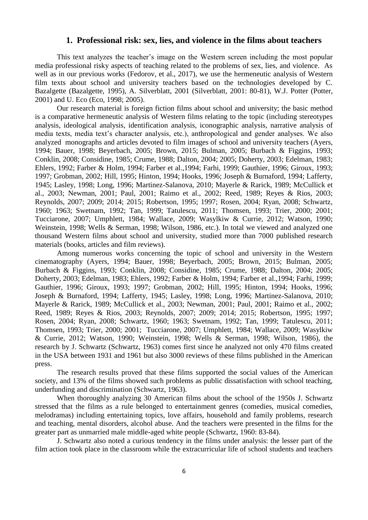# **1. Professional risk: sex, lies, and violence in the films about teachers**

This text analyzes the teacher's image on the Western screen including the most popular media professional risky aspects of teaching related to the problems of sex, lies, and violence. As well as in our previous works (Fedorov, et al., 2017), we use the hermeneutic analysis of Western film texts about school and university teachers based on the technologies developed by C. Bazalgette (Bazalgette, 1995), A. Silverblatt, 2001 (Silverblatt, 2001: 80-81), W.J. Potter (Potter, 2001) and U. Eco (Eco, 1998; 2005).

Our research material is foreign fiction films about school and university; the basic method is a comparative hermeneutic analysis of Western films relating to the topic (including stereotypes analysis, ideological analysis, identification analysis, iconographic analysis, narrative analysis of media texts, media text's character analysis, etc.), anthropological and gender analyses. We also analyzed monographs and articles devoted to film images of school and university teachers (Ayers, 1994; Bauer, 1998; Beyerbach, 2005; Brown, 2015; Bulman, 2005; Burbach & Figgins, 1993; Conklin, 2008; Considine, 1985; Crume, 1988; Dalton, 2004; 2005; Doherty, 2003; Edelman, 1983; Ehlers, 1992; Farber & Holm, 1994; Farber et al.,1994; Farhi, 1999; Gauthier, 1996; Giroux, 1993; 1997; Grobman, 2002; Hill, 1995; Hinton, 1994; Hooks, 1996; Joseph & Burnaford, 1994; Lafferty, 1945; Lasley, 1998; Long, 1996; Martinez-Salanova, 2010; Mayerle & Rarick, 1989; McCullick et al., 2003; Newman, 2001; Paul, 2001; Raimo et al., 2002; Reed, 1989; Reyes & Rios, 2003; Reynolds, 2007; 2009; 2014; 2015; Robertson, 1995; 1997; Rosen, 2004; Ryan, 2008; Schwartz, 1960; 1963; Swetnam, 1992; Tan, 1999; Tatulescu, 2011; Thomsen, 1993; Trier, 2000; 2001; Tucciarone, 2007; Umphlett, 1984; Wallace, 2009; Wasylkiw & Currie, 2012; Watson, 1990; Weinstein, 1998; Wells & Serman, 1998; Wilson, 1986, etc.). In total we viewed and analyzed one thousand Western films about school and university, studied more than 7000 published research materials (books, articles and film reviews).

Among numerous works concerning the topic of school and university in the Western cinematography (Ayers, 1994; Bauer, 1998; Beyerbach, 2005; Brown, 2015; Bulman, 2005; Burbach & Figgins, 1993; Conklin, 2008; Considine, 1985; Crume, 1988; Dalton, 2004; 2005; Doherty, 2003; Edelman, 1983; Ehlers, 1992; Farber & Holm, 1994; Farber et al.,1994; Farhi, 1999; Gauthier, 1996; Giroux, 1993; 1997; Grobman, 2002; Hill, 1995; Hinton, 1994; Hooks, 1996; Joseph & Burnaford, 1994; Lafferty, 1945; Lasley, 1998; Long, 1996; Martinez-Salanova, 2010; Mayerle & Rarick, 1989; McCullick et al., 2003; Newman, 2001; Paul, 2001; Raimo et al., 2002; Reed, 1989; Reyes & Rios, 2003; Reynolds, 2007; 2009; 2014; 2015; Robertson, 1995; 1997; Rosen, 2004; Ryan, 2008; Schwartz, 1960; 1963; Swetnam, 1992; Tan, 1999; Tatulescu, 2011; Thomsen, 1993; Trier, 2000; 2001; Tucciarone, 2007; Umphlett, 1984; Wallace, 2009; Wasylkiw & Currie, 2012; Watson, 1990; Weinstein, 1998; Wells & Serman, 1998; Wilson, 1986), the research by J. Schwartz (Schwartz, 1963) comes first since he analyzed not only 470 films created in the USA between 1931 and 1961 but also 3000 reviews of these films published in the American press.

The research results proved that these films supported the social values of the American society, and 13% of the films showed such problems as public dissatisfaction with school teaching, underfunding and discrimination (Schwartz, 1963).

When thoroughly analyzing 30 American films about the school of the 1950s J. Schwartz stressed that the films as a rule belonged to entertainment genres (comedies, musical comedies, melodramas) including entertaining topics, love affairs, household and family problems, research and teaching, mental disorders, alcohol abuse. And the teachers were presented in the films for the greater part as unmarried male middle-aged white people (Schwartz, 1960: 83-84).

J. Schwartz also noted a curious tendency in the films under analysis: the lesser part of the film action took place in the classroom while the extracurricular life of school students and teachers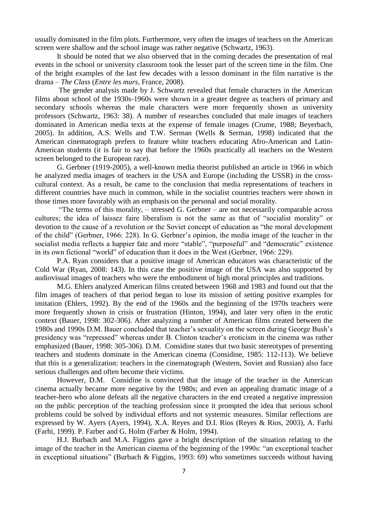usually dominated in the film plots. Furthermore, very often the images of teachers on the American screen were shallow and the school image was rather negative (Schwartz, 1963).

It should be noted that we also observed that in the coming decades the presentation of real events in the school or university classroom took the lesser part of the screen time in the film. One of the bright examples of the last few decades with a lesson dominant in the film narrative is the drama – *The Class* (*Entre les murs*, France, 2008).

The gender analysis made by J. Schwartz revealed that female characters in the American films about school of the 1930s-1960s were shown in a greater degree as teachers of primary and secondary schools whereas the male characters were more frequently shown as university professors (Schwartz, 1963: 38). A number of researches concluded that male images of teachers dominated in American media texts at the expense of female images (Crume, 1988; Beyerbach, 2005). In addition, A.S. Wells and T.W. Serman (Wells & Serman, 1998) indicated that the American cinematograph prefers to feature white teachers educating Afro-American and Latin-American students (it is fair to say that before the 1960s practically all teachers on the Western screen belonged to the European race).

G. Gerbner (1919-2005), a well-known media theorist published an article in 1966 in which he analyzed media images of teachers in the USA and Europe (including the USSR) in the crosscultural context. As a result, he came to the conclusion that media representations of teachers in different countries have much in common, while in the socialist countries teachers were shown in those times more favorably with an emphasis on the personal and social morality.

"The terms of this morality, – stressed G. Gerbner – are not necessarily comparable across cultures; the idea of laissez faire liberalism is not the same as that of "socialist morality" or devotion to the cause of a revolution or the Soviet concept of education as "the moral development of the child" (Gerbner, 1966: 228). In G. Gerbner's opinion, the media image of the teacher in the socialist media reflects a happier fate and more "stable", "purposeful" and "democratic" existence in its own fictional "world" of education than it does in the West (Gerbner, 1966: 229).

P.A. Ryan considers that a positive image of American educators was characteristic of the Cold War (Ryan, 2008: 143). In this case the positive image of the USA was also supported by audiovisual images of teachers who were the embodiment of high moral principles and traditions.

M.G. Ehlers analyzed American films created between 1968 and 1983 and found out that the film images of teachers of that period began to lose its mission of setting positive examples for imitation (Ehlers, 1992). By the end of the 1960s and the beginning of the 1970s teachers were more frequently shown in crisis or frustration (Hinton, 1994), and later very often in the erotic context (Bauer, 1998: 302-306). After analyzing a number of American films created between the 1980s and 1990s D.M. Bauer concluded that teacher's sexuality on the screen during George Bush's presidency was "repressed" whereas under B. Clinton teacher's eroticism in the cinema was rather emphasized (Bauer, 1998: 305-306). D.M. Considine states that two basic stereotypes of presenting teachers and students dominate in the American cinema (Considine, 1985: 112-113). We believe that this is a generalization: teachers in the cinematograph (Western, Soviet and Russian) also face serious challenges and often become their victims.

However, D.M. Considine is convinced that the image of the teacher in the American cinema actually became more negative by the 1980s; and even an appealing dramatic image of a teacher-hero who alone defeats all the negative characters in the end created a negative impression on the public perception of the teaching profession since it prompted the idea that serious school problems could be solved by individual efforts and not systemic measures. Similar reflections are expressed by W. Ayers (Ayers, 1994), X.A. Reyes and D.I. Rios (Reyes & Rios, 2003), A. Farhi (Farhi, 1999). P. Farber and G. Holm (Farber & Holm, 1994).

H.J. Burbach and M.A. Figgins gave a bright description of the situation relating to the image of the teacher in the American cinema of the beginning of the 1990s: "an exceptional teacher in exceptional situations" (Burbach & Figgins, 1993: 69) who sometimes succeeds without having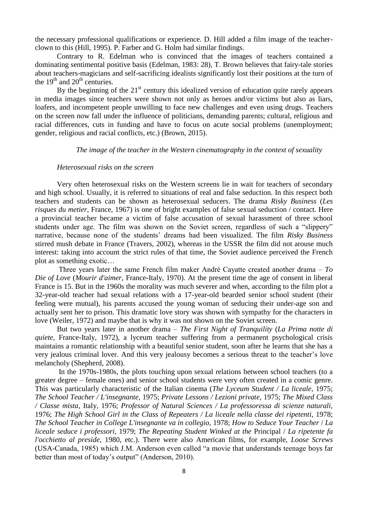the necessary professional qualifications or experience. D. Hill added a film image of the teacherclown to this (Hill, 1995). P. Farber and G. Holm had similar findings.

Contrary to R. Edelman who is convinced that the images of teachers contained a dominating sentimental positive basis (Edelman, 1983: 28), T. Brown believes that fairy-tale stories about teachers-magicians and self-sacrificing idealists significantly lost their positions at the turn of the  $19<sup>th</sup>$  and  $20<sup>th</sup>$  centuries.

By the beginning of the  $21<sup>st</sup>$  century this idealized version of education quite rarely appears in media images since teachers were shown not only as heroes and/or victims but also as liars, loafers, and incompetent people unwilling to face new challenges and even using drugs. Teachers on the screen now fall under the influence of politicians, demanding parents; cultural, religious and racial differences, cuts in funding and have to focus on acute social problems (unemployment; gender, religious and racial conflicts, etc.) (Brown, 2015).

#### *The image of the teacher in the Western cinematography in the context of sexuality*

#### *Heterosexual risks on the screen*

Very often heterosexual risks on the Western screens lie in wait for teachers of secondary and high school. Usually, it is referred to situations of real and false seduction. In this respect both teachers and students can be shown as heterosexual seducers. The drama *Risky Business* (*Les risques du metier*, France, 1967) is one of bright examples of false sexual seduction / contact. Here a provincial teacher became a victim of false accusation of sexual harassment of three school students under age. The film was shown on the Soviet screen, regardless of such a "slippery" narrative, because none of the students' dreams had been visualized. The film *Risky Business*  stirred mush debate in France (Travers, 2002), whereas in the USSR the film did not arouse much interest: taking into account the strict rules of that time, the Soviet audience perceived the French plot as something exotic…

Three years later the same French film maker André Cayatte created another drama – *To Die of Love* (*Mourir d'aimer,* France-Italy, 1970). At the present time the age of consent in liberal France is 15. But in the 1960s the morality was much severer and when, according to the film plot a 32-year-old teacher had sexual relations with a 17-year-old bearded senior school student (their feeling were mutual), his parents accused the young woman of seducing their under-age son and actually sent her to prison. This dramatic love story was shown with sympathy for the characters in love (Weiler, 1972) and maybe that is why it was not shown on the Soviet screen.

But two years later in another drama – *The First Night of Tranquility* (*La Prima notte di quiete*, France-Italy, 1972), a lyceum teacher suffering from a permanent psychological crisis maintains a romantic relationship with a beautiful senior student, soon after he learns that she has a very jealous criminal lover. And this very jealousy becomes a serious threat to the teacher's love melancholy (Shepherd*,* 2008).

In the 1970s-1980s, the plots touching upon sexual relations between school teachers (to a greater degree – female ones) and senior school students were very often created in a comic genre. This was particularly characteristic of the Italian cinema (*The Lyceum Student / La liceale,* 1975; *The School Teacher / L'insegnante,* 1975; *Private Lessons / Lezioni private,* 1975; *The Mixed Class / Classe mista,* Italy, 1976; *Professor of Natural Sciences / La professoressa di scienze naturali,*  1976; *The High School Girl in the Class of Repeaters / La liceale nella classe dei ripetenti,* 1978; *The School Teacher in College L'insegnante va in collegio,* 1978; *How to Seduce Your Teacher* / *La liceale seduce i professori,* 1979; *The Repeating Student Winked at the* Principal / *La ripetente fa l'occhietto al preside,* 1980, etc.). There were also American films, for example, *Loose Screws* (USA-Canada, 1985) which J.M. Anderson even called "a movie that understands teenage boys far better than most of today's output" (Anderson, 2010).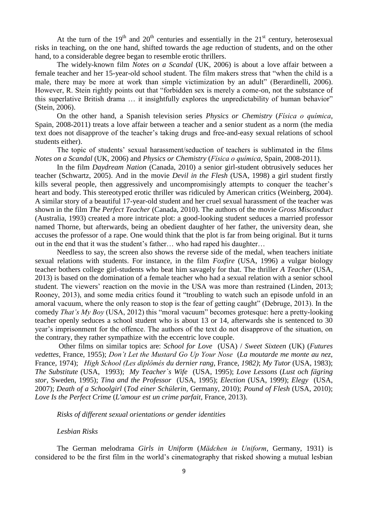At the turn of the  $19<sup>th</sup>$  and  $20<sup>th</sup>$  centuries and essentially in the  $21<sup>st</sup>$  century, heterosexual risks in teaching, on the one hand, shifted towards the age reduction of students, and on the other hand, to a considerable degree began to resemble erotic thrillers.

The widely-known film *Notes on a Scandal* (UK, 2006) is about a love affair between a female teacher and her 15-year-old school student. The film makers stress that "when the child is a male, there may be more at work than simple victimization by an adult" (Berardinelli, 2006). However, R. Stein rightly points out that "forbidden sex is merely a come-on, not the substance of this superlative British drama … it insightfully explores the unpredictability of human behavior" (Stein, 2006).

On the other hand, a Spanish television series *Physics or Chemistry* (*Física o química*, Spain, 2008-2011) treats a love affair between a teacher and a senior student as a norm (the media text does not disapprove of the teacher's taking drugs and free-and-easy sexual relations of school students either).

The topic of students' sexual harassment/seduction of teachers is sublimated in the films *Notes on a Scandal* (UK, 2006) and *Physics or Chemistry* (*Física o química*, Spain, 2008-2011).

In the film *Daydream Nation* (Canada, 2010) a senior girl-student obtrusively seduces her teacher (Schwartz, 2005). And in the movie *Devil in the Flesh* (USA, 1998) a girl student firstly kills several people, then aggressively and uncompromisingly attempts to conquer the teacher's heart and body. This stereotyped erotic thriller was ridiculed by American critics (Weinberg, 2004). A similar story of a beautiful 17-year-old student and her cruel sexual harassment of the teacher was shown in the film *The Perfect Teacher* (Canada, 2010). The authors of the movie *Gross Misconduct* (Australia, 1993) created a more intricate plot: a good-looking student seduces a married professor named Thorne, but afterwards, being an obedient daughter of her father, the university dean, she accuses the professor of a rape. One would think that the plot is far from being original. But it turns out in the end that it was the student's father… who had raped his daughter…

Needless to say, the screen also shows the reverse side of the medal, when teachers initiate sexual relations with students. For instance, in the film *Foxfire* (USA, 1996) a vulgar biology teacher bothers college girl-students who beat him savagely for that. The thriller *A Teacher* (USA, 2013) is based on the domination of a female teacher who had a sexual relation with a senior school student. The viewers' reaction on the movie in the USA was more than restrained (Linden, 2013; Rooney, 2013), and some media critics found it "troubling to watch such an episode unfold in an amoral vacuum, where the only reason to stop is the fear of getting caught" (Debruge, 2013). In the comedy *That's My Boy* (USA, 2012) this "moral vacuum" becomes grotesque: here a pretty-looking teacher openly seduces a school student who is about 13 or 14, afterwards she is sentenced to 30 year's imprisonment for the offence. The authors of the text do not disapprove of the situation, on the contrary, they rather sympathize with the eccentric love couple.

Other films on similar topics are: *School for Love* (USA) / *Sweet Sixteen* (UK) (*Futures vedettes,* France, 1955); *Don't Let the Mustard Go Up Your Nose* (*La moutarde me monte au nez,* France, 1974); *High School (Les diplômés du dernier rang,* France*, 1982)*; *My Tutor* (USA, 1983); *The Substitute* (USA, 1993); *My Teacher`s Wife* (USA, 1995); *Love Lessons* (*Lust och fägring stor,* Sweden, 1995); *Tina and the Professor* (USA, 1995); *Election* (USA, 1999); *Elegy* (USA, 2007); *Death of a Schoolgirl* (*Tod einer Schülerin,* Germany, 2010); *Pound of Flesh* (USA, 2010); *Love Is the Perfect Crime* (*L'amour est un crime parfait,* France, 2013).

*Risks of different sexual orientations or gender identities*

### *Lesbian Risks*

The German melodrama *Girls in Uniform* (*Mädchen in Uniform,* Germany, 1931) is considered to be the first film in the world's cinematography that risked showing a mutual lesbian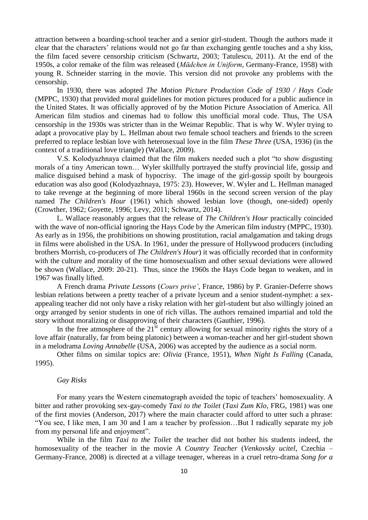attraction between a boarding-school teacher and a senior girl-student. Though the authors made it clear that the characters' relations would not go far than exchanging gentle touches and a shy kiss, the film faced severe censorship criticism (Schwartz, 2003; Tatulescu, 2011). At the end of the 1950s, a color remake of the film was released (*Mädchen in Uniform,* Germany-France, 1958) with young R. Schneider starring in the movie. This version did not provoke any problems with the censorship.

In 1930, there was adopted *The Motion Picture Production Code of 1930 / Hays Code*  (MPPC, 1930) that provided moral guidelines for motion pictures produced for a public audience in the United States. It was officially approved of by the Motion Picture Association of America. All American film studios and cinemas had to follow this unofficial moral code. Thus, The USA censorship in the 1930s was stricter than in the Weimar Republic. That is why W. Wyler trying to adapt a provocative play by L. Hellman about two female school teachers and friends to the screen preferred to replace lesbian love with heterosexual love in the film *These Three* (USA, 1936) (in the context of a traditional love triangle) (Wallace, 2009).

V.S. Kolodyazhnaya claimed that the film makers needed such a plot "to show disgusting morals of a tiny American town… Wyler skillfully portrayed the stuffy provincial life, gossip and malice disguised behind a mask of hypocrisy. The image of the girl-gossip spoilt by bourgeois education was also good (Kolodyazhnaya, 1975: 23). However, W. Wyler and L. Hellman managed to take revenge at the beginning of more liberal 1960s in the second screen version of the play named *The Children's Hour* (1961) which showed lesbian love (though, one-sided) openly (Crowther, 1962; Goyette, 1996; Levy, 2011; Schwartz, 2014).

L. Wallace reasonably argues that the release of *The Children's Hour* practically coincided with the wave of non-official ignoring the Hays Code by the American film industry (MPPC, 1930). As early as in 1956, the prohibitions on showing prostitution, racial amalgamation and taking drugs in films were abolished in the USA. In 1961, under the pressure of Hollywood producers (including brothers Morrish, co-producers of *The Children's Hour*) it was officially recorded that in conformity with the culture and morality of the time homosexualism and other sexual deviations were allowed be shown (Wallace, 2009: 20-21). Thus, since the 1960s the Hays Code began to weaken, and in 1967 was finally lifted.

A French drama *Private Lessons* (*Cours prive'*, France, 1986) by P. Granier-Deferre shows lesbian relations between a pretty teacher of a private lyceum and a senior student-nymphet: a sexappealing teacher did not only have a risky relation with her girl-student but also willingly joined an orgy arranged by senior students in one of rich villas. The authors remained impartial and told the story without moralizing or disapproving of their characters (Gauthier, 1996).

In the free atmosphere of the  $21<sup>st</sup>$  century allowing for sexual minority rights the story of a love affair (naturally, far from being platonic) between a woman-teacher and her girl-student shown in a melodrama *Loving Annabelle* (USA, 2006) was accepted by the audience as a social norm.

Other films on similar topics are: *Olivia* (France, 1951), *When Night Is Falling* (Canada, 1995).

#### *Gay Risks*

For many years the Western cinematograph avoided the topic of teachers' homosexuality. A bitter and rather provoking sex-gay-comedy *Taxi to the Toilet* (*Taxi Zum Klo*, FRG, 1981) was one of the first movies (Anderson, 2017) where the main character could afford to utter such a phrase: "You see, I like men, I am 30 and I am a teacher by profession…But I radically separate my job from my personal life and enjoyment".

While in the film *Taxi to the Toilet* the teacher did not bother his students indeed, the homosexuality of the teacher in the movie *A Country Teacher* (*Venkovsky ucitel*, Czechia – Germany-France, 2008) is directed at a village teenager, whereas in a cruel retro-drama *Song for a*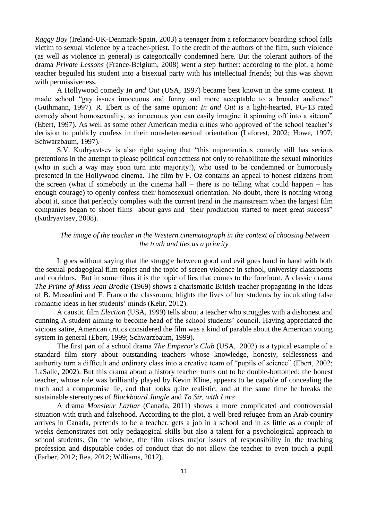*Raggy Boy* (Ireland-UK-Denmark-Spain, 2003) a teenager from a reformatory boarding school falls victim to sexual violence by a teacher-priest. To the credit of the authors of the film, such violence (as well as violence in general) is categorically condemned here. But the tolerant authors of the drama *Private Lessons* (France-Belgium, 2008) went a step further: according to the plot, a home teacher beguiled his student into a bisexual party with his intellectual friends; but this was shown with permissiveness.

A Hollywood comedy *In and Out* (USA, 1997) became best known in the same context. It made school "gay issues innocuous and funny and more acceptable to a broader audience" (Guthmann, 1997). R. Ebert is of the same opinion: *In and Out* is a light-hearted, PG-13 rated comedy about homosexuality, so innocuous you can easily imagine it spinning off into a sitcom" (Ebert, 1997). As well as some other American media critics who approved of the school teacher's decision to publicly confess in their non-heterosexual orientation (Laforest, 2002; Howe, 1997; Schwarzbaum, 1997).

S.V. Kudryavtsev is also right saying that "this unpretentious comedy still has serious pretentions in the attempt to please political correctness not only to rehabilitate the sexual minorities (who in such a way may soon turn into majority!), who used to be condemned or humorously presented in the Hollywood cinema. The film by F. Oz contains an appeal to honest citizens from the screen (what if somebody in the cinema hall – there is no telling what could happen – has enough courage) to openly confess their homosexual orientation. No doubt, there is nothing wrong about it, since that perfectly complies with the current trend in the mainstream when the largest film companies began to shoot films about gays and their production started to meet great success" (Kudryavtsev, 2008).

# *The image of the teacher in the Western cinematograph in the context of choosing between the truth and lies as a priority*

It goes without saying that the struggle between good and evil goes hand in hand with both the sexual-pedagogical film topics and the topic of screen violence in school, university classrooms and corridors. But in some films it is the topic of lies that comes to the forefront. A classic drama *The Prime of Miss Jean Brodie* (1969) shows a charismatic British teacher propagating in the ideas of B. Mussolini and F. Franco the classroom, blights the lives of her students by inculcating false romantic ideas in her students' minds (Kehr, 2012).

A caustic film *Election* (USA, 1999) tells about a teacher who struggles with a dishonest and cunning A-student aiming to become head of the school students' council. Having appreciated the vicious satire, American critics considered the film was a kind of parable about the American voting system in general (Ebert, 1999; Schwarzbaum, 1999).

The first part of a school drama *The Emperor's Club* (USA, 2002) is a typical example of a standard film story about outstanding teachers whose knowledge, honesty, selflessness and authority turn a difficult and ordinary class into a creative team of "pupils of science" (Ebert, 2002; LaSalle, 2002). But this drama about a history teacher turns out to be double-bottomed: the honest teacher, whose role was brilliantly played by Kevin Kline, appears to be capable of concealing the truth and a compromise lie, and that looks quite realistic, and at the same time he breaks the sustainable stereotypes of *Blackboard Jungle* and *To Sir, with Love…*

A drama *Monsieur Lazhar* (Canada, 2011) shows a more complicated and controversial situation with truth and falsehood. According to the plot, a well-bred refugee from an Arab country arrives in Canada, pretends to be a teacher, gets a job in a school and in as little as a couple of weeks demonstrates not only pedagogical skills but also a talent for a psychological approach to school students. On the whole, the film raises major issues of responsibility in the teaching profession and disputable codes of conduct that do not allow the teacher to even touch a pupil (Farber, 2012; Rea, 2012; Williams, 2012).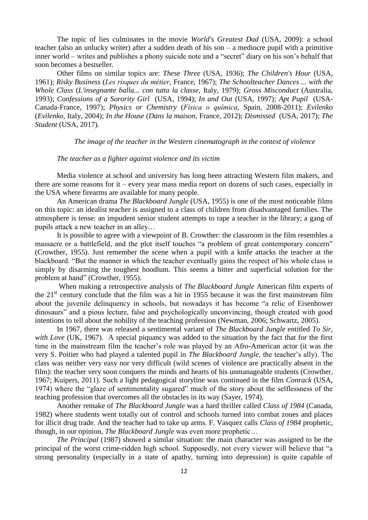The topic of lies culminates in the movie *World's Greatest Dad* (USA, 2009): a school teacher (also an unlucky writer) after a sudden death of his son – a mediocre pupil with a primitive inner world – writes and publishes a phony suicide note and a "secret" diary on his son's behalf that soon becomes a bestseller.

Other films on similar topics are: *These Three* (USA, 1936); *The Children's Hour* (USA, 1961); *Risky Business* (*Les risques du métier*, France, 1967); *The Schoolteacher Dances ... with the Whole Class* (*L'insegnante balla... con tutta la classe,* Italy, 1979); *Gross Misconduct* (Australia, 1993); *Confessions of a Sorority Girl* (USA, 1994); *In and Out* (USA, 1997); *Apt Pupil* (USA-Canada-France, 1997); *Physics or Chemistry* (*Física o química*, Spain, 2008-2011); *Evilenko* (*Evilenko,* Italy, 2004); *In the House* (*Dans la maison,* France, 2012); *Dismissed* (USA, 2017); *The Student* (USA, 2017).

*The image of the teacher in the Western cinematograph in the context of violence*

# *The teacher as a fighter against violence and its victim*

Media violence at school and university has long been attracting Western film makers, and there are some reasons for it – every year mass media report on dozens of such cases, especially in the USA where firearms are available for many people.

An American drama *The Blackboard Jungle* (USA, 1955) is one of the most noticeable films on this topic: an idealist teacher is assigned to a class of children from disadvantaged families. The atmosphere is tense: an impudent senior student attempts to rape a teacher in the library; a gang of pupils attack a new teacher in an alley…

It is possible to agree with a viewpoint of B. Crowther: the classroom in the film resembles a massacre or a battlefield, and the plot itself touches "a problem of great contemporary concern" (Crowther, 1955). Just remember the scene when a pupil with a knife attacks the teacher at the blackboard. "But the manner in which the teacher eventually gains the respect of his whole class is simply by disarming the toughest hoodlum. This seems a bitter and superficial solution for the problem at hand" (Crowther, 1955).

When making a retrospective analysis of *The Blackboard Jungle* American film experts of the  $21<sup>st</sup>$  century conclude that the film was a hit in 1955 because it was the first mainstream film about the juvenile delinquency in schools, but nowadays it has become "a relic of Eisenhower dinosaurs" and a pious lecture, false and psychologically unconvincing, though created with good intentions to tell about the nobility of the teaching profession (Newman, 2006; Schwartz, 2005).

In 1967, there was released a sentimental variant of *The Blackboard Jungle* entitled *To Sir, with Love* (UK, 1967). A special piquancy was added to the situation by the fact that for the first time in the mainstream film the teacher's role was played by an Afro-American actor (it was the very S. Poitier who had played a talented pupil in *The Blackboard Jungle,* the teacher's ally). The class was neither very easy nor very difficult (wild scenes of violence are practically absent in the film): the teacher very soon conquers the minds and hearts of his unmanageable students (Crowther, 1967; Kuipers, 2011). Such a light pedagogical storyline was continued in the film *Conrack* (USA, 1974) where the "glaze of sentimentality sugared" much of the story about the selflessness of the teaching profession that overcomes all the obstacles in its way (Sayer, 1974).

Another remake of *The Blackboard Jungle* was a hard thriller called *Class of 1984* (Canada, 1982) where students went totally out of control and schools turned into combat zones and places for illicit drug trade. And the teacher had to take up arms. F. Vasquez calls *Class of 1984* prophetic, though, in our opinion, *The Blackboard Jungle* was even more prophetic…

*The Principal* (1987) showed a similar situation: the main character was assigned to be the principal of the worst crime-ridden high school. Supposedly, not every viewer will believe that "a strong personality (especially in a state of apathy, turning into depression) is quite capable of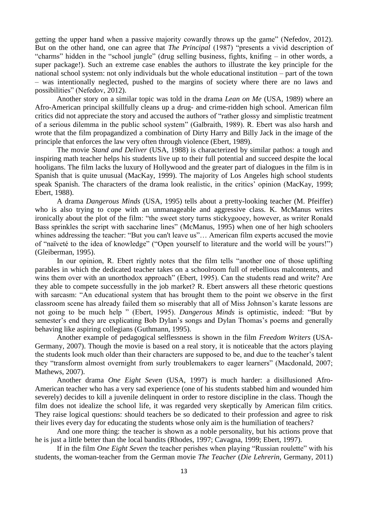getting the upper hand when a passive majority cowardly throws up the game" (Nefedov, 2012). But on the other hand, one can agree that *The Principal* (1987) "presents a vivid description of "charms" hidden in the "school jungle" (drug selling business, fights, knifing – in other words, a super package!). Such an extreme case enables the authors to illustrate the key principle for the national school system: not only individuals but the whole educational institution – part of the town – was intentionally neglected, pushed to the margins of society where there are no laws and possibilities" (Nefedov, 2012).

Another story on a similar topic was told in the drama *Lean on Me* (USA, 1989) where an Afro-American principal skillfully cleans up a drug- and crime-ridden high school. American film critics did not appreciate the story and accused the authors of "rather glossy and simplistic treatment of a serious dilemma in the public school system" (Galbraith, 1989). R. Ebert was also harsh and wrote that the film propagandized a combination of Dirty Harry and Billy Jack in the image of the principle that enforces the law very often through violence (Ebert, 1989).

The movie *Stand and Deliver* (USA, 1988) is characterized by similar pathos: a tough and inspiring math teacher helps his students live up to their full potential and succeed despite the local hooligans. The film lacks the luxury of Hollywood and the greater part of dialogues in the film is in Spanish that is quite unusual (MacKay, 1999). The majority of Los Angeles high school students speak Spanish. The characters of the drama look realistic, in the critics' opinion (MacKay, 1999; Ebert, 1988).

A drama *Dangerous Minds* (USA, 1995) tells about a pretty-looking teacher (M. Pfeiffer) who is also trying to cope with an unmanageable and aggressive class. K. McManus writes ironically about the plot of the film: "the sweet story turns stickygooey, however, as writer Ronald Bass sprinkles the script with saccharine lines" (McManus, 1995) when one of her high schoolers whines addressing the teacher: "But you can't leave us"… American film experts accused the movie of "naïveté to the idea of knowledge" ("Open yourself to literature and the world will be yours!") (Gleiberman, 1995).

In our opinion, R. Ebert rightly notes that the film tells "another one of those uplifting parables in which the dedicated teacher takes on a schoolroom full of rebellious malcontents, and wins them over with an unorthodox approach" (Ebert, 1995). Can the students read and write? Are they able to compete successfully in the job market? R. Ebert answers all these rhetoric questions with sarcasm: "An educational system that has brought them to the point we observe in the first classroom scene has already failed them so miserably that all of Miss Johnson's karate lessons are not going to be much help " (Ebert, 1995). *Dangerous Minds* is optimistic, indeed: "But by semester's end they are explicating Bob Dylan's songs and Dylan Thomas's poems and generally behaving like aspiring collegians (Guthmann, 1995).

Another example of pedagogical selflessness is shown in the film *Freedom Writers* (USA-Germany, 2007). Though the movie is based on a real story, it is noticeable that the actors playing the students look much older than their characters are supposed to be, and due to the teacher's talent they "transform almost overnight from surly troublemakers to eager learners" (Macdonald, 2007; Mathews, 2007).

Another drama *One Eight Seven* (USA, 1997) is much harder: a disillusioned Afro-American teacher who has a very sad experience (one of his students stabbed him and wounded him severely) decides to kill a juvenile delinquent in order to restore discipline in the class. Though the film does not idealize the school life, it was regarded very skeptically by American film critics. They raise logical questions: should teachers be so dedicated to their profession and agree to risk their lives every day for educating the students whose only aim is the humiliation of teachers?

And one more thing: the teacher is shown as a noble personality, but his actions prove that he is just a little better than the local bandits (Rhodes, 1997; Cavagna, 1999; Ebert, 1997).

If in the film *One Eight Seven* the teacher perishes when playing "Russian roulette" with his students, the woman-teacher from the German movie *The Teacher* (*Die Lehrerin*, Germany, 2011)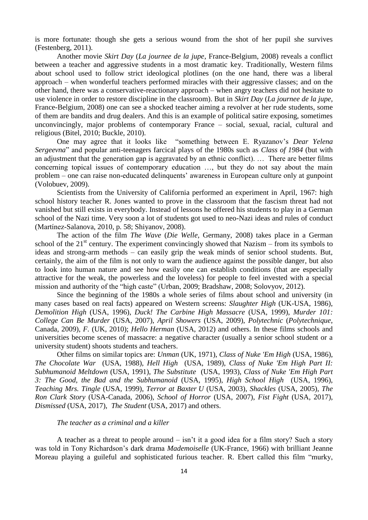is more fortunate: though she gets a serious wound from the shot of her pupil she survives (Festenberg, 2011).

Another movie *Skirt Day* (*La journee de la jupe*, France-Belgium, 2008) reveals a conflict between a teacher and aggressive students in a most dramatic key. Traditionally, Western films about school used to follow strict ideological plotlines (on the one hand, there was a liberal approach – when wonderful teachers performed miracles with their aggressive classes; and on the other hand, there was a conservative-reactionary approach – when angry teachers did not hesitate to use violence in order to restore discipline in the classroom). But in *Skirt Day* (*La journee de la jupe*, France-Belgium, 2008) one can see a shocked teacher aiming a revolver at her rude students, some of them are bandits and drug dealers. And this is an example of political satire exposing, sometimes unconvincingly, major problems of contemporary France – social, sexual, racial, cultural and religious (Bitel, 2010; Buckle, 2010).

One may agree that it looks like "something between E. Ryazanov's *Dear Yelena Sergeevna*" and popular anti-teenagers farcical plays of the 1980s such as *Class of 1984* (but with an adjustment that the generation gap is aggravated by an ethnic conflict). … There are better films concerning topical issues of contemporary education …, but they do not say about the main problem – one can raise non-educated delinquents' awareness in European culture only at gunpoint (Volobuev, 2009).

Scientists from the University of California performed an experiment in April, 1967: high school history teacher R. Jones wanted to prove in the classroom that the fascism threat had not vanished but still exists in everybody. Instead of lessons he offered his students to play in a German school of the Nazi time. Very soon a lot of students got used to neo-Nazi ideas and rules of conduct (Martínez-Salanova, 2010, p. 58; Shiyanov, 2008).

The action of the film *The Wave* (*Die Welle,* Germany, 2008) takes place in a German school of the  $21<sup>st</sup>$  century. The experiment convincingly showed that Nazism – from its symbols to ideas and strong-arm methods – can easily grip the weak minds of senior school students. But, certainly, the aim of the film is not only to warn the audience against the possible danger, but also to look into human nature and see how easily one can establish conditions (that are especially attractive for the weak, the powerless and the loveless) for people to feel invested with a special mission and authority of the "high caste" (Urban, 2009; Bradshaw, 2008; Solovyov, 2012).

Since the beginning of the 1980s a whole series of films about school and university (in many cases based on real facts) appeared on Western screens: *Slaughter High* (UK-USA, 1986), *Demolition High* (USA, 1996), *Duck! The Carbine High Massacre* (USA, 1999), *Murder 101: College Can Be Murder* (USA, 2007), *April Showers* (USA, 2009), *Polytechnic* (*Polytechnique*, Canada, 2009), *F.* (UK, 2010); *Hello Herman* (USA, 2012) and others. In these films schools and universities become scenes of massacre: a negative character (usually a senior school student or a university student) shoots students and teachers.

Other films on similar topics are: *Unman* (UK, 1971), *Class of Nuke 'Em High* (USA, 1986), *The Chocolate War* (USA, 1988), *Hell High* (USA, 1989), *Class of Nuke 'Em High Part II: Subhumanoid Meltdown* (USA, 1991), *The Substitute* (USA, 1993), *Class of Nuke 'Em High Part 3: The Good, the Bad and the Subhumanoid* (USA, 1995), *High School High* (USA, 1996), *Teaching Mrs. Tingle* (USA, 1999), *Terror at Baxter U* (USA, 2003), *Shackles* (USA, 2005), *The Ron Clark Story* (USA-Canada, 2006), *School of Horror* (USA, 2007), *Fist Fight* (USA, 2017), *Dismissed* (USA, 2017), *The Student* (USA, 2017) and others.

#### *The teacher as a criminal and a killer*

A teacher as a threat to people around – isn't it a good idea for a film story? Such a story was told in Tony Richardson's dark drama *Mademoiselle* (UK-France, 1966) with brilliant Jeanne Moreau playing a guileful and sophisticated furious teacher. R. Ebert called this film "murky,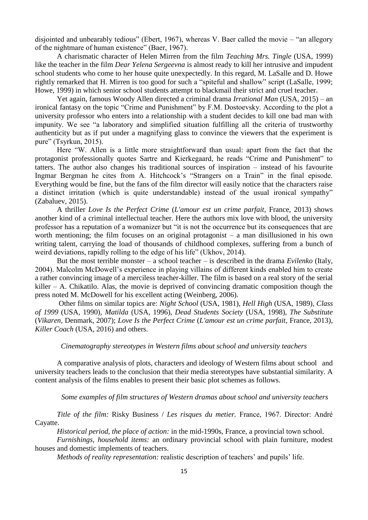disjointed and unbearably tedious" (Ebert, 1967), whereas V. Baer called the movie – "an allegory of the nightmare of human existence" (Baer, 1967).

A charismatic character of Helen Mirren from the film *Teaching Mrs. Tingle* (USA, 1999) like the teacher in the film *Dear Yelena Sergeevna* is almost ready to kill her intrusive and impudent school students who come to her house quite unexpectedly. In this regard, M. LaSalle and D. Howe rightly remarked that H. Mirren is too good for such a "spiteful and shallow" script (LaSalle, 1999; Howe, 1999) in which senior school students attempt to blackmail their strict and cruel teacher.

Yet again, famous Woody Allen directed a criminal drama *Irrational Man* (USA, 2015) – an ironical fantasy on the topic "Crime and Punishment" by F.M. Dostoevsky. According to the plot a university professor who enters into a relationship with a student decides to kill one bad man with impunity. We see "a laboratory and simplified situation fulfilling all the criteria of trustworthy authenticity but as if put under a magnifying glass to convince the viewers that the experiment is pure" (Tsyrkun, 2015).

Here "W. Allen is a little more straightforward than usual: apart from the fact that the protagonist professionally quotes Sartre and Kierkegaard, he reads "Crime and Punishment" to tatters. The author also changes his traditional sources of inspiration – instead of his favourite Ingmar Bergman he cites from A. Hitchcock's "Strangers on a Train" in the final episode. Everything would be fine, but the fans of the film director will easily notice that the characters raise a distinct irritation (which is quite understandable) instead of the usual ironical sympathy" (Zabaluev, 2015).

A thriller *Love Is the Perfect Crime* (*L'amour est un crime parfait*, France, 2013) shows another kind of a criminal intellectual teacher. Here the authors mix love with blood, the university professor has a reputation of a womanizer but "it is not the occurrence but its consequences that are worth mentioning; the film focuses on an original protagonist – a man disillusioned in his own writing talent, carrying the load of thousands of childhood complexes, suffering from a bunch of weird deviations, rapidly rolling to the edge of his life" (Ukhov, 2014).

But the most terrible monster – a school teacher – is described in the drama *Evilenko* (Italy, 2004). Malcolm McDowell's experience in playing villains of different kinds enabled him to create a rather convincing image of a merciless teacher-killer. The film is based on a real story of the serial killer – A. Chikatilo. Alas, the movie is deprived of convincing dramatic composition though the press noted M. McDowell for his excellent acting (Weinberg, 2006).

Other films on similar topics are: *Night School* (USA, 1981), *Hell High* (USA, 1989), *Class of 1999* (USA, 1990), *Matilda* (USA, 1996), *Dead Students Society* (USA, 1998), *The Substitute*  (*Vikaren,* Denmark, 2007); *Love Is the Perfect Crime* (*L'amour est un crime parfait*, France, 2013), *Killer Coach* (USA, 2016) and others.

*Cinematography stereotypes in Western films about school and university teachers*

A comparative analysis of plots, characters and ideology of Western films about school and university teachers leads to the conclusion that their media stereotypes have substantial similarity. A content analysis of the films enables to present their basic plot schemes as follows.

*Some examples of film structures of Western dramas about school and university teachers*

*Title of the film:* Risky Business / *Les risques du metier.* France, 1967. Director: André Cayatte.

*Historical period, the place of action:* in the mid-1990s, France, a provincial town school.

*Furnishings, household items:* an ordinary provincial school with plain furniture, modest houses and domestic implements of teachers.

*Methods of reality representation:* realistic description of teachers' and pupils' life.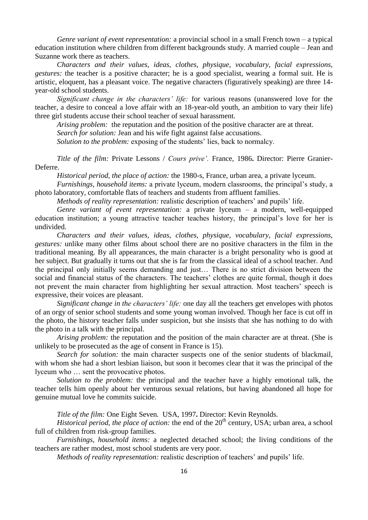*Genre variant of event representation:* a provincial school in a small French town – a typical education institution where children from different backgrounds study. A married couple – Jean and Suzanne work there as teachers.

*Characters and their values, ideas, clothes, physique, vocabulary, facial expressions, gestures:* the teacher is a positive character; he is a good specialist, wearing a formal suit. He is artistic, eloquent, has a pleasant voice. The negative characters (figuratively speaking) are three 14 year-old school students.

*Significant change in the characters' life:* for various reasons (unanswered love for the teacher, a desire to conceal a love affair with an 18-year-old youth, an ambition to vary their life) three girl students accuse their school teacher of sexual harassment.

*Arising problem:* the reputation and the position of the positive character are at threat.

*Search for solution:* Jean and his wife fight against false accusations.

*Solution to the problem:* exposing of the students' lies, back to normalcy.

*Title of the film:* Private Lessons / *Cours prive'.* France, 1986**.** Director: Pierre Granier-Deferre.

*Historical period, the place of action:* the 1980-s, France, urban area, a private lyceum.

*Furnishings, household items:* a private lyceum, modern classrooms, the principal's study, a photo laboratory, comfortable flats of teachers and students from affluent families.

*Methods of reality representation:* realistic description of teachers' and pupils' life.

*Genre variant of event representation:* a private lyceum – a modern, well-equipped education institution; a young attractive teacher teaches history, the principal's love for her is undivided.

*Characters and their values, ideas, clothes, physique, vocabulary, facial expressions, gestures:* unlike many other films about school there are no positive characters in the film in the traditional meaning. By all appearances, the main character is a bright personality who is good at her subject. But gradually it turns out that she is far from the classical ideal of a school teacher. And the principal only initially seems demanding and just… There is no strict division between the social and financial status of the characters. The teachers' clothes are quite formal, though it does not prevent the main character from highlighting her sexual attraction. Most teachers' speech is expressive, their voices are pleasant.

*Significant change in the characters' life:* one day all the teachers get envelopes with photos of an orgy of senior school students and some young woman involved. Though her face is cut off in the photo, the history teacher falls under suspicion, but she insists that she has nothing to do with the photo in a talk with the principal.

*Arising problem:* the reputation and the position of the main character are at threat. (She is unlikely to be prosecuted as the age of consent in France is 15).

*Search for solution:* the main character suspects one of the senior students of blackmail, with whom she had a short lesbian liaison, but soon it becomes clear that it was the principal of the lyceum who … sent the provocative photos.

*Solution to the problem:* the principal and the teacher have a highly emotional talk, the teacher tells him openly about her venturous sexual relations, but having abandoned all hope for genuine mutual love he commits suicide.

*Title of the film:* One Eight Seven*.* USA, 1997**.** Director: Kevin Reynolds.

*Historical period, the place of action:* the end of the 20<sup>th</sup> century, USA; urban area, a school full of children from risk-group families.

*Furnishings, household items:* a neglected detached school; the living conditions of the teachers are rather modest, most school students are very poor.

*Methods of reality representation:* realistic description of teachers' and pupils' life.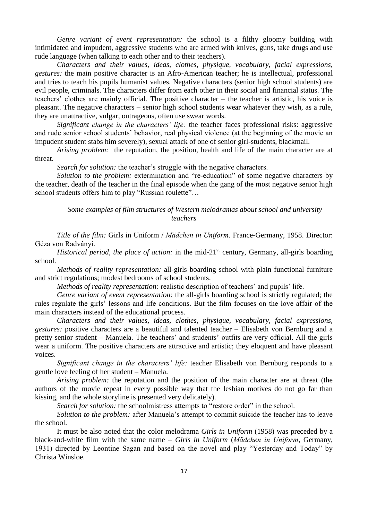*Genre variant of event representation:* the school is a filthy gloomy building with intimidated and impudent, aggressive students who are armed with knives, guns, take drugs and use rude language (when talking to each other and to their teachers).

*Characters and their values, ideas, clothes, physique, vocabulary, facial expressions, gestures:* the main positive character is an Afro-American teacher; he is intellectual, professional and tries to teach his pupils humanist values. Negative characters (senior high school students) are evil people, criminals. The characters differ from each other in their social and financial status. The teachers' clothes are mainly official. The positive character – the teacher is artistic, his voice is pleasant. The negative characters – senior high school students wear whatever they wish, as a rule, they are unattractive, vulgar, outrageous, often use swear words.

*Significant change in the characters' life:* the teacher faces professional risks: aggressive and rude senior school students' behavior, real physical violence (at the beginning of the movie an impudent student stabs him severely), sexual attack of one of senior girl-students, blackmail.

*Arising problem:* the reputation, the position, health and life of the main character are at threat.

*Search for solution:* the teacher's struggle with the negative characters.

*Solution to the problem:* extermination and "re-education" of some negative characters by the teacher, death of the teacher in the final episode when the gang of the most negative senior high school students offers him to play "Russian roulette"…

# *Some examples of film structures of Western melodramas about school and university teachers*

*Title of the film:* Girls in Uniform / *Mädchen in Uniform*. France-Germany, 1958. Director: Géza von Radványi.

*Historical period, the place of action:* in the mid-21<sup>st</sup> century, Germany, all-girls boarding school.

*Methods of reality representation:* all-girls boarding school with plain functional furniture and strict regulations; modest bedrooms of school students.

*Methods of reality representation:* realistic description of teachers' and pupils' life.

*Genre variant of event representation:* the all*-*girls boarding school is strictly regulated; the rules regulate the girls' lessons and life conditions. But the film focuses on the love affair of the main characters instead of the educational process.

*Characters and their values, ideas, clothes, physique, vocabulary, facial expressions, gestures:* positive characters are a beautiful and talented teacher – Elisabeth von Bernburg and a pretty senior student – Manuela. The teachers' and students' outfits are very official. All the girls wear a uniform. The positive characters are attractive and artistic; they eloquent and have pleasant voices.

*Significant change in the characters' life:* teacher Elisabeth von Bernburg responds to a gentle love feeling of her student – Manuela.

*Arising problem:* the reputation and the position of the main character are at threat (the authors of the movie repeat in every possible way that the lesbian motives do not go far than kissing, and the whole storyline is presented very delicately).

*Search for solution:* the schoolmistress attempts to "restore order" in the school.

*Solution to the problem:* after Manuela's attempt to commit suicide the teacher has to leave the school.

It must be also noted that the color melodrama *Girls in Uniform* (1958) was preceded by a black-and-white film with the same name – *Girls in Uniform* (*Mädchen in Uniform*, Germany, 1931) directed by Leontine Sagan and based on the novel and play "Yesterday and Today" by Christa Winsloe.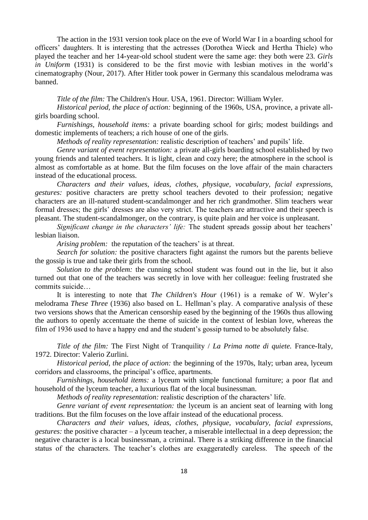The action in the 1931 version took place on the eve of World War I in a boarding school for officers' daughters. It is interesting that the actresses (Dorothea Wieck and Hertha Thiele) who played the teacher and her 14-year-old school student were the same age: they both were 23. *Girls in Uniform* (1931) is considered to be the first movie with lesbian motives in the world's cinematography (Nour, 2017). After Hitler took power in Germany this scandalous melodrama was banned.

*Title of the film:* The Children's Hour*.* USA, 1961. Director: William Wyler.

*Historical period, the place of action:* beginning of the 1960s, USA, province, a private allgirls boarding school.

*Furnishings, household items:* a private boarding school for girls; modest buildings and domestic implements of teachers; a rich house of one of the girls.

*Methods of reality representation:* realistic description of teachers' and pupils' life.

*Genre variant of event representation:* a private all-girls boarding school established by two young friends and talented teachers. It is light, clean and cozy here; the atmosphere in the school is almost as comfortable as at home. But the film focuses on the love affair of the main characters instead of the educational process.

*Characters and their values, ideas, clothes, physique, vocabulary, facial expressions, gestures:* positive characters are pretty school teachers devoted to their profession; negative characters are an ill-natured student-scandalmonger and her rich grandmother. Slim teachers wear formal dresses; the girls' dresses are also very strict. The teachers are attractive and their speech is pleasant. The student-scandalmonger, on the contrary, is quite plain and her voice is unpleasant.

*Significant change in the characters' life:* The student spreads gossip about her teachers' lesbian liaison.

*Arising problem:* the reputation of the teachers' is at threat.

*Search for solution:* the positive characters fight against the rumors but the parents believe the gossip is true and take their girls from the school.

*Solution to the problem:* the cunning school student was found out in the lie, but it also turned out that one of the teachers was secretly in love with her colleague: feeling frustrated she commits suicide…

It is interesting to note that *The Children's Hour* (1961) is a remake of W. Wyler's melodrama *These Three* (1936) also based on L. Hellman's play. A comparative analysis of these two versions shows that the American censorship eased by the beginning of the 1960s thus allowing the authors to openly accentuate the theme of suicide in the context of lesbian love, whereas the film of 1936 used to have a happy end and the student's gossip turned to be absolutely false.

*Title of the film:* The First Night of Tranquility / *La Prima notte di quiete.* France-Italy, 1972. Director: Valerio Zurlini.

*Historical period, the place of action:* the beginning of the 1970s, Italy; urban area, lyceum corridors and classrooms, the principal's office, apartments.

*Furnishings, household items:* a lyceum with simple functional furniture; a poor flat and household of the lyceum teacher, a luxurious flat of the local businessman.

*Methods of reality representation:* realistic description of the characters' life.

*Genre variant of event representation:* the lyceum is an ancient seat of learning with long traditions. But the film focuses on the love affair instead of the educational process.

*Characters and their values, ideas, clothes, physique, vocabulary, facial expressions, gestures:* the positive character – a lyceum teacher, a miserable intellectual in a deep depression; the negative character is a local businessman, a criminal. There is a striking difference in the financial status of the characters. The teacher's clothes are exaggeratedly careless. The speech of the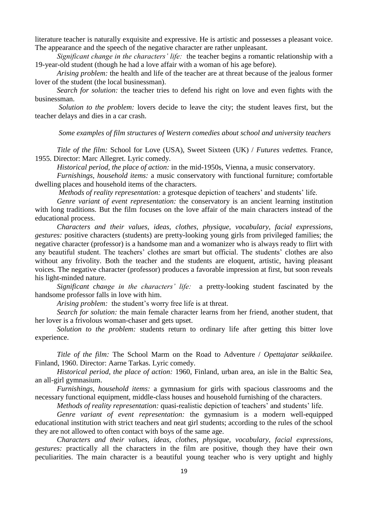literature teacher is naturally exquisite and expressive. He is artistic and possesses a pleasant voice. The appearance and the speech of the negative character are rather unpleasant.

*Significant change in the characters' life:* the teacher begins a romantic relationship with a 19-year-old student (though he had a love affair with a woman of his age before).

*Arising problem:* the health and life of the teacher are at threat because of the jealous former lover of the student (the local businessman).

*Search for solution:* the teacher tries to defend his right on love and even fights with the businessman.

*Solution to the problem:* lovers decide to leave the city; the student leaves first, but the teacher delays and dies in a car crash.

*Some examples of film structures of Western comedies about school and university teachers*

*Title of the film:* School for Love (USA), Sweet Sixteen (UK) / *Futures vedettes.* France, 1955. Director: Marc Allegret. Lyric comedy.

*Historical period, the place of action:* in the mid-1950s, Vienna, a music conservatory.

*Furnishings, household items:* a music conservatory with functional furniture; comfortable dwelling places and household items of the characters.

*Methods of reality representation:* a grotesque depiction of teachers' and students' life.

*Genre variant of event representation:* the conservatory is an ancient learning institution with long traditions. But the film focuses on the love affair of the main characters instead of the educational process.

*Characters and their values, ideas, clothes, physique, vocabulary, facial expressions, gestures:* positive characters (students) are pretty-looking young girls from privileged families; the negative character (professor) is a handsome man and a womanizer who is always ready to flirt with any beautiful student. The teachers' clothes are smart but official. The students' clothes are also without any frivolity. Both the teacher and the students are eloquent, artistic, having pleasant voices. The negative character (professor) produces a favorable impression at first, but soon reveals his light-minded nature.

*Significant change in the characters' life:* a pretty-looking student fascinated by the handsome professor falls in love with him.

*Arising problem:* the student's worry free life is at threat.

*Search for solution:* the main female character learns from her friend, another student, that her lover is a frivolous woman-chaser and gets upset.

*Solution to the problem:* students return to ordinary life after getting this bitter love experience.

*Title of the film:* The School Marm on the Road to Adventure / *Opettajatar seikkailee.* Finland, 1960. Director: Aarne Tarkas. Lyric comedy.

*Historical period, the place of action:* 1960, Finland, urban area, an isle in the Baltic Sea, an all-girl gymnasium.

*Furnishings, household items:* a gymnasium for girls with spacious classrooms and the necessary functional equipment, middle-class houses and household furnishing of the characters.

*Methods of reality representation:* quasi-realistic depiction of teachers' and students' life.

*Genre variant of event representation:* the gymnasium is a modern well-equipped educational institution with strict teachers and neat girl students; according to the rules of the school they are not allowed to often contact with boys of the same age.

*Characters and their values, ideas, clothes, physique, vocabulary, facial expressions, gestures:* practically all the characters in the film are positive, though they have their own peculiarities. The main character is a beautiful young teacher who is very uptight and highly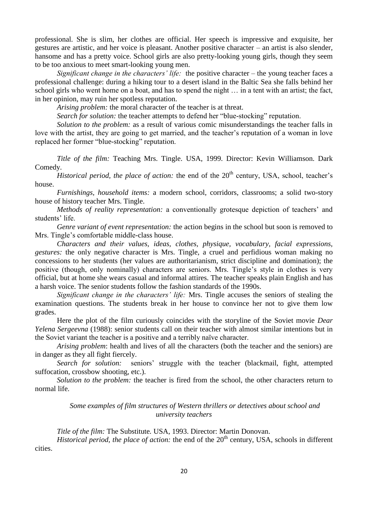professional. She is slim, her clothes are official. Her speech is impressive and exquisite, her gestures are artistic, and her voice is pleasant. Another positive character – an artist is also slender, hansome and has a pretty voice. School girls are also pretty-looking young girls, though they seem to be too anxious to meet smart-looking young men.

*Significant change in the characters' life:* the positive character – the young teacher faces a professional challenge: during a hiking tour to a desert island in the Baltic Sea she falls behind her school girls who went home on a boat, and has to spend the night … in a tent with an artist; the fact, in her opinion, may ruin her spotless reputation.

*Arising problem:* the moral character of the teacher is at threat.

*Search for solution:* the teacher attempts to defend her "blue-stocking" reputation.

*Solution to the problem:* as a result of various comic misunderstandings the teacher falls in love with the artist, they are going to get married, and the teacher's reputation of a woman in love replaced her former "blue-stocking" reputation.

*Title of the film:* Teaching Mrs. Tingle. USA, 1999. Director: Kevin Williamson. Dark Comedy.

*Historical period, the place of action:* the end of the 20<sup>th</sup> century, USA, school, teacher's house.

*Furnishings, household items:* a modern school, corridors, classrooms; a solid two-story house of history teacher Mrs. Tingle.

*Methods of reality representation:* a conventionally grotesque depiction of teachers' and students' life.

*Genre variant of event representation:* the action begins in the school but soon is removed to Mrs. Tingle's comfortable middle-class house.

*Characters and their values, ideas, clothes, physique, vocabulary, facial expressions, gestures:* the only negative character is Mrs. Tingle, a cruel and perfidious woman making no concessions to her students (her values are authoritarianism, strict discipline and domination); the positive (though, only nominally) characters are seniors. Mrs. Tingle's style in clothes is very official, but at home she wears casual and informal attires. The teacher speaks plain English and has a harsh voice. The senior students follow the fashion standards of the 1990s.

*Significant change in the characters' life:* Mrs. Tingle accuses the seniors of stealing the examination questions. The students break in her house to convince her not to give them low grades.

Here the plot of the film curiously coincides with the storyline of the Soviet movie *Dear Yelena Sergeevna* (1988): senior students call on their teacher with almost similar intentions but in the Soviet variant the teacher is a positive and a terribly naïve character.

*Arising problem*: health and lives of all the characters (both the teacher and the seniors) are in danger as they all fight fiercely.

*Search for solution:* seniors' struggle with the teacher (blackmail, fight, attempted suffocation, crossbow shooting, etc.).

*Solution to the problem:* the teacher is fired from the school, the other characters return to normal life.

> *Some examples of film structures of Western thrillers or detectives about school and university teachers*

*Title of the film:* The Substitute*.* USA, 1993. Director: Martin Donovan.

*Historical period, the place of action:* the end of the 20<sup>th</sup> century, USA, schools in different cities.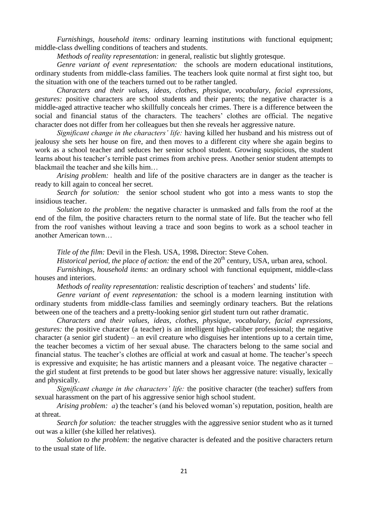*Furnishings, household items:* ordinary learning institutions with functional equipment; middle-class dwelling conditions of teachers and students.

*Methods of reality representation:* in general, realistic but slightly grotesque.

*Genre variant of event representation:* the schools are modern educational institutions, ordinary students from middle-class families. The teachers look quite normal at first sight too, but the situation with one of the teachers turned out to be rather tangled.

*Characters and their values, ideas, clothes, physique, vocabulary, facial expressions, gestures:* positive characters are school students and their parents; the negative character is a middle-aged attractive teacher who skillfully conceals her crimes. There is a difference between the social and financial status of the characters. The teachers' clothes are official. The negative character does not differ from her colleagues but then she reveals her aggressive nature.

*Significant change in the characters' life:* having killed her husband and his mistress out of jealousy she sets her house on fire, and then moves to a different city where she again begins to work as a school teacher and seduces her senior school student. Growing suspicious, the student learns about his teacher's terrible past crimes from archive press. Another senior student attempts to blackmail the teacher and she kills him…

*Arising problem:* health and life of the positive characters are in danger as the teacher is ready to kill again to conceal her secret.

*Search for solution:* the senior school student who got into a mess wants to stop the insidious teacher.

*Solution to the problem:* the negative character is unmasked and falls from the roof at the end of the film, the positive characters return to the normal state of life. But the teacher who fell from the roof vanishes without leaving a trace and soon begins to work as a school teacher in another American town…

*Title of the film:* Devil in the Flesh*.* USA, 1998**.** Director: Steve Cohen.

*Historical period, the place of action:* the end of the 20<sup>th</sup> century, USA, urban area, school.

*Furnishings, household items:* an ordinary school with functional equipment, middle-class houses and interiors.

*Methods of reality representation:* realistic description of teachers' and students' life.

*Genre variant of event representation:* the school is a modern learning institution with ordinary students from middle-class families and seemingly ordinary teachers. But the relations between one of the teachers and a pretty-looking senior girl student turn out rather dramatic.

*Characters and their values, ideas, clothes, physique, vocabulary, facial expressions, gestures:* the positive character (a teacher) is an intelligent high-caliber professional; the negative character (a senior girl student) – an evil creature who disguises her intentions up to a certain time, the teacher becomes a victim of her sexual abuse. The characters belong to the same social and financial status. The teacher's clothes are official at work and casual at home. The teacher's speech is expressive and exquisite; he has artistic manners and a pleasant voice. The negative character – the girl student at first pretends to be good but later shows her aggressive nature: visually, lexically and physically.

*Significant change in the characters' life:* the positive character (the teacher) suffers from sexual harassment on the part of his aggressive senior high school student.

*Arising problem: a*) the teacher's (and his beloved woman's) reputation, position, health are at threat.

*Search for solution:* the teacher struggles with the aggressive senior student who as it turned out was a killer (she killed her relatives).

*Solution to the problem:* the negative character is defeated and the positive characters return to the usual state of life.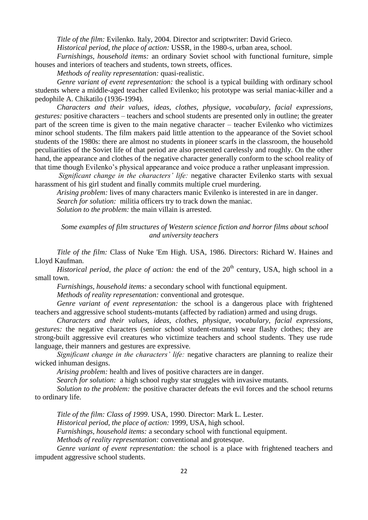*Title of the film:* Evilenko*.* Italy, 2004. Director and scriptwriter: David Grieco.

*Historical period, the place of action:* USSR, in the 1980-s, urban area, school.

*Furnishings, household items:* an ordinary Soviet school with functional furniture, simple houses and interiors of teachers and students, town streets, offices.

*Methods of reality representation:* quasi-realistic.

*Genre variant of event representation:* the school is a typical building with ordinary school students where a middle-aged teacher called Evilenko; his prototype was serial maniac-killer and a pedophile A. Chikatilo (1936-1994).

*Characters and their values, ideas, clothes, physique, vocabulary, facial expressions, gestures:* positive characters – teachers and school students are presented only in outline; the greater part of the screen time is given to the main negative character – teacher Evilenko who victimizes minor school students. The film makers paid little attention to the appearance of the Soviet school students of the 1980s: there are almost no students in pioneer scarfs in the classroom, the household peculiarities of the Soviet life of that period are also presented carelessly and roughly. On the other hand, the appearance and clothes of the negative character generally conform to the school reality of that time though Evilenko's physical appearance and voice produce a rather unpleasant impression.

*Significant change in the characters' life:* negative character Evilenko starts with sexual harassment of his girl student and finally commits multiple cruel murdering.

*Arising problem:* lives of many characters manic Evilenko is interested in are in danger.

*Search for solution:* militia officers try to track down the maniac.

*Solution to the problem:* the main villain is arrested.

*Some examples of film structures of Western science fiction and horror films about school and university teachers*

*Title of the film:* Class of Nuke 'Em High*.* USA, 1986. Directors: Richard W. Haines and Lloyd Kaufman.

*Historical period, the place of action:* the end of the 20<sup>th</sup> century, USA, high school in a small town.

*Furnishings, household items:* a secondary school with functional equipment.

*Methods of reality representation:* conventional and grotesque.

*Genre variant of event representation:* the school is a dangerous place with frightened teachers and aggressive school students-mutants (affected by radiation) armed and using drugs.

*Characters and their values, ideas, clothes, physique, vocabulary, facial expressions, gestures:* the negative characters (senior school student-mutants) wear flashy clothes; they are strong-built aggressive evil creatures who victimize teachers and school students. They use rude language, their manners and gestures are expressive.

*Significant change in the characters' life:* negative characters are planning to realize their wicked inhuman designs.

*Arising problem:* health and lives of positive characters are in danger.

*Search for solution:* a high school rugby star struggles with invasive mutants.

*Solution to the problem:* the positive character defeats the evil forces and the school returns to ordinary life.

*Title of the film: Class of 1999*. USA, 1990. Director: Mark L. Lester.

*Historical period, the place of action:* 1999, USA, high school.

*Furnishings, household items:* a secondary school with functional equipment.

*Methods of reality representation:* conventional and grotesque.

*Genre variant of event representation:* the school is a place with frightened teachers and impudent aggressive school students.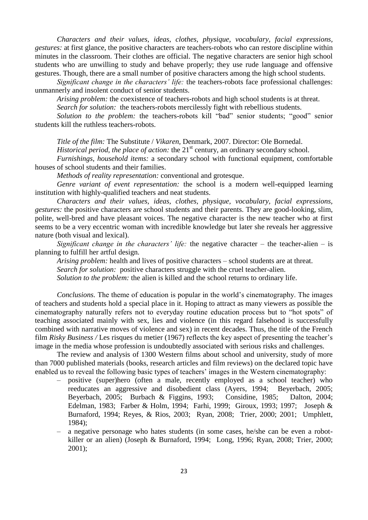*Characters and their values, ideas, clothes, physique, vocabulary, facial expressions, gestures:* at first glance, the positive characters are teachers-robots who can restore discipline within minutes in the classroom. Their clothes are official. The negative characters are senior high school students who are unwilling to study and behave properly; they use rude language and offensive gestures. Though, there are a small number of positive characters among the high school students.

*Significant change in the characters' life:* the teachers-robots face professional challenges: unmannerly and insolent conduct of senior students.

*Arising problem:* the coexistence of teachers-robots and high school students is at threat.

*Search for solution:* the teachers-robots mercilessly fight with rebellious students.

*Solution to the problem:* the teachers-robots kill "bad" senior students; "good" senior students kill the ruthless teachers-robots.

*Title of the film:* The Substitute / *Vikaren,* Denmark, 2007. Director: Ole Bornedal.

*Historical period, the place of action:* the 21<sup>st</sup> century, an ordinary secondary school.

*Furnishings, household items:* a secondary school with functional equipment, comfortable houses of school students and their families.

*Methods of reality representation:* conventional and grotesque.

*Genre variant of event representation:* the school is a modern well-equipped learning institution with highly-qualified teachers and neat students.

*Characters and their values, ideas, clothes, physique, vocabulary, facial expressions, gestures:* the positive characters are school students and their parents. They are good-looking, slim, polite, well-bred and have pleasant voices. The negative character is the new teacher who at first seems to be a very eccentric woman with incredible knowledge but later she reveals her aggressive nature (both visual and lexical).

*Significant change in the characters' life:* the negative character – the teacher-alien – is planning to fulfill her artful design.

*Arising problem:* health and lives of positive characters – school students are at threat.

*Search for solution:* positive characters struggle with the cruel teacher-alien.

*Solution to the problem:* the alien is killed and the school returns to ordinary life.

*Conclusions.* The theme of education is popular in the world's cinematography. The images of teachers and students hold a special place in it. Hoping to attract as many viewers as possible the cinematography naturally refers not to everyday routine education process but to "hot spots" of teaching associated mainly with sex, lies and violence (in this regard falsehood is successfully combined with narrative moves of violence and sex) in recent decades. Thus, the title of the French film *Risky Business /* Les risques du metier (1967) reflects the key aspect of presenting the teacher's image in the media whose profession is undoubtedly associated with serious risks and challenges.

The review and analysis of 1300 Western films about school and university, study of more than 7000 published materials (books, research articles and film reviews) on the declared topic have enabled us to reveal the following basic types of teachers' images in the Western cinematography:

- positive (super)hero (often a male, recently employed as a school teacher) who reeducates an aggressive and disobedient class (Ayers, 1994; Beyerbach, 2005; Beyerbach, 2005; Burbach & Figgins, 1993; Considine, 1985; Dalton, 2004; Edelman, 1983; Farber & Holm, 1994; Farhi, 1999; Giroux, 1993; 1997; Joseph & Burnaford, 1994; Reyes, & Rios, 2003; Ryan, 2008; Trier, 2000; 2001; Umphlett, 1984);
- a negative personage who hates students (in some cases, he/she can be even a robotkiller or an alien) (Joseph & Burnaford, 1994; Long, 1996; Ryan, 2008; Trier, 2000; 2001);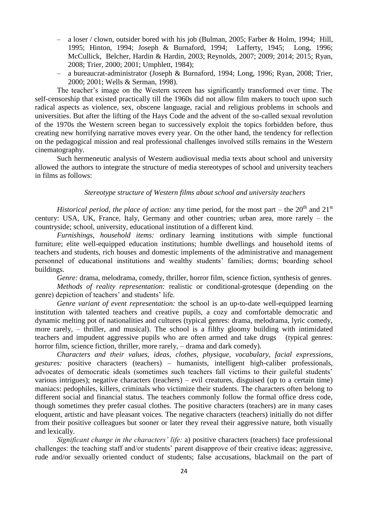- a loser / clown, outsider bored with his job (Bulman, 2005; Farber & Holm, 1994; Hill, 1995; Hinton, 1994; Joseph & Burnaford, 1994; Lafferty, 1945; Long, 1996; McCullick, Belcher, Hardin & Hardin, 2003; Reynolds, 2007; 2009; 2014; 2015; Ryan, 2008; Trier, 2000; 2001; Umphlett, 1984);
- a bureaucrat-administrator (Joseph & Burnaford, 1994; Long, 1996; Ryan, 2008; Trier, 2000; 2001; Wells & Serman, 1998).

The teacher's image on the Western screen has significantly transformed over time. The self-censorship that existed practically till the 1960s did not allow film makers to touch upon such radical aspects as violence, sex, obscene language, racial and religious problems in schools and universities. But after the lifting of the Hays Code and the advent of the so-called sexual revolution of the 1970s the Western screen began to successively exploit the topics forbidden before, thus creating new horrifying narrative moves every year. On the other hand, the tendency for reflection on the pedagogical mission and real professional challenges involved stills remains in the Western cinematography.

Such hermeneutic analysis of Western audiovisual media texts about school and university allowed the authors to integrate the structure of media stereotypes of school and university teachers in films as follows:

# *Stereotype structure of Western films about school and university teachers*

*Historical period, the place of action:* any time period, for the most part – the  $20<sup>th</sup>$  and  $21<sup>st</sup>$ century: USA, UK, France, Italy, Germany and other countries; urban area, more rarely – the countryside; school, university, educational institution of a different kind.

*Furnishings, household items:* ordinary learning institutions with simple functional furniture; elite well-equipped education institutions; humble dwellings and household items of teachers and students, rich houses and domestic implements of the administrative and management personnel of educational institutions and wealthy students' families; dorms; boarding school buildings.

*Genre:* drama, melodrama, comedy, thriller, horror film, science fiction, synthesis of genres.

*Methods of reality representation:* realistic or conditional-grotesque (depending on the genre) depiction of teachers' and students' life.

*Genre variant of event representation:* the school is an up-to-date well-equipped learning institution with talented teachers and creative pupils, a cozy and comfortable democratic and dynamic melting pot of nationalities and cultures (typical genres: drama, melodrama, lyric comedy, more rarely, – thriller, and musical). The school is a filthy gloomy building with intimidated teachers and impudent aggressive pupils who are often armed and take drugs (typical genres: horror film, science fiction, thriller, more rarely, – drama and dark comedy).

*Characters and their values, ideas, clothes, physique, vocabulary, facial expressions, gestures:* positive characters (teachers) – humanists, intelligent high-caliber professionals, advocates of democratic ideals (sometimes such teachers fall victims to their guileful students' various intrigues); negative characters (teachers) – evil creatures, disguised (up to a certain time) maniacs: pedophiles, killers, criminals who victimize their students. The characters often belong to different social and financial status. The teachers commonly follow the formal office dress code, though sometimes they prefer casual clothes. The positive characters (teachers) are in many cases eloquent, artistic and have pleasant voices. The negative characters (teachers) initially do not differ from their positive colleagues but sooner or later they reveal their aggressive nature, both visually and lexically.

*Significant change in the characters' life:* a) positive characters (teachers) face professional challenges: the teaching staff and/or students' parent disapprove of their creative ideas; aggressive, rude and/or sexually oriented conduct of students; false accusations, blackmail on the part of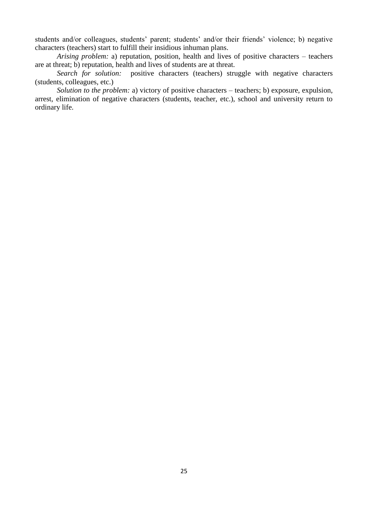students and/or colleagues, students' parent; students' and/or their friends' violence; b) negative characters (teachers) start to fulfill their insidious inhuman plans.

*Arising problem:* a) reputation, position, health and lives of positive characters – teachers are at threat; b) reputation, health and lives of students are at threat.

*Search for solution:* positive characters (teachers) struggle with negative characters (students, colleagues, etc.)

*Solution to the problem:* a) victory of positive characters – teachers; b) exposure, expulsion, arrest, elimination of negative characters (students, teacher, etc.), school and university return to ordinary life.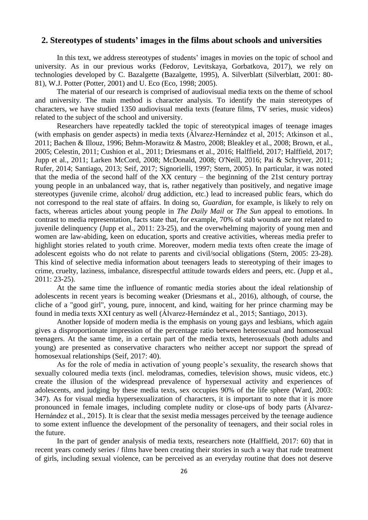# **2. Stereotypes of students' images in the films about schools and universities**

In this text, we address stereotypes of students' images in movies on the topic of school and university. As in our previous works (Fedorov, Levitskaya, Gorbatkova, 2017), we rely on technologies developed by C. Bazalgette (Bazalgette, 1995), A. Silverblatt (Silverblatt, 2001: 80- 81), W.J. Potter (Potter, 2001) and U. Eco (Eco, 1998; 2005).

The material of our research is comprised of audiovisual media texts on the theme of school and university. The main method is character analysis. To identify the main stereotypes of characters, we have studied 1350 audiovisual media texts (feature films, TV series, music videos) related to the subject of the school and university.

Researchers have repeatedly tackled the topic of stereotypical images of teenage images (with emphasis on gender aspects) in media texts (Álvarez-Hernández et al, 2015; Atkinson et al., 2011; Bachen & Illouz, 1996; Behm-Morawitz & Mastro, 2008; Bleakley et al., 2008; Brown, et al., 2005; Celestin, 2011; Cushion et al., 2011; Driesmans et al., 2016; Halffield, 2017; Halffield, 2017; Jupp et al., 2011; Larken McCord, 2008; McDonald, 2008; O'Neill, 2016; Pai & Schryver, 2011; Rufer, 2014; Santiago, 2013; Seif, 2017; Signorielli, 1997; Stern, 2005). In particular, it was noted that the media of the second half of the XX century – the beginning of the 21st century portray young people in an unbalanced way, that is, rather negatively than positively, and negative image stereotypes (juvenile crime, alcohol/ drug addiction, etc.) lead to increased public fears, which do not correspond to the real state of affairs. In doing so, *Guardian*, for example, is likely to rely on facts, whereas articles about young people in *The Daily Mail* or *The Sun* appeal to emotions. In contrast to media representation, facts state that, for example, 70% of stab wounds are not related to juvenile delinquency (Jupp et al., 2011: 23-25), and the overwhelming majority of young men and women are law-abiding, keen on education, sports and creative activities, whereas media prefer to highlight stories related to youth crime. Moreover, modern media texts often create the image of adolescent egoists who do not relate to parents and civil/social obligations (Stern, 2005: 23-28). This kind of selective media information about teenagers leads to stereotyping of their images to crime, cruelty, laziness, imbalance, disrespectful attitude towards elders and peers, etc. (Jupp et al., 2011: 23-25).

At the same time the influence of romantic media stories about the ideal relationship of adolescents in recent years is becoming weaker (Driesmans et al., 2016), although, of course, the cliche of a "good girl", young, pure, innocent, and kind, waiting for her prince charming may be found in media texts XXI century as well (Álvarez-Hernández et al., 2015; Santiago, 2013).

Another lopside of modern media is the emphasis on young gays and lesbians, which again gives a disproportionate impression of the percentage ratio between heterosexual and homosexual teenagers. At the same time, in a certain part of the media texts, heterosexuals (both adults and young) are presented as conservative characters who neither accept nor support the spread of homosexual relationships (Seif, 2017: 40).

As for the role of media in activation of young people's sexuality, the research shows that sexually coloured media texts (incl. melodramas, comedies, television shows, music videos, etc.) create the illusion of the widespread prevalence of hypersexual activity and experiences of adolescents, and judging by these media texts, sex occupies 90% of the life sphere (Ward, 2003: 347). As for visual media hypersexualization of characters, it is important to note that it is more pronounced in female images, including complete nudity or close-ups of body parts (Álvarez-Hernández et al., 2015). It is clear that the sexist media messages perceived by the teenage audience to some extent influence the development of the personality of teenagers, and their social roles in the future.

In the part of gender analysis of media texts, researchers note (Halffield, 2017: 60) that in recent years comedy series / films have been creating their stories in such a way that rude treatment of girls, including sexual violence, can be perceived as an everyday routine that does not deserve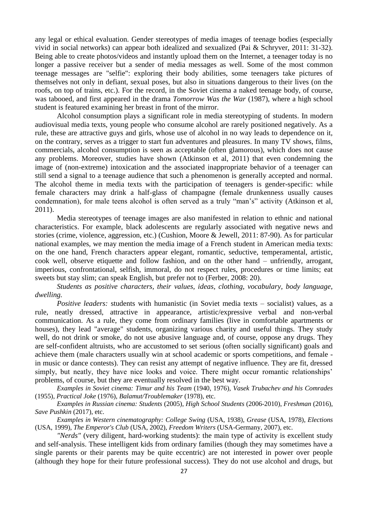any legal or ethical evaluation. Gender stereotypes of media images of teenage bodies (especially vivid in social networks) can appear both idealized and sexualized (Pai & Schryver, 2011: 31-32). Being able to create photos/videos and instantly upload them on the Internet, a teenager today is no longer a passive receiver but a sender of media messages as well. Some of the most common teenage messages are "selfie": exploring their body abilities, some teenagers take pictures of themselves not only in defiant, sexual poses, but also in situations dangerous to their lives (on the roofs, on top of trains, etc.). For the record, in the Soviet cinema a naked teenage body, of course, was tabooed, and first appeared in the drama *Tomorrow Was the War* (1987), where a high school student is featured examining her breast in front of the mirror.

Alcohol consumption plays a significant role in media stereotyping of students. In modern audiovisual media texts, young people who consume alcohol are rarely positioned negatively. As a rule, these are attractive guys and girls, whose use of alcohol in no way leads to dependence on it, on the contrary, serves as a trigger to start fun adventures and pleasures. In many TV shows, films, commercials, alcohol consumption is seen as acceptable (often glamorous), which does not cause any problems. Moreover, studies have shown (Atkinson et al, 2011) that even condemning the image of (non-extreme) intoxication and the associated inappropriate behavior of a teenager can still send a signal to a teenage audience that such a phenomenon is generally accepted and normal. The alcohol theme in media texts with the participation of teenagers is gender-specific: while female characters may drink a half-glass of champagne (female drunkenness usually causes condemnation), for male teens alcohol is often served as a truly "man's" activity (Atkinson et al, 2011).

Media stereotypes of teenage images are also manifested in relation to ethnic and national characteristics. For example, black adolescents are regularly associated with negative news and stories (crime, violence, aggression, etc.) (Cushion, Moore & Jewell, 2011: 87-90). As for particular national examples, we may mention the media image of a French student in American media texts: on the one hand, French characters appear elegant, romantic, seductive, temperamental, artistic, cook well, observe etiquette and follow fashion, and on the other hand – unfriendly, arrogant, imperious, confrontational, selfish, immoral, do not respect rules, procedures or time limits; eat sweets but stay slim; can speak English, but prefer not to (Ferber, 2008: 20).

*Students as positive characters, their values, ideas, clothing, vocabulary, body language, dwelling.*

*Positive leaders:* students with humanistic (in Soviet media texts – socialist) values, as a rule, neatly dressed, attractive in appearance, artistic/expressive verbal and non-verbal communication. As a rule, they come from ordinary families (live in comfortable apartments or houses), they lead "average" students, organizing various charity and useful things. They study well, do not drink or smoke, do not use abusive language and, of course, oppose any drugs. They are self-confident altruists, who are accustomed to set serious (often socially significant) goals and achieve them (male characters usually win at school academic or sports competitions, and female in music or dance contests). They can resist any attempt of negative influence. They are fit, dressed simply, but neatly, they have nice looks and voice. There might occur romantic relationships' problems, of course, but they are eventually resolved in the best way.

*Examples in Soviet cinema: Timur and his Team* (1940, 1976), *Vasek Trubachev and his Comrades* (1955), *Practical Joke* (1976), *Balamut/Troublemaker* (1978), etc.

*Examples in Russian cinema: Students* (2005), *High School Students* (2006-2010), *Freshman* (2016), *Save Pushkin* (2017), etc.

*Examples in Western cinematography: College Swing* (USA, 1938), *Grease* (USA, 1978), *Elections* (USA, 1999), *The Emperor's Club* (USA, 2002), *Freedom Writers* (USA-Germany, 2007), etc.

*"Nerds"* (very diligent, hard-working students): the main type of activity is excellent study and self-analysis. These intelligent kids from ordinary families (though they may sometimes have a single parents or their parents may be quite eccentric) are not interested in power over people (although they hope for their future professional success). They do not use alcohol and drugs, but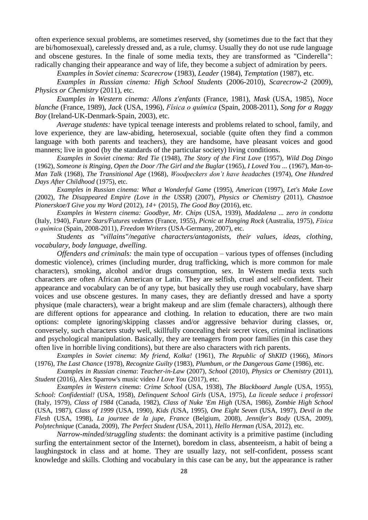often experience sexual problems, are sometimes reserved, shy (sometimes due to the fact that they are bi/homosexual), carelessly dressed and, as a rule, clumsy. Usually they do not use rude language and obscene gestures. In the finale of some media texts, they are transformed as "Cinderella": radically changing their appearance and way of life, they become a subject of admiration by peers.

*Examples in Soviet cinema: Scarecrow* (1983), *Leader* (1984), *Temptation* (1987), etc.

*Examples in Russian cinema: High School Students* (2006-2010), *Scarecrow-2* (2009), *Physics or Chemistry* (2011), etc.

*Examples in Western cinema: Allons z'enfants* (France, 1981), *Mask* (USA, 1985), *Noce blanche* (France, 1989), *Jack* (USA, 1996), *Física o química* (Spain, 2008-2011), *Song for a Raggy Boy* (Ireland-UK-Denmark-Spain, 2003), etc.

*Average students:* have typical teenage interests and problems related to school, family, and love experience, they are law-abiding, heterosexual, sociable (quite often they find a common language with both parents and teachers), they are handsome, have pleasant voices and good manners; live in good (by the standards of the particular society) living conditions.

*Examples in Soviet cinema: Red Tie* (1948), *The Story of the First Love* (1957), *Wild Dog Dingo* (1962), *Someone is Ringing, Open the Door /The Girl and the Buglar* (1965), *I Loved You ...* (1967), *Man-to-Man Talk* (1968), *The Transitional Age* (1968), *Woodpeckers don't have headaches* (1974), *One Hundred Days After Childhood* (1975), etc.

*Examples in Russian cinema: What a Wonderful Game* (1995), *American* (1997), *Let's Make Love* (2002), *The Disappeared Empire (Love in the USSR*) (2007), *Physics or Chemistry* (2011), *Chastnoe Pionerskoe/I Give you my Word* (2012), *14+* (2015), *The Good Boy* (2016), etc.

*Examples in Western cinema: Goodbye, Mr. Chips* (USA, 1939), *Maddalena ... zero in condotta* (Italy, 1940), *Future Stars/Futures vedettes* (France, 1955), *Picnic at Hanging Rock* (Australia, 1975), *Física o química* (Spain, 2008-2011), *Freedom Writers* (USA-Germany, 2007), etc.

*Students as "villains"/negative characters/antagonists, their values, ideas, clothing, vocabulary, body language, dwelling.*

*Offenders and criminals:* the main type of occupation – various types of offenses (including domestic violence), crimes (including murder, drug trafficking, which is more common for male characters), smoking, alcohol and/or drugs consumption, sex. In Western media texts such characters are often African American or Latin. They are selfish, cruel and self-confident. Their appearance and vocabulary can be of any type, but basically they use rough vocabulary, have sharp voices and use obscene gestures. In many cases, they are defiantly dressed and have a sporty physique (male characters), wear a bright makeup and are slim (female characters), although there are different options for appearance and clothing. In relation to education, there are two main options: complete ignoring/skipping classes and/or aggressive behavior during classes, or, conversely, such characters study well, skillfully concealing their secret vices, criminal inclinations and psychological manipulation. Basically, they are teenagers from poor families (in this case they often live in horrible living conditions), but there are also characters with rich parents.

*Examples in Soviet cinema*: *My friend, Kolka!* (1961), *The Republic of ShKID* (1966), *Minors* (1976), *The Last Chance* (1978), *Recognize Guilty* (1983), *Plumbum, or the Dangerous Game* (1986), etc.

*Examples in Russian cinema*: *Teacher-in-Law* (2007), *School* (2010), *Physics or Chemistry* (2011), *Student* (2016), Alex Sparrow's music video *I Love You* (2017), etc.

*Examples in Western cinema*: *Crime School* (USA, 1938), *The Blackboard Jungle* (USA, 1955), *School: Confidential!* (USA, 1958), *Delinquent School Girls* (USA, 1975), *La liceale seduce i professori* (Italy, 1979), *Class of 1984* (Canada, 1982), *Class of Nuke 'Em High* (USA, 1986), *Zombie High School*  (USA, 1987), *Class of 1999* (USA, 1990), *Kids (*USA, 1995), *One Eight Seven* (USA, 1997), *Devil in the Flesh* (USA, 1998), *La journee de la jupe, France* (Belgium, 2008), *Jennifer's Body* (USA, 2009), *Polytechnique* (Canada, 2009), *The Perfect Student (*USA, 2011), *Hello Herman (*USA, 2012), etc.

*Narrow-minded/struggling students*: the dominant activity is a primitive pastime (including surfing the entertainment sector of the Internet), boredom in class, absenteeism, a habit of being a laughingstock in class and at home. They are usually lazy, not self-confident, possess scant knowledge and skills. Clothing and vocabulary in this case can be any, but the appearance is rather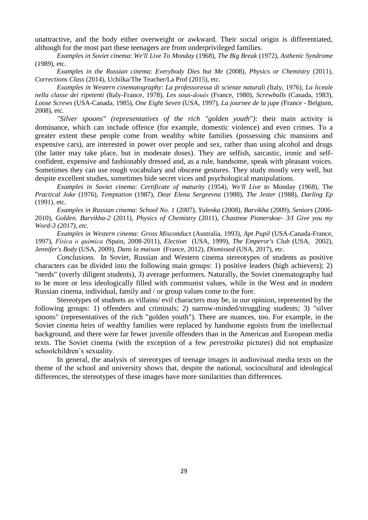unattractive, and the body either overweight or awkward. Their social origin is differentiated, although for the most part these teenagers are from underprivileged families.

*Examples in Soviet cinema*: *We'll Live To Monday* (1968), *The Big Break* (1972), *Asthenic Syndrome*  (1989), etc.

*Examples in the Russian cinema*: *Everybody Dies but Me* (2008), *Physics or Chemistry* (2011), *Corrections Class* (2014), Uchilka/The Teacher/La Prof (2015), etc.

*Examples in Western cinematography*: *La professoressa di scienze naturali (*Italy, 1976), *La liceale nella classe dei ripetenti* (Italy-France, 1978), *Les sous-doués* (France, 1980), *Screwballs* (Canada, 1983), *Loose Screws* (USA-Canada, 1985), *One Eight Seven* (USA, 1997), *La journee de la jupe (*France - Belgium, 2008), etc.

*"Silver spoons" (representatives of the rich "golden youth")*: their main activity is dominance, which can include offence (for example, domestic violence) and even crimes. To a greater extent these people come from wealthy white families (possessing chic mansions and expensive cars), are interested in power over people and sex, rather than using alcohol and drugs (the latter may take place, but in moderate doses). They are selfish, sarcastic, ironic and selfconfident, expensive and fashionably dressed and, as a rule, handsome, speak with pleasant voices. Sometimes they can use rough vocabulary and obscene gestures. They study mostly very well, but despite excellent studies, sometimes hide secret vices and psychological manipulations.

*Examples in Soviet cinema*: *Certificate of maturity* (1954), *We'll Live to* Monday (1968), The *Practical Joke* (1976), *Temptation* (1987), *Dear Elena Sergeevna* (1988), *The Jester* (1988), *Darling Ep* (1991), etc.

*Examples in Russian cinema*: *School No. 1* (2007), *Yulenka* (2008), *Barvikha* (2009), *Seniors* (2006- 2010), *Golden. Barvikha-2* (2011), *Physics of Chemistry* (2011), *Chastnoe Pionerskoe- 3/I Give you my Word-3 (2017), etc.*

*Examples in Western cinema: Gross Misconduct* (Australia, 1993), *Apt Pupil* (USA-Canada-France, 1997), *Física o química (*Spain, 2008-2011), *Election* (USA, 1999), *The Emperor's Club* (USA, 2002), *Jennifer's Body* (USA, 2009), *Dans la maison* (France, 2012), *Dismissed* (USA, 2017), etc.

*Conclusions.* In Soviet, Russian and Western cinema stereotypes of students as positive characters can be divided into the following main groups: 1) positive leaders (high achievers); 2) "nerds" (overly diligent students), 3) average performers. Naturally, the Soviet cinematography had to be more or less ideologically filled with communist values, while in the West and in modern Russian cinema, individual, family and / or group values come to the fore.

Stereotypes of studnets as villains/ evil characters may be, in our opinion, represented by the following groups: 1) offenders and criminals; 2) narrow-minded/struggling students; 3) "silver spoons" (representatives of the rich "golden youth"). There are nuances, too. For example, in the Soviet cinema heirs of wealthy families were replaced by handsome egoists from the intellectual background, and there were far fewer juvenile offenders than in the American and European media texts. The Soviet cinema (with the exception of a few *perestroika* pictures) did not emphasize schoolchildren's sexuality.

In general, the analysis of stereotypes of teenage images in audiovisual media texts on the theme of the school and university shows that, despite the national, sociocultural and ideological differences, the stereotypes of these images have more similarities than differences.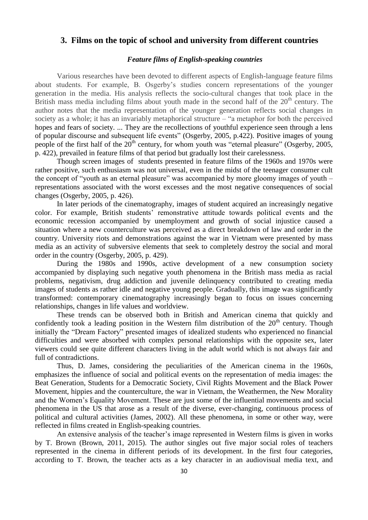# **3. Films on the topic of school and university from different countries**

# *Feature films of English-speaking countries*

Various researches have been devoted to different aspects of English-language feature films about students. For example, B. Osgerby's studies concern representations of the younger generation in the media. His analysis reflects the socio-cultural changes that took place in the British mass media including films about youth made in the second half of the  $20<sup>th</sup>$  century. The author notes that the media representation of the younger generation reflects social changes in society as a whole; it has an invariably metaphorical structure – "a metaphor for both the perceived hopes and fears of society. ... They are the recollections of youthful experience seen through a lens of popular discourse and subsequent life events" (Osgerby, 2005, p.422). Positive images of young people of the first half of the  $20^{th}$  century, for whom youth was "eternal pleasure" (Osgerby, 2005, p. 422), prevailed in feature films of that period but gradually lost their carelessness.

Though screen images of students presented in feature films of the 1960s and 1970s were rather positive, such enthusiasm was not universal, even in the midst of the teenager consumer cult the concept of "youth as an eternal pleasure" was accompanied by more gloomy images of youth – representations associated with the worst excesses and the most negative consequences of social changes (Osgerby, 2005, p. 426).

In later periods of the cinematography, images of student acquired an increasingly negative color. For example, British students' remonstrative attitude towards political events and the economic recession accompanied by unemployment and growth of social injustice caused a situation where a new counterculture was perceived as a direct breakdown of law and order in the country. University riots and demonstrations against the war in Vietnam were presented by mass media as an activity of subversive elements that seek to completely destroy the social and moral order in the country (Osgerby, 2005, p. 429).

During the 1980s and 1990s, active development of a new consumption society accompanied by displaying such negative youth phenomena in the British mass media as racial problems, negativism, drug addiction and juvenile delinquency contributed to creating media images of students as rather idle and negative young people. Gradually, this image was significantly transformed: contemporary cinematography increasingly began to focus on issues concerning relationships, changes in life values and worldview.

These trends can be observed both in British and American cinema that quickly and confidently took a leading position in the Western film distribution of the 20<sup>th</sup> century. Though initially the "Dream Factory" presented images of idealized students who experienced no financial difficulties and were absorbed with complex personal relationships with the opposite sex, later viewers could see quite different characters living in the adult world which is not always fair and full of contradictions.

Thus, D. James, considering the peculiarities of the American cinema in the 1960s, emphasizes the influence of social and political events on the representation of media images: the Beat Generation, Students for a Democratic Society, Civil Rights Movement and the Black Power Movement, hippies and the counterculture, the war in Vietnam, the Weathermen, the New Morality and the Women's Equality Movement. These are just some of the influential movements and social phenomena in the US that arose as a result of the diverse, ever-changing, continuous process of political and cultural activities (James, 2002). All these phenomena, in some or other way, were reflected in films created in English-speaking countries.

An extensive analysis of the teacher's image represented in Western films is given in works by T. Brown (Brown, 2011, 2015). The author singles out five major social roles of teachers represented in the cinema in different periods of its development. In the first four categories, according to T. Brown, the teacher acts as a key character in an audiovisual media text, and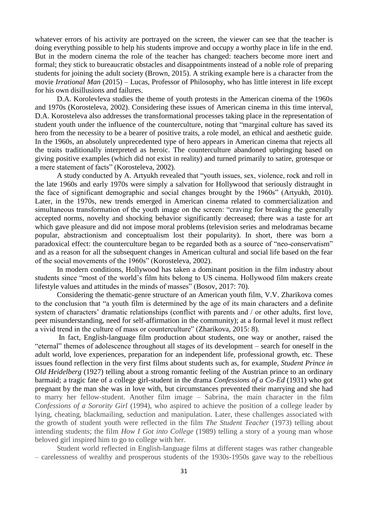whatever errors of his activity are portrayed on the screen, the viewer can see that the teacher is doing everything possible to help his students improve and occupy a worthy place in life in the end. But in the modern cinema the role of the teacher has changed: teachers become more inert and formal; they stick to bureaucratic obstacles and disappointments instead of a noble role of preparing students for joining the adult society (Brown, 2015). A striking example here is a character from the movie *Irrational Man* (2015) – Lucas, Professor of Philosophy, who has little interest in life except for his own disillusions and failures.

D.A. Korolevleva studies the theme of youth protests in the American cinema of the 1960s and 1970s (Korosteleva, 2002). Considering these issues of American cinema in this time interval, D.A. Korosteleva also addresses the transformational processes taking place in the representation of student youth under the influence of the counterculture, noting that "marginal culture has saved its hero from the necessity to be a bearer of positive traits, a role model, an ethical and aesthetic guide. In the 1960s, an absolutely unprecedented type of hero appears in American cinema that rejects all the traits traditionally interpreted as heroic. The counterculture abandoned upbringing based on giving positive examples (which did not exist in reality) and turned primarily to satire, grotesque or a mere statement of facts" (Korosteleva, 2002).

A study conducted by A. Artyukh revealed that "youth issues, sex, violence, rock and roll in the late 1960s and early 1970s were simply a salvation for Hollywood that seriously distraught in the face of significant demographic and social changes brought by the 1960s" (Artyukh, 2010). Later, in the 1970s, new trends emerged in American cinema related to commercialization and simultaneous transformation of the youth image on the screen: "craving for breaking the generally accepted norms, novelty and shocking behavior significantly decreased; there was a taste for art which gave pleasure and did not impose moral problems (television series and melodramas became popular, abstractionism and conceptualism lost their popularity). In short, there was born a paradoxical effect: the counterculture began to be regarded both as a source of "neo-conservatism" and as a reason for all the subsequent changes in American cultural and social life based on the fear of the social movements of the 1960s" (Korosteleva, 2002).

In modern conditions, Hollywood has taken a dominant position in the film industry about students since "most of the world's film hits belong to US cinema. Hollywood film makers create lifestyle values and attitudes in the minds of masses" (Bosov, 2017: 70).

Considering the thematic-genre structure of an American youth film, V.V. Zharikova comes to the conclusion that "a youth film is determined by the age of its main characters and a definite system of characters' dramatic relationships (conflict with parents and / or other adults, first love, peer misunderstanding, need for self-affirmation in the community); at a formal level it must reflect a vivid trend in the culture of mass or counterculture" (Zharikova, 2015: 8).

In fact, English-language film production about students, one way or another, raised the "eternal" themes of adolescence throughout all stages of its development – search for oneself in the adult world, love experiences, preparation for an independent life, professional growth, etc. These issues found reflection in the very first films about students such as, for example, *Student Prince in Old Heidelberg* (1927) telling about a strong romantic feeling of the Austrian prince to an ordinary barmaid; a tragic fate of a college girl-student in the drama *Confessions of a Co-Ed* (1931) who got pregnant by the man she was in love with, but circumstances prevented their marrying and she had to marry her fellow-student. Another film image – Sabrina, the main character in the film *Confessions of a Sorority Girl* (1994), who aspired to achieve the position of a college leader by lying, cheating, blackmailing, seduction and manipulation. Later, these challenges associated with the growth of student youth were reflected in the film *The Student Teacher* (1973) telling about intending students; the film *How I Got into College* (1989) telling a story of a young man whose beloved girl inspired him to go to college with her.

Student world reflected in English-language films at different stages was rather changeable – carelessness of wealthy and prosperous students of the 1930s-1950s gave way to the rebellious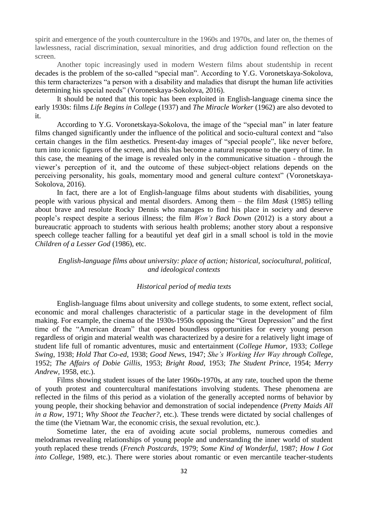spirit and emergence of the youth counterculture in the 1960s and 1970s, and later on, the themes of lawlessness, racial discrimination, sexual minorities, and drug addiction found reflection on the screen.

Another topic increasingly used in modern Western films about studentship in recent decades is the problem of the so-called "special man". According to Y.G. Voronetskaya-Sokolova, this term characterizes "a person with a disability and maladies that disrupt the human life activities determining his special needs" (Voronetskaya-Sokolova, 2016).

It should be noted that this topic has been exploited in English-language cinema since the early 1930s: films *Life Begins in College* (1937) and *The Miracle Worker* (1962) are also devoted to it.

According to Y.G. Voronetskaya-Sokolova, the image of the "special man" in later feature films changed significantly under the influence of the political and socio-cultural context and "also certain changes in the film aesthetics. Present-day images of "special people", like never before, turn into iconic figures of the screen, and this has become a natural response to the query of time. In this case, the meaning of the image is revealed only in the communicative situation - through the viewer's perception of it, and the outcome of these subject-object relations depends on the perceiving personality, his goals, momentary mood and general culture context" (Voronetskaya-Sokolova, 2016).

In fact, there are a lot of English-language films about students with disabilities, young people with various physical and mental disorders. Among them – the film *Mask* (1985) telling about brave and resolute Rocky Dennis who manages to find his place in society and deserve people's respect despite a serious illness; the film *Won't Back Down* (2012) is a story about a bureaucratic approach to students with serious health problems; another story about a responsive speech college teacher falling for a beautiful yet deaf girl in a small school is told in the movie *Children of a Lesser God* (1986), etc.

# *English-language films about university: place of action; historical, sociocultural, political, and ideological contexts*

#### *Historical period of media texts*

English-language films about university and college students, to some extent, reflect social, economic and moral challenges characteristic of a particular stage in the development of film making. For example, the cinema of the 1930s-1950s opposing the "Great Depression" and the first time of the "American dream" that opened boundless opportunities for every young person regardless of origin and material wealth was characterized by a desire for a relatively light image of student life full of romantic adventures, music and entertainment (*College Humor*, 1933; *College Swing*, 1938; *Hold That Co-ed*, 1938; *Good News*, 1947; *She's Working Her Way through College*, 1952; *The Affairs of Dobie Gillis*, 1953; *Bright Road*, 1953; *The Student Prince*, 1954; *Merry Andrew*, 1958, etc.).

Films showing student issues of the later 1960s-1970s, at any rate, touched upon the theme of youth protest and countercultural manifestations involving students. These phenomena are reflected in the films of this period as a violation of the generally accepted norms of behavior by young people, their shocking behavior and demonstration of social independence (*Pretty Maids All in a Row*, 1971; *Why Shoot the Teacher?*, etc.). These trends were dictated by social challenges of the time (the Vietnam War, the economic crisis, the sexual revolution, etc.).

Sometime later, the era of avoiding acute social problems, numerous comedies and melodramas revealing relationships of young people and understanding the inner world of student youth replaced these trends (*French Postcards*, 1979; *Some Kind of Wonderful*, 1987; *How I Got into College*, 1989, etc.). There were stories about romantic or even mercantile teacher-students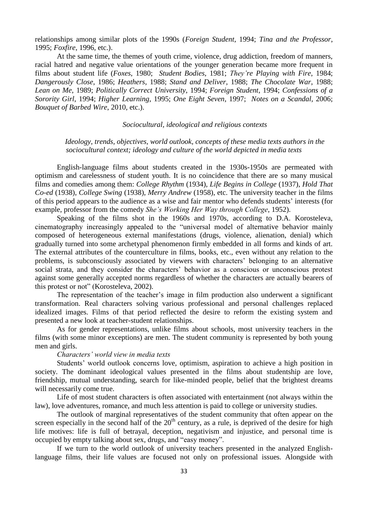relationships among similar plots of the 1990s (*Foreign Student*, 1994; *Tina and the Professor*, 1995; *Foxfire*, 1996, etc.).

At the same time, the themes of youth crime, violence, drug addiction, freedom of manners, racial hatred and negative value orientations of the younger generation became more frequent in films about student life (*Foxes*, 1980; *Student Bodies*, 1981; *They're Playing with Fire*, 1984; *Dangerously Close*, 1986; *Heathers*, 1988; *Stand and Deliver*, 1988; *The Chocolate War*, 1988; *Lean on Me*, 1989; *Politically Correct University*, 1994; *Foreign Student*, 1994; *Confessions of a Sorority Girl*, 1994; *Higher Learning*, 1995; *One Eight Seven*, 1997; *Notes on a Scandal*, 2006; *Bouquet of Barbed Wire*, 2010, etc.).

#### *Sociocultural, ideological and religious contexts*

*Ideology, trends, objectives, world outlook, concepts of these media texts authors in the sociocultural context; ideology and culture of the world depicted in media texts*

English-language films about students created in the 1930s-1950s are permeated with optimism and carelessness of student youth. It is no coincidence that there are so many musical films and comedies among them: *College Rhythm* (1934), *Life Begins in College* (1937), *Hold That Co-ed* (1938), *College Swing* (1938), *Merry Andrew* (1958), etc. The university teacher in the films of this period appears to the audience as a wise and fair mentor who defends students' interests (for example, professor from the comedy *She's Working Her Way through College*, 1952).

Speaking of the films shot in the 1960s and 1970s, according to D.A. Korosteleva, cinematography increasingly appealed to the "universal model of alternative behavior mainly composed of heterogeneous external manifestations (drugs, violence, alienation, denial) which gradually turned into some archetypal phenomenon firmly embedded in all forms and kinds of art. The external attributes of the counterculture in films, books, etc., even without any relation to the problems, is subconsciously associated by viewers with characters' belonging to an alternative social strata, and they consider the characters' behavior as a conscious or unconscious protest against some generally accepted norms regardless of whether the characters are actually bearers of this protest or not" (Korosteleva, 2002).

The representation of the teacher's image in film production also underwent a significant transformation. Real characters solving various professional and personal challenges replaced idealized images. Films of that period reflected the desire to reform the existing system and presented a new look at teacher-student relationships.

As for gender representations, unlike films about schools, most university teachers in the films (with some minor exceptions) are men. The student community is represented by both young men and girls.

# *Characters' world view in media texts*

Students' world outlook concerns love, optimism, aspiration to achieve a high position in society. The dominant ideological values presented in the films about studentship are love, friendship, mutual understanding, search for like-minded people, belief that the brightest dreams will necessarily come true.

Life of most student characters is often associated with entertainment (not always within the law), love adventures, romance, and much less attention is paid to college or university studies.

The outlook of marginal representatives of the student community that often appear on the screen especially in the second half of the  $20<sup>th</sup>$  century, as a rule, is deprived of the desire for high life motives: life is full of betrayal, deception, negativism and injustice, and personal time is occupied by empty talking about sex, drugs, and "easy money".

If we turn to the world outlook of university teachers presented in the analyzed Englishlanguage films, their life values are focused not only on professional issues. Alongside with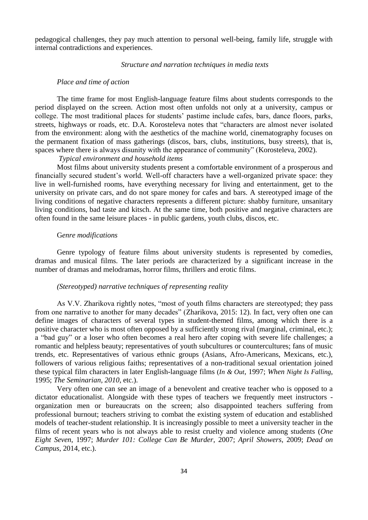pedagogical challenges, they pay much attention to personal well-being, family life, struggle with internal contradictions and experiences.

### *Structure and narration techniques in media texts*

### *Place and time of action*

The time frame for most English-language feature films about students corresponds to the period displayed on the screen. Action most often unfolds not only at a university, campus or college. The most traditional places for students' pastime include cafes, bars, dance floors, parks, streets, highways or roads, etc. D.A. Korosteleva notes that "characters are almost never isolated from the environment: along with the aesthetics of the machine world, cinematography focuses on the permanent fixation of mass gatherings (discos, bars, clubs, institutions, busy streets), that is, spaces where there is always disunity with the appearance of community" (Korosteleva, 2002).

# *Typical environment and household items*

Most films about university students present a comfortable environment of a prosperous and financially secured student's world. Well-off characters have a well-organized private space: they live in well-furnished rooms, have everything necessary for living and entertainment, get to the university on private cars, and do not spare money for cafes and bars. A stereotyped image of the living conditions of negative characters represents a different picture: shabby furniture, unsanitary living conditions, bad taste and kitsch. At the same time, both positive and negative characters are often found in the same leisure places - in public gardens, youth clubs, discos, etc.

#### G*enre modifications*

Genre typology of feature films about university students is represented by comedies, dramas and musical films. The later periods are characterized by a significant increase in the number of dramas and melodramas, horror films, thrillers and erotic films.

#### *(Stereotyped) narrative techniques of representing reality*

As V.V. Zharikova rightly notes, "most of youth films characters are stereotyped; they pass from one narrative to another for many decades" (Zharikova, 2015: 12). In fact, very often one can define images of characters of several types in student-themed films, among which there is a positive character who is most often opposed by a sufficiently strong rival (marginal, criminal, etc.); a "bad guy" or a loser who often becomes a real hero after coping with severe life challenges; a romantic and helpless beauty; representatives of youth subcultures or countercultures; fans of music trends, etc. Representatives of various ethnic groups (Asians, Afro-Americans, Mexicans, etc.), followers of various religious faiths; representatives of a non-traditional sexual orientation joined these typical film characters in later English-language films (*In & Out*, 1997; *When Night Is Falling*, 1995; *The Seminarian, 2010*, etc.).

Very often one can see an image of a benevolent and creative teacher who is opposed to a dictator educationalist. Alongside with these types of teachers we frequently meet instructors organization men or bureaucrats on the screen; also disappointed teachers suffering from professional burnout; teachers striving to combat the existing system of education and established models of teacher-student relationship. It is increasingly possible to meet a university teacher in the films of recent years who is not always able to resist cruelty and violence among students (*One Eight Seven*, 1997; *Murder 101: College Can Be Murder*, 2007; *April Showers*, 2009; *Dead on Campus*, 2014, etc.).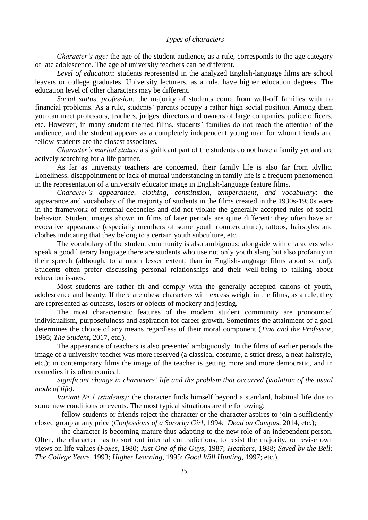## *Types of characters*

*Character's age:* the age of the student audience, as a rule, corresponds to the age category of late adolescence. The age of university teachers can be different.

*Level of education*: students represented in the analyzed English-language films are school leavers or college graduates. University lecturers, as a rule, have higher education degrees. The education level of other characters may be different.

*Social status, profession:* the majority of students come from well-off families with no financial problems. As a rule, students' parents occupy a rather high social position. Among them you can meet professors, teachers, judges, directors and owners of large companies, police officers, etc. However, in many student-themed films, students' families do not reach the attention of the audience, and the student appears as a completely independent young man for whom friends and fellow-students are the closest associates.

*Character's marital status:* a significant part of the students do not have a family yet and are actively searching for a life partner.

As far as university teachers are concerned, their family life is also far from idyllic. Loneliness, disappointment or lack of mutual understanding in family life is a frequent phenomenon in the representation of a university educator image in English-language feature films.

*Character's appearance, clothing, constitution, temperament, and vocabulary*: the appearance and vocabulary of the majority of students in the films created in the 1930s-1950s were in the framework of external decencies and did not violate the generally accepted rules of social behavior. Student images shown in films of later periods are quite different: they often have an evocative appearance (especially members of some youth counterculture), tattoos, hairstyles and clothes indicating that they belong to a certain youth subculture, etc.

The vocabulary of the student community is also ambiguous: alongside with characters who speak a good literary language there are students who use not only youth slang but also profanity in their speech (although, to a much lesser extent, than in English-language films about school). Students often prefer discussing personal relationships and their well-being to talking about education issues.

Most students are rather fit and comply with the generally accepted canons of youth, adolescence and beauty. If there are obese characters with excess weight in the films, as a rule, they are represented as outcasts, losers or objects of mockery and jesting.

The most characteristic features of the modern student community are pronounced individualism, purposefulness and aspiration for career growth. Sometimes the attainment of a goal determines the choice of any means regardless of their moral component (*Tina and the Professor*, 1995; *The Student*, 2017, etc.).

The appearance of teachers is also presented ambiguously. In the films of earlier periods the image of a university teacher was more reserved (a classical costume, a strict dress, a neat hairstyle, etc.); in contemporary films the image of the teacher is getting more and more democratic, and in comedies it is often comical.

*Significant change in characters' life and the problem that occurred (violation of the usual mode of life):*

*Variant № 1 (students):* the character finds himself beyond a standard, habitual life due to some new conditions or events. The most typical situations are the following:

- fellow-students or friends reject the character or the character aspires to join a sufficiently closed group at any price (*Confessions of a Sorority Girl*, 1994; *Dead on Campus*, 2014, etc.);

- the character is becoming mature thus adapting to the new role of an independent person. Often, the character has to sort out internal contradictions, to resist the majority, or revise own views on life values (*Foxes*, 1980; *Just One of the Guys*, 1987; *Heathers*, 1988; *Saved by the Bell: The College Years*, 1993; *Higher Learning*, 1995; *Good Will Hunting*, 1997; etc.).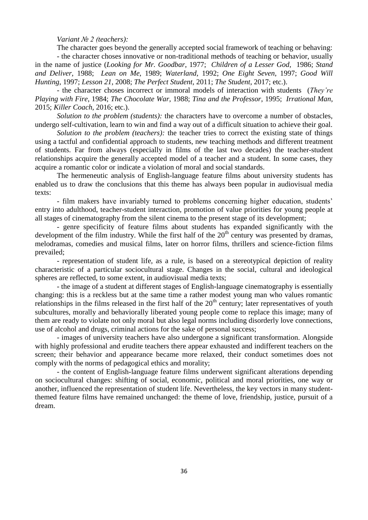#### *Variant № 2 (teachers):*

The character goes beyond the generally accepted social framework of teaching or behaving:

- the character choses innovative or non-traditional methods of teaching or behavior, usually in the name of justice (*Looking for Mr. Goodbar*, 1977; *Children of a Lesser God*, 1986; *Stand and Deliver*, 1988; *Lean on Me*, 1989; *Waterland*, 1992; *One Eight Seven*, 1997; *Good Will Hunting*, 1997; *Lesson 21*, 2008; *The Perfect Student*, 2011; *The Student*, 2017; etc.).

- the character choses incorrect or immoral models of interaction with students (*They're Playing with Fire*, 1984; *The Chocolate War*, 1988; *Tina and the Professor*, 1995; *Irrational Man*, 2015; *Killer Coach*, 2016; etc.).

*Solution to the problem (students):* the characters have to overcome a number of obstacles, undergo self-cultivation, learn to win and find a way out of a difficult situation to achieve their goal.

*Solution to the problem (teachers):* the teacher tries to correct the existing state of things using a tactful and confidential approach to students, new teaching methods and different treatment of students. Far from always (especially in films of the last two decades) the teacher-student relationships acquire the generally accepted model of a teacher and a student. In some cases, they acquire a romantic color or indicate a violation of moral and social standards.

The hermeneutic analysis of English-language feature films about university students has enabled us to draw the conclusions that this theme has always been popular in audiovisual media texts:

- film makers have invariably turned to problems concerning higher education, students' entry into adulthood, teacher-student interaction, promotion of value priorities for young people at all stages of cinematography from the silent cinema to the present stage of its development;

- genre specificity of feature films about students has expanded significantly with the development of the film industry. While the first half of the  $20<sup>th</sup>$  century was presented by dramas, melodramas, comedies and musical films, later on horror films, thrillers and science-fiction films prevailed;

- representation of student life, as a rule, is based on a stereotypical depiction of reality characteristic of a particular sociocultural stage. Changes in the social, cultural and ideological spheres are reflected, to some extent, in audiovisual media texts;

- the image of a student at different stages of English-language cinematography is essentially changing: this is a reckless but at the same time a rather modest young man who values romantic relationships in the films released in the first half of the  $20<sup>th</sup>$  century; later representatives of youth subcultures, morally and behaviorally liberated young people come to replace this image; many of them are ready to violate not only moral but also legal norms including disorderly love connections, use of alcohol and drugs, criminal actions for the sake of personal success;

- images of university teachers have also undergone a significant transformation. Alongside with highly professional and erudite teachers there appear exhausted and indifferent teachers on the screen; their behavior and appearance became more relaxed, their conduct sometimes does not comply with the norms of pedagogical ethics and morality;

- the content of English-language feature films underwent significant alterations depending on sociocultural changes: shifting of social, economic, political and moral priorities, one way or another, influenced the representation of student life. Nevertheless, the key vectors in many studentthemed feature films have remained unchanged: the theme of love, friendship, justice, pursuit of a dream.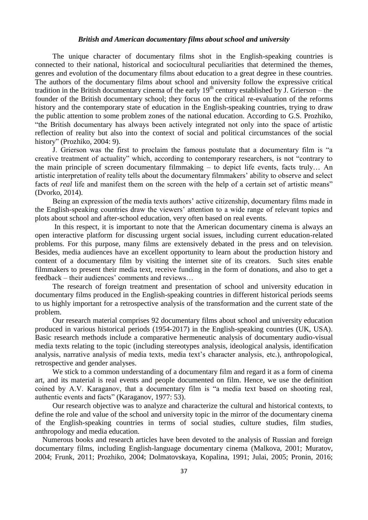#### *British and American documentary films about school and university*

The unique character of documentary films shot in the English-speaking countries is connected to their national, historical and sociocultural peculiarities that determined the themes, genres and evolution of the documentary films about education to a great degree in these countries. The authors of the documentary films about school and university follow the expressive critical tradition in the British documentary cinema of the early 19<sup>th</sup> century established by J. Grierson – the founder of the British documentary school; they focus on the critical re-evaluation of the reforms history and the contemporary state of education in the English-speaking countries, trying to draw the public attention to some problem zones of the national education. According to G.S. Prozhiko, "the British documentary has always been actively integrated not only into the space of artistic reflection of reality but also into the context of social and political circumstances of the social history" (Prozhiko, 2004: 9).

J. Grierson was the first to proclaim the famous postulate that a documentary film is "a creative treatment of actuality" which, according to contemporary researchers, is not "contrary to the main principle of screen documentary filmmaking – to depict life events, facts truly… An artistic interpretation of reality tells about the documentary filmmakers' ability to observe and select facts of *real* life and manifest them on the screen with the help of a certain set of artistic means" (Dvorko, 2014).

Being an expression of the media texts authors' active citizenship, documentary films made in the English-speaking countries draw the viewers' attention to a wide range of relevant topics and plots about school and after-school education, very often based on real events.

In this respect, it is important to note that the American documentary cinema is always an open interactive platform for discussing urgent social issues, including current education-related problems. For this purpose, many films are extensively debated in the press and on television. Besides, media audiences have an excellent opportunity to learn about the production history and content of a documentary film by visiting the internet site of its creators. Such sites enable filmmakers to present their media text, receive funding in the form of donations, and also to get a feedback – their audiences' comments and reviews…

The research of foreign treatment and presentation of school and university education in documentary films produced in the English-speaking countries in different historical periods seems to us highly important for a retrospective analysis of the transformation and the current state of the problem.

Our research material comprises 92 documentary films about school and university education produced in various historical periods (1954-2017) in the English-speaking countries (UK, USA). Basic research methods include a comparative hermeneutic analysis of documentary audio-visual media texts relating to the topic (including stereotypes analysis, ideological analysis, identification analysis, narrative analysis of media texts, media text's character analysis, etc.), anthropological, retrospective and gender analyses.

We stick to a common understanding of a documentary film and regard it as a form of cinema art, and its material is real events and people documented on film. Hence, we use the definition coined by A.V. Karaganov, that a documentary film is "a media text based on shooting real, authentic events and facts" (Karaganov, 1977: 53).

Our research objective was to analyze and characterize the cultural and historical contexts, to define the role and value of the school and university topic in the mirror of the documentary cinema of the English-speaking countries in terms of social studies, culture studies, film studies, anthropology and media education.

 Numerous books and research articles have been devoted to the analysis of Russian and foreign documentary films, including English-language documentary cinema (Malkova, 2001; Muratov, 2004; Frunk, 2011; Prozhiko, 2004; Dolmatovskaya, Kopalina, 1991; Julai, 2005; Pronin, 2016;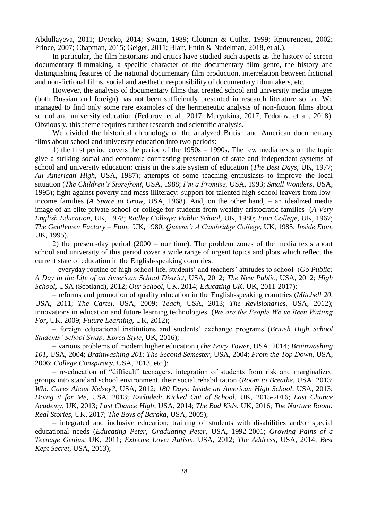Abdullayeva, 2011; Dvorko, 2014; Swann, 1989; Clotman & Cutler, 1999; Кристенсен, 2002; Prince, 2007; Chapman, 2015; Geiger, 2011; Blair, Entin & Nudelman, 2018, et al.).

In particular, the film historians and critics have studied such aspects as the history of screen documentary filmmaking, a specific character of the documentary film genre, the history and distinguishing features of the national documentary film production, interrelation between fictional and non-fictional films, social and aesthetic responsibility of documentary filmmakers, etc.

However, the analysis of documentary films that created school and university media images (both Russian and foreign) has not been sufficiently presented in research literature so far. We managed to find only some rare examples of the hermeneutic analysis of non-fiction films about school and university education (Fedorov, et al., 2017; Muryukina, 2017; Fedorov, et al., 2018). Obviously, this theme requires further research and scientific analysis.

We divided the historical chronology of the analyzed British and American documentary films about school and university education into two periods:

1) the first period covers the period of the 1950s – 1990s. The few media texts on the topic give a striking social and economic contrasting presentation of state and independent systems of school and university education: crisis in the state system of education (*The Best Days,* UK, 1977; *All American High,* USA, 1987); attempts of some teaching enthusiasts to improve the local situation (*The Children's Storefront*, USA, 1988; *I'm a Promise,* USA, 1993; *Small Wonders*, USA, 1995); fight against poverty and mass illiteracy; support for talented high-school leavers from lowincome families (*A Space to Grow,* USA, 1968). And, on the other hand, – an idealized media image of an elite private school or college for students from wealthy aristocratic families (*A Very English Education,* UK, 1978; *Radley College: Public School,* UK, 1980; *Eton College,* UK, 1967; *The Gentlemen Factory – Eton*, UK, 1980; *Queens': A Cambridge College*, UK, 1985; *Inside Eton*, UK, 1995).

2) the present-day period (2000 – our time). The problem zones of the media texts about school and university of this period cover a wide range of urgent topics and plots which reflect the current state of education in the English-speaking countries:

– everyday routine of high-school life, students' and teachers' attitudes to school (*Go Public: A Day in the Life of an American School District*, USA, 2012; *The New Public*, USA, 2012; *High School*, USA (Scotland), 2012; *Our School*, UK*,* 2014; *Educating UK*, UK, 2011-2017);

– reforms and promotion of quality education in the English-speaking countries (*Mitchell 20,*  USA, 2011; *The Cartel,* USA, 2009; *Teach,* USA, 2013; *The Revisionaries*, USA, 2012); innovations in education and future learning technologies (*We are the People We've Been Waiting For*, UK, 2009; *Future Learning,* UK, 2012);

– foreign educational institutions and students' exchange programs (*British High School Students' School Swap: Korea Style*, UK, 2016);

– various problems of modern higher education (*The Ivory Tower*, USA, 2014; *Brainwashing 101*, USA, 2004; *Brainwashing 201: The Second Semester,* USA, 2004; *From the Top Down*, USA, 2006; *College Conspiracy*, USA, 2013, etc.);

– re-education of "difficult" teenagers, integration of students from risk and marginalized groups into standard school environment, their social rehabilitation (*Room to Breathe,* USA, 2013; *Who Cares About Kelsey?,* USA, 2012; *180 Days: Inside an American High School*, USA, 2013; *Doing it for Me*, USA, 2013; *Excluded: Kicked Out of School,* UK, 2015-2016; *Last Chance Academy,* UK, 2013; *Last Chance High*, USA, 2014; *The Bad Kids*, UK, 2016; *The Nurture Room: Real Stories*, UK, 2017; *The Boys of Baraka*, USA, 2005);

– integrated and inclusive education; training of students with disabilities and/or special educational needs (*Educating Peter, Graduating Peter,* USA, 1992-2001; *Growing Pains of a Teenage Genius*, UK, 2011; *Extreme Love: Autism,* USA, 2012; *The Address*, USA, 2014; *Best Kept Secret*, USA, 2013);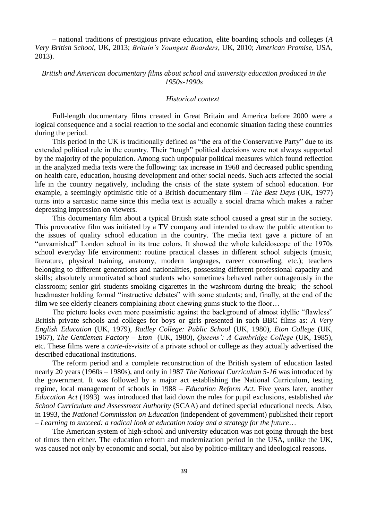– national traditions of prestigious private education, elite boarding schools and colleges (*A Very British School*, UK, 2013; *Britain's Youngest Boarders*, UK, 2010; *American Promise*, USA, 2013).

## *British and American documentary films about school and university education produced in the 1950s-1990s*

### *Historical context*

Full-length documentary films created in Great Britain and America before 2000 were a logical consequence and a social reaction to the social and economic situation facing these countries during the period.

This period in the UK is traditionally defined as "the era of the Conservative Party" due to its extended political rule in the country. Their "tough" political decisions were not always supported by the majority of the population. Among such unpopular political measures which found reflection in the analyzed media texts were the following: tax increase in 1968 and decreased public spending on health care, education, housing development and other social needs. Such acts affected the social life in the country negatively, including the crisis of the state system of school education. For example, a seemingly optimistic title of a British documentary film – *The Best Days* (UK, 1977) turns into a sarcastic name since this media text is actually a social drama which makes a rather depressing impression on viewers.

This documentary film about a typical British state school caused a great stir in the society. This provocative film was initiated by a TV company and intended to draw the public attention to the issues of quality school education in the country. The media text gave a picture of an "unvarnished" London school in its true colors. It showed the whole kaleidoscope of the 1970s school everyday life environment: routine practical classes in different school subjects (music, literature, physical training, anatomy, modern languages, career counseling, etc.); teachers belonging to different generations and nationalities, possessing different professional capacity and skills; absolutely unmotivated school students who sometimes behaved rather outrageously in the classroom; senior girl students smoking cigarettes in the washroom during the break; the school headmaster holding formal "instructive debates" with some students; and, finally, at the end of the film we see elderly cleaners complaining about chewing gums stuck to the floor…

The picture looks even more pessimistic against the background of almost idyllic "flawless" British private schools and colleges for boys or girls presented in such BBC films as: *A Very English Education* (UK, 1979), *Radley College: Public School* (UK, 1980), *Eton College* (UK, 1967), *The Gentlemen Factory – Eton* (UK, 1980), *Queens': A Cambridge College* (UK, 1985), etc. These films were a *carte-de-visite* of a private school or college as they actually advertised the described educational institutions.

The reform period and a complete reconstruction of the British system of education lasted nearly 20 years (1960s – 1980s), and only in 1987 *The National Curriculum 5-16* was introduced by the government. It was followed by a major act establishing the National Curriculum, testing regime, local management of schools in 1988 *– Education Reform Act.* Five years later, another *Education Act* (1993) was introduced that laid down the rules for pupil exclusions, established *the School Curriculum and Assessment Authority* (SCAA) and defined special educational needs. Also, in 1993, the *National Commission on Education* (independent of government) published their report *– Learning to succeed: a radical look at education today and a strategy for the future*…

The American system of high-school and university education was not going through the best of times then either. The education reform and modernization period in the USA, unlike the UK, was caused not only by economic and social, but also by politico-military and ideological reasons.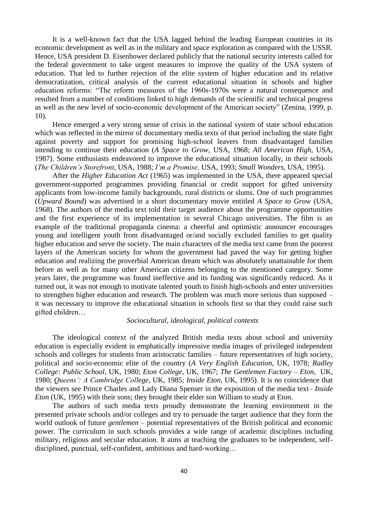It is a well-known fact that the USA lagged behind the leading European countries in its economic development as well as in the military and space exploration as compared with the USSR. Hence, USA president D. Eisenhower declared publicly that the national security interests called for the federal government to take urgent measures to improve the quality of the USA system of education. That led to further rejection of the elite system of higher education and its relative democratization, critical analysis of the current educational situation in schools and higher education reforms: "The reform measures of the 1960s-1970s were a natural consequence and resulted from a number of conditions linked to high demands of the scientific and technical progress as well as the new level of socio-economic development of the American society" (Zenina, 1999, p. 10).

Hence emerged a very strong sense of crisis in the national system of state school education which was reflected in the mirror of documentary media texts of that period including the state fight against poverty and support for promising high-school leavers from disadvantaged families intending to continue their education (*A Space to Grow,* USA, 1968; *All American High,* USA, 1987). Some enthusiasts endeavored to improve the educational situation locally, in their schools (*The Children's Storefront*, USA, 1988; *I'm a Promise,* USA, 1993; *Small Wonders*, USA, 1995).

After the *Higher Education Act* (1965) was implemented in the USA, there appeared special government-supported programmes providing financial or credit support for gifted university applicants from low-income family backgrounds, rural districts or slums. One of such programmes (*Upward Bound*) was advertised in a short documentary movie entitled *A Space to Grow* (USA, 1968). The authors of the media text told their target audience about the programme opportunities and the first experience of its implementation in several Chicago universities. The film is an example of the traditional propaganda cinema: a cheerful and optimistic announcer encourages young and intelligent youth from disadvantaged or/and socially excluded families to get quality higher education and serve the society. The main characters of the media text came from the poorest layers of the American society for whom the government had paved the way for getting higher education and realizing the proverbial American dream which was absolutely unattainable for them before as well as for many other American citizens belonging to the mentioned category. Some years later, the programme was found ineffective and its funding was significantly reduced. As it turned out, it was not enough to motivate talented youth to finish high-schools and enter universities to strengthen higher education and research. The problem was much more serious than supposed – it was necessary to improve the educational situation in schools first so that they could raise such gifted children…

### *Sociocultural, ideological, political contexts*

The ideological context of the analyzed British media texts about school and university education is especially evident in emphatically impressive media images of privileged independent schools and colleges for students from aristocratic families – future representatives of high society, political and socio-economic elite of the country (*A Very English Education*, UK, 1978; *Radley College: Public School*, UK, 1980; *Eton College*, UK, 1967; *The Gentlemen Factory* – *Eton*, UK, 1980; *Queens': A Cambridge College*, UK, 1985; *Inside Eton*, UK, 1995). It is no coincidence that the viewers see Prince Charles and Lady Diana Spenser in the exposition of the media text– *Inside Eton* (UK, 1995) with their sons; they brought their elder son William to study at Eton.

The authors of such media texts proudly demonstrate the learning environment in the presented private schools and/or colleges and try to persuade the target audience that they form the world outlook of future *gentlemen* – potential representatives of the British political and economic power. The curriculum in such schools provides a wide range of academic disciplines including military, religious and secular education. It aims at teaching the graduates to be independent, selfdisciplined, punctual, self-confident, ambitious and hard-working…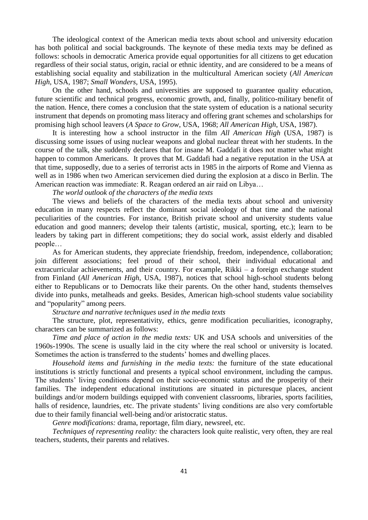The ideological context of the American media texts about school and university education has both political and social backgrounds. The keynote of these media texts may be defined as follows: schools in democratic America provide equal opportunities for all citizens to get education regardless of their social status, origin, racial or ethnic identity, and are considered to be a means of establishing social equality and stabilization in the multicultural American society (*All American High*, USA, 1987; *Small Wonders*, USA, 1995).

On the other hand, schools and universities are supposed to guarantee quality education, future scientific and technical progress, economic growth, and, finally, politico-military benefit of the nation. Hence, there comes a conclusion that the state system of education is a national security instrument that depends on promoting mass literacy and offering grant schemes and scholarships for promising high school leavers (*A Space to Grow*, USA, 1968; *All American High*, USA, 1987).

It is interesting how a school instructor in the film *All American High* (USA, 1987) is discussing some issues of using nuclear weapons and global nuclear threat with her students. In the course of the talk, she suddenly declares that for insane M. Gaddafi it does not matter what might happen to common Americans. It proves that M. Gaddafi had a negative reputation in the USA at that time, supposedly, due to a series of terrorist acts in 1985 in the airports of Rome and Vienna as well as in 1986 when two American servicemen died during the explosion at a disco in Berlin. The American reaction was immediate: R. Reagan ordered an air raid on Libya…

*The world outlook of the characters of the media texts*

The views and beliefs of the characters of the media texts about school and university education in many respects reflect the dominant social ideology of that time and the national peculiarities of the countries. For instance, British private school and university students value education and good manners; develop their talents (artistic, musical, sporting, etc.); learn to be leaders by taking part in different competitions; they do social work, assist elderly and disabled people…

As for American students, they appreciate friendship, freedom, independence, collaboration; join different associations; feel proud of their school, their individual educational and extracurricular achievements, and their country. For example, Rikki – a foreign exchange student from Finland (*All American High*, USA, 1987), notices that school high-school students belong either to Republicans or to Democrats like their parents. On the other hand, students themselves divide into punks, metalheads and geeks. Besides, American high-school students value sociability and "popularity" among peers.

*Structure and narrative techniques used in the media texts* 

The structure, plot, representativity, ethics, genre modification peculiarities, iconography, characters can be summarized as follows:

*Time and place of action in the media texts:* UK and USA schools and universities of the 1960s-1990s. The scene is usually laid in the city where the real school or university is located. Sometimes the action is transferred to the students' homes and dwelling places.

*Household items and furnishing in the media texts:* the furniture of the state educational institutions is strictly functional and presents a typical school environment, including the campus. The students' living conditions depend on their socio-economic status and the prosperity of their families. The independent educational institutions are situated in picturesque places, ancient buildings and/or modern buildings equipped with convenient classrooms, libraries, sports facilities, halls of residence, laundries, etc. The private students' living conditions are also very comfortable due to their family financial well-being and/or aristocratic status.

*Genre modifications:* drama, reportage, film diary, newsreel, etc.

*Techniques of representing reality:* the characters look quite realistic, very often, they are real teachers, students, their parents and relatives.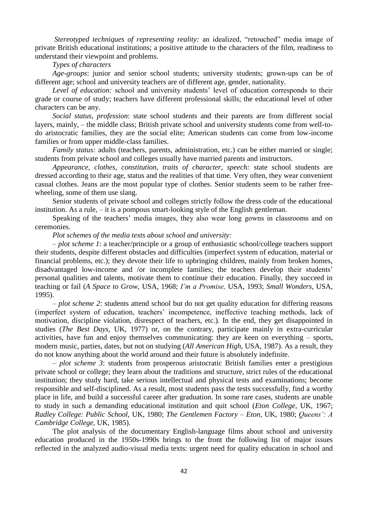*Stereotyped techniques of representing reality:* an idealized, "retouched" media image of private British educational institutions; a positive attitude to the characters of the film, readiness to understand their viewpoint and problems.

## *Types of characters*

*Age-groups*: junior and senior school students; university students; grown-ups can be of different age; school and university teachers are of different age, gender, nationality.

*Level of education:* school and university students' level of education corresponds to their grade or course of study; teachers have different professional skills; the educational level of other characters can be any.

*Social status, profession*: state school students and their parents are from different social layers, mainly, – the middle class; British private school and university students come from well-todo aristocratic families, they are the social elite; American students can come from low-income families or from upper middle-class families.

*Family status:* adults (teachers, parents, administration, etc.) can be either married or single; students from private school and colleges usually have married parents and instructors.

*Appearance, clothes, constitution, traits of character, speech:* state school students are dressed according to their age, status and the realities of that time. Very often, they wear convenient casual clothes. Jeans are the most popular type of clothes. Senior students seem to be rather freewheeling, some of them use slang.

Senior students of private school and colleges strictly follow the dress code of the educational institution. As a rule, – it is a pompous smart-looking style of the English gentleman.

Speaking of the teachers' media images, they also wear long gowns in classrooms and on ceremonies.

*Plot schemes of the media texts about school and university:*

– *plot scheme 1*: a teacher/principle or a group of enthusiastic school/college teachers support their students, despite different obstacles and difficulties (imperfect system of education, material or financial problems, etc.); they devote their life to upbringing children, mainly from broken homes, disadvantaged low-income and /or incomplete families; the teachers develop their students' personal qualities and talents, motivate them to continue their education. Finally, they succeed in teaching or fail (*A Space to Grow,* USA, 1968; *I'm a Promise,* USA, 1993; *Small Wonders*, USA, 1995).

– *plot scheme 2*: students attend school but do not get quality education for differing reasons (imperfect system of education, teachers' incompetence, ineffective teaching methods, lack of motivation, discipline violation, disrespect of teachers, etc.). In the end, they get disappointed in studies (*The Best Days*, UK, 1977) or, on the contrary, participate mainly in extra-curricular activities, have fun and enjoy themselves communicating: they are keen on everything – sports, modern music, parties, dates, but not on studying (*All American High*, USA, 1987). As a result, they do not know anything about the world around and their future is absolutely indefinite.

– *plot scheme 3*: students from prosperous aristocratic British families enter a prestigious private school or college; they learn about the traditions and structure, strict rules of the educational institution; they study hard, take serious intellectual and physical tests and examinations; become responsible and self-disciplined. As a result, most students pass the tests successfully, find a worthy place in life, and build a successful career after graduation. In some rare cases, students are unable to study in such a demanding educational institution and quit school (*Eton College*, UK, 1967; *Radley College: Public School*, UK, 1980; *The Gentlemen Factory – Eton,* UK, 1980; *Queens': A Cambridge College,* UK, 1985).

The plot analysis of the documentary English-language films about school and university education produced in the 1950s-1990s brings to the front the following list of major issues reflected in the analyzed audio-visual media texts: urgent need for quality education in school and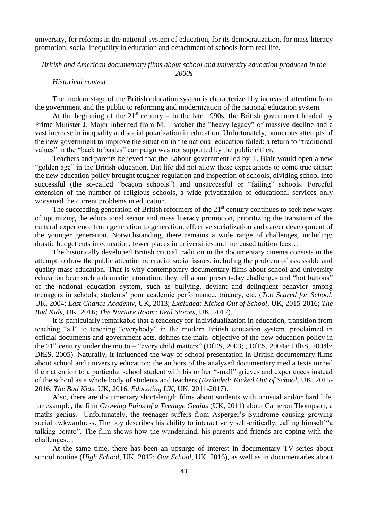university, for reforms in the national system of education, for its democratization, for mass literacy promotion; social inequality in education and detachment of schools form real life.

# *British and American documentary films about school and university education produced in the*

#### *2000s*

## *Historical context*

The modern stage of the British education system is characterized by increased attention from the government and the public to reforming and modernization of the national education system.

At the beginning of the  $21<sup>st</sup>$  century – in the late 1990s, the British government headed by Prime-Minister J. Major inherited from M. Thatcher the "heavy legacy" of massive decline and a vast increase in inequality and social polarization in education. Unfortunately, numerous attempts of the new government to improve the situation in the national education failed: a return to "traditional values" in the "back to basics" campaign was not supported by the public either.

Teachers and parents believed that the Labour government led by T. Blair would open a new "golden age" in the British education. But life did not allow these expectations to come true either: the new education policy brought tougher regulation and inspection of schools, dividing school into successful (the so-called "beacon schools") and unsuccessful or "failing" schools. Forceful extension of the number of religious schools, a wide privatization of educational services only worsened the current problems in education.

The succeeding generation of British reformers of the  $21<sup>st</sup>$  century continues to seek new ways of optimizing the educational sector and mass literacy promotion, prioritizing the transition of the cultural experience from generation to generation, effective socialization and career development of the younger generation. Notwithstanding, there remains a wide range of challenges, including: drastic budget cuts in education, fewer places in universities and increased tuition fees…

The historically developed British critical tradition in the documentary cinema consists in the attempt to draw the public attention to crucial social issues, including the problem of assessable and quality mass education. That is why contemporary documentary films about school and university education bear such a dramatic intonation: they tell about present-day challenges and "hot buttons" of the national education system, such as bullying, deviant and delinquent behavior among teenagers in schools, students' poor academic performance, truancy, etc. (*Too Scared for School*, UK, 2004; *Last Chance Academy*, UK, 2013; *Excluded: Kicked Out of School*, UK, 2015-2016; *The Bad Kids,* UK, 2016; *The Nurture Room: Real Stories*, UK, 2017).

It is particularly remarkable that a tendency for individualization in education, transition from teaching "all" to teaching "everybody" in the modern British education system, proclaimed in official documents and government acts, defines the main objective of the new education policy in the 21<sup>st</sup> century under the motto – "every child matters" (DfES, 2003; , DfES, 2004a; DfES, 2004b; DfES, 2005). Naturally, it influenced the way of school presentation in British documentary films about school and university education: the authors of the analyzed documentary media texts turned their attention to a particular school student with his or her "small" grieves and experiences instead of the school as a whole body of students and teachers *(Excluded: Kicked Out of School*, UK, 2015- 2016; *The Bad Kids,* UK, 2016; *Educating UK*, UK, 2011-2017).

Also, there are documentary short-length films about students with unusual and/or hard life, for example, the film *Growing Pains of a Teenage Genius* (UK, 2011) about Cameron Thompson, a maths genius. Unfortunately, the teenager suffers from Asperger's Syndrome causing growing social awkwardness. The boy describes his ability to interact very self-critically, calling himself "a talking potato". The film shows how the wunderkind, his parents and friends are coping with the challenges…

At the same time, there has been an upsurge of interest in documentary TV-series about school routine (*High School,* UK, 2012; *Our School*, UK, 2016), as well as in documentaries about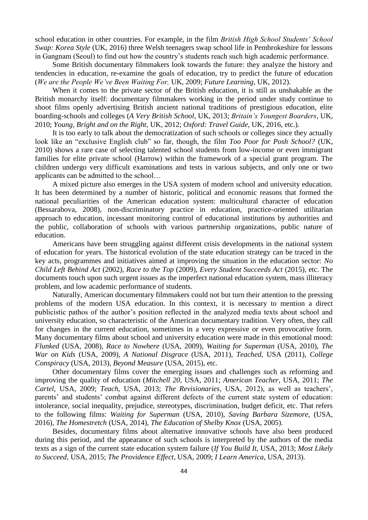school education in other countries. For example, in the film *British High School Students' School Swap: Korea Style* (UK, 2016) three Welsh teenagers swap school life in Pembrokeshire for lessons in Gangnam (Seoul) to find out how the country's students reach such high academic performance.

Some British documentary filmmakers look towards the future: they analyze the history and tendencies in education, re-examine the goals of education, try to predict the future of education (*We are the People We've Been Waiting For,* UK, 2009; *Future Learning,* UK, 2012).

When it comes to the private sector of the British education, it is still as unshakable as the British monarchy itself: documentary filmmakers working in the period under study continue to shoot films openly advertising British ancient national traditions of prestigious education, elite boarding-schools and colleges (*A Very British School*, UK, 2013; *Britain's Youngest Boarders*, UK, 2010; *Young, Bright and on the Right*, UK, 2012; *Oxford: Travel Guide*, UK, 2016, etc.).

It is too early to talk about the democratization of such schools or colleges since they actually look like an "exclusive English club" so far, though, the film *Too Poor for Posh School?* (UK, 2010) shows a rare case of selecting talented school students from low-income or even immigrant families for elite private school (Harrow) within the framework of a special grant program. The children undergo very difficult examinations and tests in various subjects, and only one or two applicants can be admitted to the school…

A mixed picture also emerges in the USA system of modern school and university education. It has been determined by a number of historic, political and economic reasons that formed the national peculiarities of the American education system: multicultural character of education (Bessarabova, 2008), non-discriminatory practice in education, practice-oriented utilitarian approach to education, incessant monitoring control of educational institutions by authorities and the public, collaboration of schools with various partnership organizations, public nature of education.

Americans have been struggling against different crisis developments in the national system of education for years. The historical evolution of the state education strategy can be traced in the key acts, programmes and initiatives aimed at improving the situation in the education sector: *No Child Left Behind Act* (2002), *Race to the Top* (2009), *Every Student Succeeds Act* (2015), etc. The documents touch upon such urgent issues as the imperfect national education system, mass illiteracy problem, and low academic performance of students.

Naturally, American documentary filmmakers could not but turn their attention to the pressing problems of the modern USA education. In this context, it is necessary to mention a direct publicistic pathos of the author's position reflected in the analyzed media texts about school and university education, so characteristic of the American documentary tradition. Very often, they call for changes in the current education, sometimes in a very expressive or even provocative form. Many documentary films about school and university education were made in this emotional mood: *Flunked* (USA, 2008), *Race to Nowhere* (USA, 2009), *Waiting for Superman* (USA, 2010), *The War on Kids* (USA, 2009), *A National Disgrace* (USA, 2011), *Teached*, USA (2011), *College Conspiracy* (USA, 2013), *Beyond Measure* (USA, 2015), etc.

Other documentary films cover the emerging issues and challenges such as reforming and improving the quality of education (*Mitchell 20,* USA, 2011; *American Teacher*, USA, 2011; *The Cartel,* USA, 2009; *Teach,* USA, 2013; *The Revisionaries*, USA, 2012), as well as teachers', parents' and students' combat against different defects of the current state system of education: intolerance, social inequality, prejudice, stereotypes, discrimination, budget deficit, etc. That refers to the following films: *Waiting for Superman* (USA, 2010), *Saving Barbara Sizemore*, (USA, 2016), *The Homestretch* (USA, 2014), *The Education of Shelby Knox* (USA, 2005).

Besides, documentary films about alternative innovative schools have also been produced during this period, and the appearance of such schools is interpreted by the authors of the media texts as a sign of the current state education system failure (*If You Build It,* USA, 2013; *Most Likely to Succeed*, USA, 2015; *The Providence Effect*, USA, 2009; *I Learn America*, USA, 2013).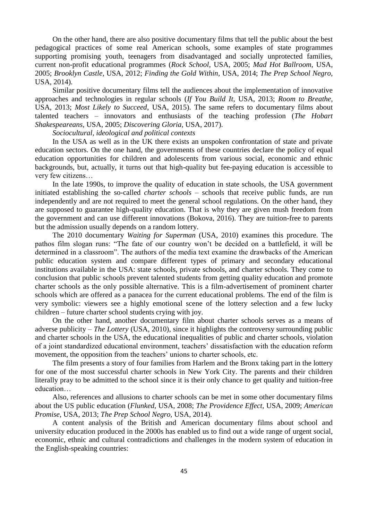On the other hand, there are also positive documentary films that tell the public about the best pedagogical practices of some real American schools, some examples of state programmes supporting promising youth, teenagers from disadvantaged and socially unprotected families, current non-profit educational programmes (*Rock School*, USA, 2005; *Mad Hot Ballroom*, USA, 2005; *Brooklyn Castle*, USA, 2012; *Finding the Gold Within*, USA, 2014; *The Prep School Negro,* USA, 2014).

Similar positive documentary films tell the audiences about the implementation of innovative approaches and technologies in regular schools (*If You Build It*, USA, 2013; *Room to Breathe,* USA, 2013; *Most Likely to Succeed*, USA, 2015). The same refers to documentary films about talented teachers – innovators and enthusiasts of the teaching profession (*The Hobart Shakespeareans*, USA, 2005; *Discovering Gloria*, USA, 2017).

*Sociocultural, ideological and political contexts*

In the USA as well as in the UK there exists an unspoken confrontation of state and private education sectors. On the one hand, the governments of these countries declare the policy of equal education opportunities for children and adolescents from various social, economic and ethnic backgrounds, but, actually, it turns out that high-quality but fee-paying education is accessible to very few citizens…

In the late 1990s, to improve the quality of education in state schools, the USA government initiated establishing the so-called *charter schools* – schools that receive public funds, are run independently and are not required to meet the general school regulations. On the other hand, they are supposed to guarantee high-quality education. That is why they are given mush freedom from the government and can use different innovations (Bokova, 2016). They are tuition-free to parents but the admission usually depends on a random lottery.

The 2010 documentary *Waiting for Superman* (USA, 2010) examines this procedure. The pathos film slogan runs: "The fate of our country won't be decided on a battlefield, it will be determined in a classroom". The authors of the media text examine the drawbacks of the American public education system and compare different types of primary and secondary educational institutions available in the USA: state schools, private schools, and charter schools. They come to conclusion that public schools prevent talented students from getting quality education and promote charter schools as the only possible alternative. This is a film-advertisement of prominent charter schools which are offered as a panacea for the current educational problems. The end of the film is very symbolic: viewers see a highly emotional scene of the lottery selection and a few lucky children – future charter school students crying with joy.

On the other hand, another documentary film about charter schools serves as a means of adverse publicity – *The Lottery* (USA, 2010), since it highlights the controversy surrounding public and charter schools in the USA, the educational inequalities of public and charter schools, violation of a joint standardized educational environment, teachers' dissatisfaction with the education reform movement, the opposition from the teachers' unions to charter schools, etc.

The film presents a story of four families from Harlem and the Bronx taking part in the lottery for one of the most successful charter schools in New York City. The parents and their children literally pray to be admitted to the school since it is their only chance to get quality and tuition-free education…

Also, references and allusions to charter schools can be met in some other documentary films about the US public education (*Flunked,* USA, 2008; *The Providence Effect,* USA, 2009; *American Promise*, USA, 2013; *The Prep School Negro,* USA, 2014).

A content analysis of the British and American documentary films about school and university education produced in the 2000s has enabled us to find out a wide range of urgent social, economic, ethnic and cultural contradictions and challenges in the modern system of education in the English-speaking countries: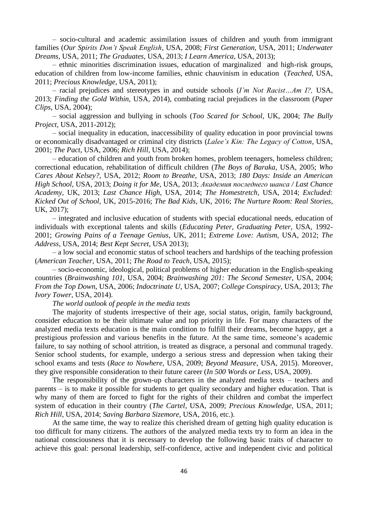– socio-cultural and academic assimilation issues of children and youth from immigrant families (*Our Spirits Don't Speak English*, USA, 2008; *First Generation,* USA, 2011; *Underwater Dreams,* USA, 2011; *The Graduates,* USA, 2013; *I Learn America,* USA, 2013);

– ethnic minorities discrimination issues, education of marginalized and high-risk groups, education of children from low-income families, ethnic chauvinism in education (*Teached,* USA, 2011; *Precious Knowledge*, USA, 2011);

– racial prejudices and stereotypes in and outside schools (*I'm Not Racist…Am I?,* USA, 2013; *Finding the Gold Within,* USA, 2014), combating racial prejudices in the classroom (*Paper Clips*, USA, 2004);

– social aggression and bullying in schools (*Too Scared for School,* UK, 2004; *The Bully Project,* USA, 2011-2012);

– social inequality in education, inaccessibility of quality education in poor provincial towns or economically disadvantaged or criminal city districts (*Lalee's Kin: The Legacy of Cotton*, USA, 2001; *The Pact*, USA, 2006; *Rich Hill,* USA, 2014);

– education of children and youth from broken homes, problem teenagers, homeless children; correctional education, rehabilitation of difficult children (*The Boys of Baraka*, USA, 2005; *Who Cares About Kelsey?,* USA, 2012; *Room to Breathe,* USA, 2013; *180 Days: Inside an American High School*, USA, 2013; *Doing it for Me*, USA, 2013; *Академия последнего шанса / Last Chance Academy,* UK, 2013; *Last Chance High*, USA, 2014; *The Homestretch,* USA, 2014; *Excluded: Kicked Out of School,* UK, 2015-2016; *The Bad Kids*, UK, 2016; *The Nurture Room: Real Stories*, UK, 2017);

– integrated and inclusive education of students with special educational needs, education of individuals with exceptional talents and skills (*Educating Peter, Graduating Peter,* USA, 1992- 2001; *Growing Pains of a Teenage Genius*, UK, 2011; *Extreme Love: Autism,* USA, 2012; *The Address*, USA, 2014; *Best Kept Secret*, USA 2013);

– a low social and economic status of school teachers and hardships of the teaching profession (*American Teacher,* USA, 2011; *The Road to Teach*, USA, 2015);

– socio-economic, ideological, political problems of higher education in the English-speaking countries (*Brainwashing 101*, USA, 2004; *Brainwashing 201: The Second Semester,* USA, 2004; *From the Top Down*, USA, 2006; *Indoctrinate U*, USA, 2007; *College Conspiracy*, USA, 2013; *The Ivory Tower*, USA, 2014).

*The world outlook of people in the media texts* 

The majority of students irrespective of their age, social status, origin, family background, consider education to be their ultimate value and top priority in life. For many characters of the analyzed media texts education is the main condition to fulfill their dreams, become happy, get a prestigious profession and various benefits in the future. At the same time, someone's academic failure, to say nothing of school attrition, is treated as disgrace, a personal and communal tragedy. Senior school students, for example, undergo a serious stress and depression when taking their school exams and tests (*Race to Nowhere,* USA, 2009; *Beyond Measure*, USA, 2015). Moreover, they give responsible consideration to their future career (*In 500 Words or Less*, USA, 2009).

The responsibility of the grown-up characters in the analyzed media texts – teachers and parents – is to make it possible for students to get quality secondary and higher education. That is why many of them are forced to fight for the rights of their children and combat the imperfect system of education in their country (*The Cartel*, USA, 2009; *Precious Knowledge,* USA, 2011; *Rich Hill*, USA, 2014; *Saving Barbara Sizemore*, USA, 2016, etc.).

At the same time, the way to realize this cherished dream of getting high quality education is too difficult for many citizens. The authors of the analyzed media texts try to form an idea in the national consciousness that it is necessary to develop the following basic traits of character to achieve this goal: personal leadership, self-confidence, active and independent civic and political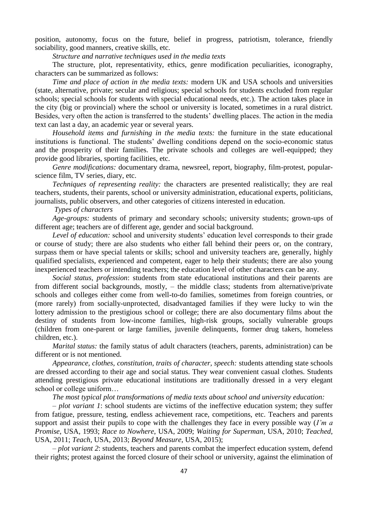position, autonomy, focus on the future, belief in progress, patriotism, tolerance, friendly sociability, good manners, creative skills, etc.

*Structure and narrative techniques used in the media texts* 

The structure, plot, representativity, ethics, genre modification peculiarities, iconography, characters can be summarized as follows:

*Time and place of action in the media texts:* modern UK and USA schools and universities (state, alternative, private; secular and religious; special schools for students excluded from regular schools; special schools for students with special educational needs, etc.). The action takes place in the city (big or provincial) where the school or university is located, sometimes in a rural district. Besides, very often the action is transferred to the students' dwelling places. The action in the media text can last a day, an academic year or several years.

*Household items and furnishing in the media texts:* the furniture in the state educational institutions is functional. The students' dwelling conditions depend on the socio-economic status and the prosperity of their families. The private schools and colleges are well-equipped; they provide good libraries, sporting facilities, etc.

*Genre modifications:* documentary drama, newsreel, report, biography, film-protest, popularscience film, TV series, diary, etc.

*Techniques of representing reality:* the characters are presented realistically; they are real teachers, students, their parents, school or university administration, educational experts, politicians, journalists, public observers, and other categories of citizens interested in education.

## *Types of characters*

*Age-groups:* students of primary and secondary schools; university students; grown-ups of different age; teachers are of different age, gender and social background.

*Level of education:* school and university students' education level corresponds to their grade or course of study; there are also students who either fall behind their peers or, on the contrary, surpass them or have special talents or skills; school and university teachers are, generally, highly qualified specialists, experienced and competent, eager to help their students; there are also young inexperienced teachers or intending teachers; the education level of other characters can be any.

*Social status, profession*: students from state educational institutions and their parents are from different social backgrounds, mostly, – the middle class; students from alternative/private schools and colleges either come from well-to-do families, sometimes from foreign countries, or (more rarely) from socially-unprotected, disadvantaged families if they were lucky to win the lottery admission to the prestigious school or college; there are also documentary films about the destiny of students from low-income families, high-risk groups, socially vulnerable groups (children from one-parent or large families, juvenile delinquents, former drug takers, homeless children, etc.).

*Marital status:* the family status of adult characters (teachers, parents, administration) can be different or is not mentioned.

*Appearance, clothes, constitution, traits of character, speech:* students attending state schools are dressed according to their age and social status. They wear convenient casual clothes. Students attending prestigious private educational institutions are traditionally dressed in a very elegant school or college uniform…

*The most typical plot transformations of media texts about school and university education:*

– *plot variant 1*: school students are victims of the ineffective education system; they suffer from fatigue, pressure, testing, endless achievement race, competitions, etc. Teachers and parents support and assist their pupils to cope with the challenges they face in every possible way (*I'm a Promise*, USA, 1993; *Race to Nowhere*, USA, 2009; *Waiting for Superman*, USA, 2010; *Teached*, USA, 2011; *Teach,* USA, 2013; *Beyond Measure*, USA, 2015);

– *plot variant 2*: students, teachers and parents combat the imperfect education system, defend their rights; protest against the forced closure of their school or university, against the elimination of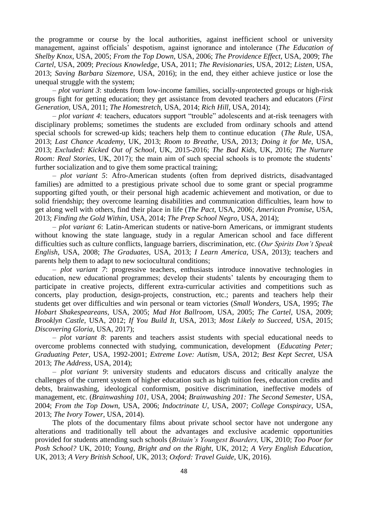the programme or course by the local authorities, against inefficient school or university management, against officials' despotism, against ignorance and intolerance (*The Education of Shelby Knox*, USA, 2005; *From the Top Down,* USA, 2006; *The Providence Effect*, USA, 2009; *The Cartel*, USA, 2009; *Precious Knowledge*, USA, 2011; *The Revisionaries*, USA, 2012; *Listen,* USA, 2013; *Saving Barbara Sizemore*, USA, 2016); in the end, they either achieve justice or lose the unequal struggle with the system;

– *plot variant 3*: students from low-income families, socially-unprotected groups or high-risk groups fight for getting education; they get assistance from devoted teachers and educators (*First Generation,* USA, 2011; *The Homestretch,* USA, 2014; *Rich Hill*, USA, 2014);

– *plot variant 4*: teachers, educators support "trouble" adolescents and at-risk teenagers with disciplinary problems; sometimes the students are excluded from ordinary schools and attend special schools for screwed-up kids; teachers help them to continue education (*The Rule,* USA, 2013; *Last Chance Academy,* UK, 2013; *Room to Breathe,* USA, 2013; *Doing it for Me*, USA, 2013; *Excluded: Kicked Out of School*, UK, 2015-2016; *The Bad Kids*, UK, 2016; *The Nurture Room: Real Stories*, UK, 2017); the main aim of such special schools is to promote the students' further socialization and to give them some practical training;

– *plot variant 5*: Afro-American students (often from deprived districts, disadvantaged families) are admitted to a prestigious private school due to some grant or special programme supporting gifted youth, or their personal high academic achievement and motivation, or due to solid friendship; they overcome learning disabilities and communication difficulties, learn how to get along well with others, find their place in life (*The Pact*, USA, 2006; *American Promise*, USA, 2013; *Finding the Gold Within,* USA, 2014; *The Prep School Negro,* USA, 2014);

– *plot variant 6*: Latin-American students or native-born Americans, or immigrant students without knowing the state language, study in a regular American school and face different difficulties such as culture conflicts, language barriers, discrimination, etc. (*Our Spirits Don't Speak English,* USA, 2008; *The Graduates,* USA, 2013; *I Learn America*, USA, 2013); teachers and parents help them to adapt to new sociocultural conditions;

– *plot variant 7*: progressive teachers, enthusiasts introduce innovative technologies in education, new educational programmes; develop their students' talents by encouraging them to participate in creative projects, different extra-curricular activities and competitions such as concerts, play production, design-projects, construction, etc.; parents and teachers help their students get over difficulties and win personal or team victories (*Small Wonders*, USA, 1995; *The Hobart Shakespeareans,* USA, 2005; *Mad Hot Ballroom*, USA, 2005; *The Cartel*, USA, 2009; *Brooklyn Castle,* USA, 2012; *If You Build It*, USA, 2013; *Most Likely to Succeed,* USA, 2015; *Discovering Gloria,* USA, 2017);

– *plot variant 8*: parents and teachers assist students with special educational needs to overcome problems connected with studying, communication, development (*Educating Peter; Graduating Peter*, USA, 1992-2001; *Extreme Love: Autism*, USA, 2012; *Best Kept Secret*, USA 2013; *The Address*, USA, 2014);

– *plot variant 9*: university students and educators discuss and critically analyze the challenges of the current system of higher education such as high tuition fees, education credits and debts, brainwashing, ideological conformism, positive discrimination, ineffective models of management, etc. (*Brainwashing 101,* USA, 2004; *Brainwashing 201: The Second Semester,* USA, 2004; *From the Top Down,* USA, 2006; *Indoctrinate U*, USA, 2007; *College Conspiracy*, USA, 2013; *The Ivory Tower*, USA, 2014).

The plots of the documentary films about private school sector have not undergone any alterations and traditionally tell about the advantages and exclusive academic opportunities provided for students attending such schools (*Britain's Youngest Boarders,* UK, 2010; *Too Poor for Posh School?* UK, 2010; *Young, Bright and on the Right,* UK, 2012; *A Very English Education*, UK, 2013; *A Very British School*, UK, 2013; *Oxford: Travel Guide*, UK, 2016).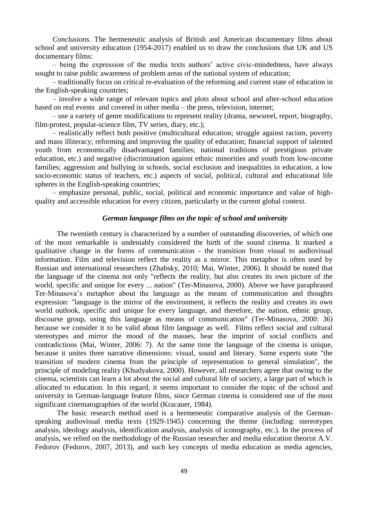*Conclusions.* The hermeneutic analysis of British and American documentary films about school and university education (1954-2017) enabled us to draw the conclusions that UK and US documentary films:

– being the expression of the media texts authors' active civic-mindedness, have always sought to raise public awareness of problem areas of the national system of education;

– traditionally focus on critical re-evaluation of the reforming and current state of education in the English-speaking countries;

– involve a wide range of relevant topics and plots about school and after-school education based on real events and covered in other media – the press, television, internet;

– use a variety of genre modifications to represent reality (drama, newsreel, report, biography, film-protest, popular-science film, TV series, diary, etc.);

– realistically reflect both positive (multicultural education; struggle against racism, poverty and mass illiteracy; reforming and improving the quality of education; financial support of talented youth from economically disadvantaged families; national traditions of prestigious private education, etc.) and negative (discrimination against ethnic minorities and youth from low-income families; aggression and bullying in schools, social exclusion and inequalities in education, a low socio-economic status of teachers, etc.) aspects of social, political, cultural and educational life spheres in the English-speaking countries;

– emphasize personal, public, social, political and economic importance and value of highquality and accessible education for every citizen, particularly in the current global context.

#### *German language films on the topic of school and university*

The twentieth century is characterized by a number of outstanding discoveries, of which one of the most remarkable is undeniably considered the birth of the sound cinema. It marked a qualitative change in the forms of communication - the transition from visual to audiovisual information. Film and television reflect the reality as a mirror. This metaphor is often used by Russian and international researchers (Zhabsky, 2010; Mai, Winter, 2006). It should be noted that the language of the cinema not only "reflects the reality, but also creates its own picture of the world, specific and unique for every ... nation" (Ter-Minasova, 2000). Above we have paraphrased Ter-Minasova's metaphor about the language as the means of communication and thoughts expression: "language is the mirror of the environment, it reflects the reality and creates its own world outlook, specific and unique for every language, and therefore, the nation, ethnic group, discourse group, using this language as means of communication" (Ter-Minasova, 2000: 36) because we consider it to be valid about film language as well. Films reflect social and cultural stereotypes and mirror the mood of the masses, bear the imprint of social conflicts and contradictions (Mai, Winter, 2006: 7). At the same time the language of the cinema is unique, because it unites three narrative dimensions: visual, sound and literary. Some experts state "the transition of modern cinema from the principle of representation to general simulation", the principle of modeling reality (Khudyakova, 2000). However, all researchers agree that owing to the cinema, scientists can learn a lot about the social and cultural life of society, a large part of which is allocated to education. In this regard, it seems important to consider the topic of the school and university in German-language feature films, since German cinema is considered one of the most significant cinematographies of the world (Kracauer, 1984).

The basic research method used is a hermeneutic comparative analysis of the Germanspeaking audiovisual media texts (1929-1945) concerning the theme (including: stereotypes analysis, ideology analysis, identification analysis, analysis of iconography, etc.). In the process of analysis, we relied on the methodology of the Russian researcher and media education theorist A.V. Fedorov (Fedorov, 2007, 2013), and such key concepts of media education as media agencies,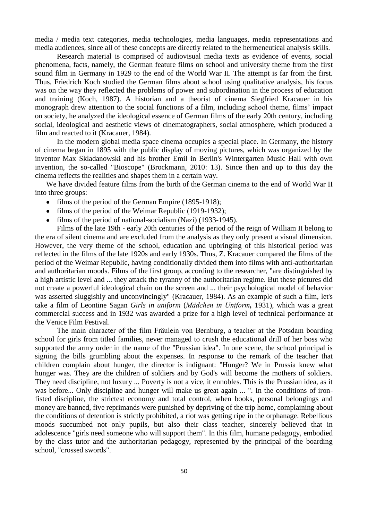media / media text categories, media technologies, media languages, media representations and media audiences, since all of these concepts are directly related to the hermeneutical analysis skills.

Research material is comprised of audiovisual media texts as evidence of events, social phenomena, facts, namely, the German feature films on school and university theme from the first sound film in Germany in 1929 to the end of the World War II. The attempt is far from the first. Thus, Friedrich Koch studied the German films about school using qualitative analysis, his focus was on the way they reflected the problems of power and subordination in the process of education and training (Koch, 1987). A historian and a theorist of cinema Siegfried Kracauer in his monograph drew attention to the social functions of a film, including school theme, films' impact on society, he analyzed the ideological essence of German films of the early 20th century, including social, ideological and aesthetic views of cinematographers, social atmosphere, which produced a film and reacted to it (Kracauer, 1984).

In the modern global media space cinema occupies a special place. In Germany, the history of cinema began in 1895 with the public display of moving pictures, which was organized by the inventor Max Skladanowski and his brother Emil in Berlin's Wintergarten Music Hall with own invention, the so-called "Bioscope" (Brockmann, 2010: 13). Since then and up to this day the cinema reflects the realities and shapes them in a certain way.

We have divided feature films from the birth of the German cinema to the end of World War II into three groups:

- films of the period of the German Empire (1895-1918);
- $\bullet$  films of the period of the Weimar Republic (1919-1932);
- films of the period of national-socialism (Nazi) (1933-1945).

Films of the late 19th - early 20th centuries of the period of the reign of William II belong to the era of silent cinema and are excluded from the analysis as they only present a visual dimension. However, the very theme of the school, education and upbringing of this historical period was reflected in the films of the late 1920s and early 1930s. Thus, Z. Kracauer compared the films of the period of the Weimar Republic, having conditionally divided them into films with anti-authoritarian and authoritarian moods. Films of the first group, according to the researcher, "are distinguished by a high artistic level and ... they attack the tyranny of the authoritarian regime. But these pictures did not create a powerful ideological chain on the screen and ... their psychological model of behavior was asserted sluggishly and unconvincingly" (Kracauer, 1984). As an example of such a film, let's take a film of Leontine Sagan *Girls in uniform* (*Mädchen in Uniform,* 1931), which was a great commercial success and in 1932 was awarded a prize for a high level of technical performance at the Venice Film Festival.

The main character of the film Fräulein von Bernburg, a teacher at the Potsdam boarding school for girls from titled families, never managed to crush the educational drill of her boss who supported the army order in the name of the "Prussian idea". In one scene, the school principal is signing the bills grumbling about the expenses. In response to the remark of the teacher that children complain about hunger, the director is indignant: "Hunger? We in Prussia knew what hunger was. They are the children of soldiers and by God's will become the mothers of soldiers. They need discipline, not luxury ... Poverty is not a vice, it ennobles. This is the Prussian idea, as it was before... Only discipline and hunger will make us great again ... ". In the conditions of ironfisted discipline, the strictest economy and total control, when books, personal belongings and money are banned, five reprimands were punished by depriving of the trip home, complaining about the conditions of detention is strictly prohibited, a riot was getting ripe in the orphanage. Rebellious moods succumbed not only pupils, but also their class teacher, sincerely believed that in adolescence "girls need someone who will support them". In this film, humane pedagogy, embodied by the class tutor and the authoritarian pedagogy, represented by the principal of the boarding school, "crossed swords".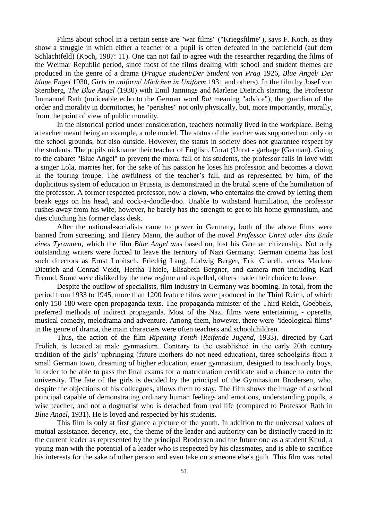Films about school in a certain sense are "war films" ("Kriegsfilme"), says F. Koch, as they show a struggle in which either a teacher or a pupil is often defeated in the battlefield (auf dem Schlachtfeld) (Koch, 1987: 11). One can not fail to agree with the researcher regarding the films of the Weimar Republic period, since most of the films dealing with school and student themes are produced in the genre of a drama (*Prague student*/*Der Student von Prag* 1926, *Blue Angel*/ *Der blaue Engel* 1930, *Girls in uniform*/ *Mädchen in Uniform* 1931 and others). In the film by Josef von Sternberg, *The Blue Angel* (1930) with [Emil Jannings](https://en.wikipedia.org/wiki/Emil_Jannings) and [Marlene Dietrich](https://en.wikipedia.org/wiki/Marlene_Dietrich) starring, the Professor Immanuel Rath (noticeable echo to the German word *Rat* meaning "advice"), the guardian of the order and morality in dormitories, he "perishes" not only physically, but, more importantly, morally, from the point of view of public morality.

In the historical period under consideration, teachers normally lived in the workplace. Being a teacher meant being an example, a role model. The status of the teacher was supported not only on the school grounds, but also outside. However, the status in society does not guarantee respect by the students. The pupils nickname their teacher of English, Unrat (Unrat - garbage (German). Going to the cabaret "Blue Angel" to prevent the moral fall of his students, the professor falls in love with a singer Lola, marries her, for the sake of his passion he loses his profession and becomes a clown in the touring troupe. The awfulness of the teacher's fall, and as represented by him, of the duplicitous system of education in Prussia, is demonstrated in the brutal scene of the humiliation of the professor. A former respected professor, now a clown, who entertains the crowd by letting them break eggs on his head, and cock-a-doodle-doo. Unable to withstand humiliation, the professor rushes away from his wife, however, he barely has the strength to get to his home gymnasium, and dies clutching his former class desk.

After the national-socialists came to power in Germany, both of the above films were banned from screening, and Henry Mann, the author of the novel *[Professor Unrat oder das Ende](https://de.wikipedia.org/wiki/Professor_Unrat)  [eines Tyrannen](https://de.wikipedia.org/wiki/Professor_Unrat)*, which the film *Blue Angel* was based on, lost his German citizenship. Not only outstanding writers were forced to leave the territory of Nazi Germany. German cinema has lost such directors as Ernst Lubitsch, Friedrig Lang, Ludwig Berger, Eric Charell, actors Marlene Dietrich and Conrad Veidt, Hertha Thiele, Elisabeth Bergner, and camera men including Karl Freund. Some were disliked by the new regime and expelled, others made their choice to leave.

Despite the outflow of specialists, film industry in Germany was booming. In total, from the period from 1933 to 1945, more than 1200 feature films were produced in the Third Reich, of which only 150-180 were open propaganda texts. The propaganda minister of the Third Reich, Goebbels, preferred methods of indirect propaganda. Most of the Nazi films were entertaining - operetta, musical comedy, melodrama and adventure. Among them, however, there were "ideological films" in the genre of drama, the main characters were often teachers and schoolchildren.

Thus, the action of the film *Ripening Youth* (*Reifende Jugend*, 1933), directed by Carl Frölich, is located at male gymnasium. Contrary to the established in the early 20th century tradition of the girls' upbringing (future mothers do not need education), three schoolgirls from a small German town, dreaming of higher education, enter gymnasium, designed to teach only boys, in order to be able to pass the final exams for a matriculation certificate and a chance to enter the university. The fate of the girls is decided by the principal of the Gymnasium Brodersen, who, despite the objections of his colleagues, allows them to stay. The film shows the image of a school principal capable of demonstrating ordinary human feelings and emotions, understanding pupils, a wise teacher, and not a dogmatist who is detached from real life (compared to Professor Rath in *Blue Angel*, 1931). He is loved and respected by his students.

This film is only at first glance a picture of the youth. In addition to the universal values of mutual assistance, decency, etc., the theme of the leader and authority can be distinctly traced in it: the current leader as represented by the principal Brodersen and the future one as a student Knud, a young man with the potential of a leader who is respected by his classmates, and is able to sacrifice his interests for the sake of other person and even take on someone else's guilt. This film was noted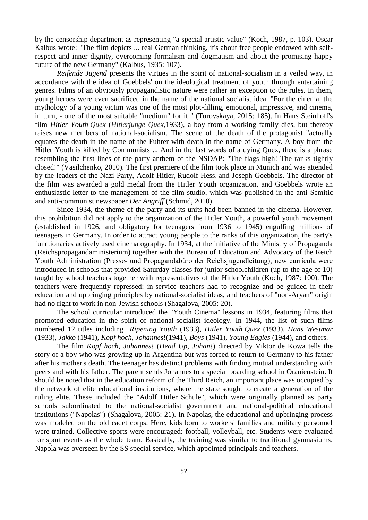by the censorship department as representing "a special artistic value" (Koch, 1987, p. 103). Oscar Kalbus wrote: "The film depicts ... real German thinking, it's about free people endowed with selfrespect and inner dignity, overcoming formalism and dogmatism and about the promising happy future of the new Germany" (Kalbus, 1935: 107).

*Reifende Jugend* presents the virtues in the spirit of national-socialism in a veiled way, in accordance with the idea of Goebbels' on the ideological treatment of youth through entertaining genres. Films of an obviously propagandistic nature were rather an exception to the rules. In them, young heroes were even sacrificed in the name of the national socialist idea. "For the cinema, the mythology of a young victim was one of the most plot-filling, emotional, impressive, and cinema, in turn, - one of the most suitable "medium" for it " (Turovskaya, 2015: 185). In Hans Steinhoff's film *Hitler Youth Quex* (*Hitlerjunge Quex*,1933), a boy from a working family dies, but thereby raises new members of national-socialism. The scene of the death of the protagonist "actually equates the death in the name of the Fuhrer with death in the name of Germany. A boy from the Hitler Youth is killed by Communists ... And in the last words of a dying Quex, there is a phrase resembling the first lines of the party anthem of the NSDAP: "The flags high! The ranks tightly closed!" (Vasilchenko, 2010). The first premiere of the film took place in Munich and was attended by the leaders of the Nazi Party, Adolf Hitler, Rudolf Hess, and Joseph Goebbels. The director of the film was awarded a gold medal from the Hitler Youth organization, and Goebbels wrote an enthusiastic letter to the management of the film studio, which was published in the anti-Semitic and anti-communist newspaper *Der Angriff* (Schmid, 2010).

Since 1934, the theme of the party and its units had been banned in the cinema. However, this prohibition did not apply to the organization of the Hitler Youth, a powerful youth movement (established in 1926, and obligatory for teenagers from 1936 to 1945) engulfing millions of teenagers in Germany. In order to attract young people to the ranks of this organization, the party's functionaries actively used cinematography. In 1934, at the initiative of the Ministry of Propaganda (Reichspropagandaministerium) together with the Bureau of Education and Advocacy of the Reich Youth Administration (Presse- und Propagandabüro der Reichsjugendleitung), new curricula were introduced in schools that provided Saturday classes for junior schoolchildren (up to the age of 10) taught by school teachers together with representatives of the Hitler Youth (Koch, 1987: 100). The teachers were frequently repressed: in-service teachers had to recognize and be guided in their education and upbringing principles by national-socialist ideas, and teachers of "non-Aryan" origin had no right to work in non-Jewish schools (Shagalova, 2005: 20).

The school curricular introduced the "Youth Cinema" lessons in 1934, featuring films that promoted education in the spirit of national-socialist ideology. In 1944, the list of such films numbered 12 titles including *Ripening Youth* (1933), *Hitler Youth Quex* (1933), *Hans Westmar* (1933), *Jakko* (1941), *Kopf hoch, Johannes*!(1941), *Boys* (1941), *Young Eagles* (1944), and others.

The film *Kopf hoch, Johannes!* (*Head Up, Johan!*) directed by Viktor de Kowa tells the story of a boy who was growing up in Argentina but was forced to return to Germany to his father after his mother's death. The teenager has distinct problems with finding mutual understanding with peers and with his father. The parent sends Johannes to a special boarding school in Oranienstein. It should be noted that in the education reform of the Third Reich, an important place was occupied by the network of elite educational institutions, where the state sought to create a generation of the ruling elite. These included the "Adolf Hitler Schule", which were originally planned as party schools subordinated to the national-socialist government and national-political educational institutions ("Napolas") (Shagalova, 2005: 21). In Napolas, the educational and upbringing process was modeled on the old cadet corps. Here, kids born to workers' families and military personnel were trained. Collective sports were encouraged: football, volleyball, etc. Students were evaluated for sport events as the whole team. Basically, the training was similar to traditional gymnasiums. Napola was overseen by the SS special service, which appointed principals and teachers.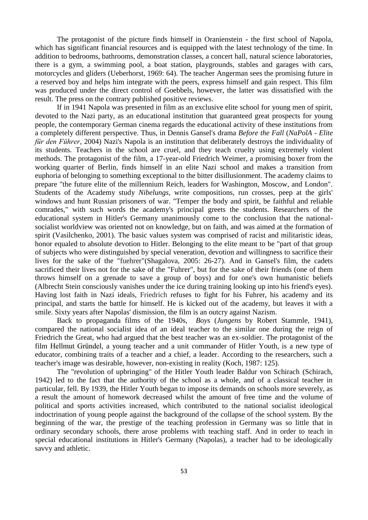The protagonist of the picture finds himself in Oranienstein - the first school of Napola, which has significant financial resources and is equipped with the latest technology of the time. In addition to bedrooms, bathrooms, demonstration classes, a concert hall, natural science laboratories, there is a gym, a swimming pool, a boat station, playgrounds, stables and garages with cars, motorcycles and gliders (Ueberhorst, 1969: 64). The teacher Angerman sees the promising future in a reserved boy and helps him integrate with the peers, express himself and gain respect. This film was produced under the direct control of Goebbels, however, the latter was dissatisfied with the result. The press on the contrary published positive reviews.

If in 1941 Napola was presented in film as an exclusive elite school for young men of spirit, devoted to the Nazi party, as an educational institution that guaranteed great prospects for young people, the contemporary German cinema regards the educational activity of these institutions from a completely different perspective. Thus, in Dennis Gansel's drama *Before the Fall* (*NaPolA - Elite für den Führer*, 2004) Nazi's Napola is an institution that deliberately destroys the individuality of its students. Teachers in the school are cruel, and they teach cruelty using extremely violent methods. The protagonist of the film, a 17-year-old Friedrich Weimer, a promising boxer from the working quarter of Berlin, finds himself in an elite Nazi school and makes a transition from euphoria of belonging to something exceptional to the bitter disillusionment. The academy claims to prepare "the future elite of the millennium Reich, leaders for Washington, Moscow, and London". Students of the Academy study *Nibelungs*, write compositions, run crosses, peep at the girls' windows and hunt Russian prisoners of war. "Temper the body and spirit, be faithful and reliable comrades," with such words the academy's principal greets the students. Researchers of the educational system in Hitler's Germany unanimously come to the conclusion that the nationalsocialist worldview was oriented not on knowledge, but on faith, and was aimed at the formation of spirit (Vasilchenko, 2001). The basic values system was comprised of racist and militaristic ideas, honor equaled to absolute devotion to Hitler. Belonging to the elite meant to be "part of that group of subjects who were distinguished by special veneration, devotion and willingness to sacrifice their lives for the sake of the "fuehrer"(Shagalova, 2005: 26-27). And in Gansel's film, the cadets sacrificed their lives not for the sake of the "Fuhrer", but for the sake of their friends (one of them throws himself on a grenade to save a group of boys) and for one's own humanistic beliefs (Albrecht Stein consciously vanishes under the ice during training looking up into his friend's eyes). Having lost faith in Nazi ideals, Friedrich refuses to fight for his Fuhrer, his academy and its principal, and starts the battle for himself. He is kicked out of the academy, but leaves it with a smile. Sixty years after Napolas' dismission, the film is an outcry against Nazism.

Back to propaganda films of the 1940s, *Boys* (*Jungens* by Robert Stammle, 1941), compared the national socialist idea of an ideal teacher to the similar one during the reign of Friedrich the Great, who had argued that the best teacher was an ex-soldier. The protagonist of the film Hellmut Gründel, a young teacher and a unit commander of Hitler Youth, is a new type of educator, combining traits of a teacher and a chief, a leader. According to the researchers, such a teacher's image was desirable, however, non-existing in reality (Koch, 1987: 125).

The "revolution of upbringing" of the Hitler Youth leader Baldur von Schirach (Schirach, 1942) led to the fact that the authority of the school as a whole, and of a classical teacher in particular, fell. By 1939, the Hitler Youth began to impose its demands on schools more severely, as a result the amount of homework decreased whilst the amount of free time and the volume of political and sports activities increased, which contributed to the national socialist ideological indoctrination of young people against the background of the collapse of the school system. By the beginning of the war, the prestige of the teaching profession in Germany was so little that in ordinary secondary schools, there arose problems with teaching staff. And in order to teach in special educational institutions in Hitler's Germany (Napolas), a teacher had to be ideologically savvy and athletic.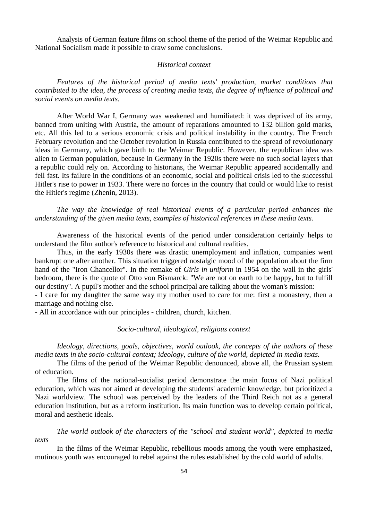Analysis of German feature films on school theme of the period of the Weimar Republic and National Socialism made it possible to draw some conclusions.

#### *Historical context*

*Features of the historical period of media texts' production, market conditions that contributed to the idea, the process of creating media texts, the degree of influence of political and social events on media texts.*

After World War I, Germany was weakened and humiliated: it was deprived of its army, banned from uniting with Austria, the amount of reparations amounted to 132 billion gold marks, etc. All this led to a serious economic crisis and political instability in the country. The French February revolution and the October revolution in Russia contributed to the spread of revolutionary ideas in Germany, which gave birth to the Weimar Republic. However, the republican idea was alien to German population, because in Germany in the 1920s there were no such social layers that a republic could rely on. According to historians, the Weimar Republic appeared accidentally and fell fast. Its failure in the conditions of an economic, social and political crisis led to the successful Hitler's rise to power in 1933. There were no forces in the country that could or would like to resist the Hitler's regime (Zhenin, 2013).

*The way the knowledge of real historical events of a particular period enhances the understanding of the given media texts, examples of historical references in these media texts.*

Awareness of the historical events of the period under consideration certainly helps to understand the film author's reference to historical and cultural realities.

Thus, in the early 1930s there was drastic unemployment and inflation, companies went bankrupt one after another. This situation triggered nostalgic mood of the population about the firm hand of the "Iron Chancellor". In the remake of *Girls in uniform* in 1954 on the wall in the girls' bedroom, there is the quote of Otto von Bismarck: "We are not on earth to be happy, but to fulfill our destiny". A pupil's mother and the school principal are talking about the woman's mission:

- I care for my daughter the same way my mother used to care for me: first a monastery, then a marriage and nothing else.

- All in accordance with our principles - children, church, kitchen.

### *Socio-cultural, ideological, religious context*

*Ideology, directions, goals, objectives, world outlook, the concepts of the authors of these media texts in the socio-cultural context; ideology, culture of the world, depicted in media texts.*

The films of the period of the Weimar Republic denounced, above all, the Prussian system of education.

The films of the national-socialist period demonstrate the main focus of Nazi political education, which was not aimed at developing the students' academic knowledge, but prioritized a Nazi worldview. The school was perceived by the leaders of the Third Reich not as a general education institution, but as a reform institution. Its main function was to develop certain political, moral and aesthetic ideals.

*The world outlook of the characters of the "school and student world", depicted in media texts*

In the films of the Weimar Republic, rebellious moods among the youth were emphasized, mutinous youth was encouraged to rebel against the rules established by the cold world of adults.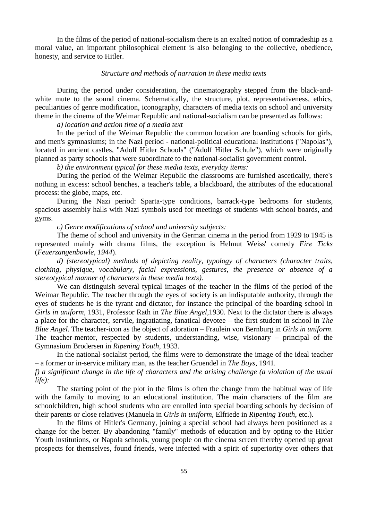In the films of the period of national-socialism there is an exalted notion of comradeship as a moral value, an important philosophical element is also belonging to the collective, obedience, honesty, and service to Hitler.

### *Structure and methods of narration in these media texts*

During the period under consideration, the cinematography stepped from the black-andwhite mute to the sound cinema. Schematically, the structure, plot, representativeness, ethics, peculiarities of genre modification, iconography, characters of media texts on school and university theme in the cinema of the Weimar Republic and national-socialism can be presented as follows:

*a) location and action time of a media text* 

In the period of the Weimar Republic the common location are boarding schools for girls, and men's gymnasiums; in the Nazi period - national-political educational institutions ("Napolas"), located in ancient castles, "Adolf Hitler Schools" ("Adolf Hitler Schule"), which were originally planned as party schools that were subordinate to the national-socialist government control.

*b) the environment typical for these media texts, everyday items:*

During the period of the Weimar Republic the classrooms are furnished ascetically, there's nothing in excess: school benches, a teacher's table, a blackboard, the attributes of the educational process: the globe, maps, etc.

During the Nazi period: Sparta-type conditions, barrack-type bedrooms for students, spacious assembly halls with Nazi symbols used for meetings of students with school boards, and gyms.

*c) Genre modifications of school and university subjects:*

The theme of school and university in the German cinema in the period from 1929 to 1945 is represented mainly with drama films, the exception is Helmut Weiss' comedy *Fire Ticks* (*Feuerzangenbowle, 1944*).

*d) (stereotypical) methods of depicting reality, typology of characters (character traits, clothing, physique, vocabulary, facial expressions, gestures, the presence or absence of a stereotypical manner of characters in these media texts).*

We can distinguish several typical images of the teacher in the films of the period of the Weimar Republic. The teacher through the eyes of society is an indisputable authority, through the eyes of students he is the tyrant and dictator, for instance the principal of the boarding school in *Girls in uniform*, 1931, Professor Rath in *The Blue Angel*,1930. Next to the dictator there is always a place for the character, servile, ingratiating, fanatical devotee – the first student in school in *The Blue Angel*. The teacher-icon as the object of adoration – Fraulein von Bernburg in *Girls in uniform*. The teacher-mentor, respected by students, understanding, wise, visionary – principal of the Gymnasium Brodersen in *Ripening Youth*, 1933.

In the national-socialist period, the films were to demonstrate the image of the ideal teacher – a former or in-service military man, as the teacher Gruendel in *The Boys*, 1941.

*f) a significant change in the life of characters and the arising challenge (a violation of the usual life):*

The starting point of the plot in the films is often the change from the habitual way of life with the family to moving to an educational institution. The main characters of the film are schoolchildren, high school students who are enrolled into special boarding schools by decision of their parents or close relatives (Manuela in *Girls in uniform*, Elfriede in *Ripening Youth*, etc.).

In the films of Hitler's Germany, joining a special school had always been positioned as a change for the better. By abandoning "family" methods of education and by opting to the Hitler Youth institutions, or Napola schools, young people on the cinema screen thereby opened up great prospects for themselves, found friends, were infected with a spirit of superiority over others that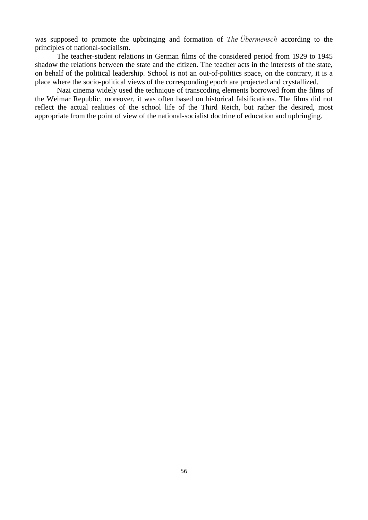was supposed to promote the upbringing and formation of *The Übermensch* according to the principles of national-socialism.

The teacher-student relations in German films of the considered period from 1929 to 1945 shadow the relations between the state and the citizen. The teacher acts in the interests of the state, on behalf of the political leadership. School is not an out-of-politics space, on the contrary, it is a place where the socio-political views of the corresponding epoch are projected and crystallized.

Nazi cinema widely used the technique of transcoding elements borrowed from the films of the Weimar Republic, moreover, it was often based on historical falsifications. The films did not reflect the actual realities of the school life of the Third Reich, but rather the desired, most appropriate from the point of view of the national-socialist doctrine of education and upbringing.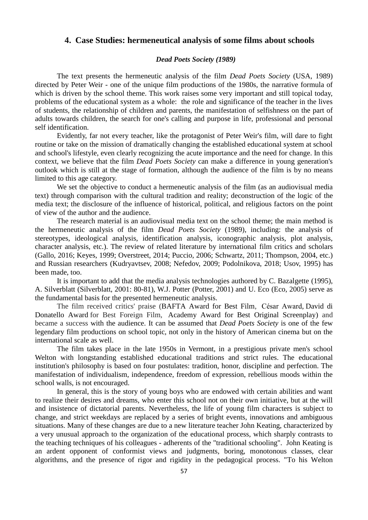## **4. Case Studies: hermeneutical analysis of some films about schools**

## *Dead Poets Society (1989)*

The text presents the hermeneutic analysis of the film *Dead Poets Society* (USA, 1989) directed by Peter Weir - one of the unique film productions of the 1980s, the narrative formula of which is driven by the school theme. This work raises some very important and still topical today, problems of the educational system as a whole: the role and significance of the teacher in the lives of students, the relationship of children and parents, the manifestation of selfishness on the part of adults towards children, the search for one's calling and purpose in life, professional and personal self identification.

Evidently, far not every teacher, like the protagonist of Peter Weir's film, will dare to fight routine or take on the mission of dramatically changing the established educational system at school and school's lifestyle, even clearly recognizing the acute importance and the need for change. In this context, we believe that the film *Dead Poets Society* can make a difference in young generation's outlook which is still at the stage of formation, although the audience of the film is by no means limited to this age category.

We set the objective to conduct a hermeneutic analysis of the film (as an audiovisual media text) through comparison with the cultural tradition and reality; deconstruction of the logic of the media text; the disclosure of the influence of historical, political, and religious factors on the point of view of the author and the audience.

The research material is an audiovisual media text on the school theme; the main method is the hermeneutic analysis of the film *Dead Poets Society* (1989), including: the analysis of stereotypes, ideological analysis, identification analysis, iconographic analysis, plot analysis, character analysis, etc.). The review of related literature by international film critics and scholars (Gallo, 2016; Keyes, 1999; Overstreet, 2014; Puccio, 2006; Schwartz, 2011; Thompson, 2004, etc.) and Russian researchers (Kudryavtsev, 2008; Nefedov, 2009; Podolnikova, 2018; Usov, 1995) has been made, too.

It is important to add that the media analysis technologies authored by C. Bazalgette (1995), A. Silverblatt (Silverblatt, 2001: 80-81), W.J. Potter (Potter, 2001) and U. Eco (Eco, 2005) serve as the fundamental basis for the presented hermeneutic analysis.

The film received critics' praise (BAFTA Award for Best Film, César Award, David di Donatello Award for Best Foreign Film, Academy Award for Best Original Screenplay) and became a success with the audience. It can be assumed that *Dead Poets Society* is one of the few legendary film productions on school topic, not only in the history of American cinema but on the international scale as well.

The film takes place in the late 1950s in Vermont, in a prestigious private men's school Welton with longstanding established educational traditions and strict rules. The educational institution's philosophy is based on four postulates: tradition, honor, discipline and perfection. The manifestation of individualism, independence, freedom of expression, rebellious moods within the school walls, is not encouraged.

In general, this is the story of young boys who are endowed with certain abilities and want to realize their desires and dreams, who enter this school not on their own initiative, but at the will and insistence of dictatorial parents. Nevertheless, the life of young film characters is subject to change, and strict weekdays are replaced by a series of bright events, innovations and ambiguous situations. Many of these changes are due to a new literature teacher John Keating, characterized by a very unusual approach to the organization of the educational process, which sharply contrasts to the teaching techniques of his colleagues - adherents of the "traditional schooling". John Keating is an ardent opponent of conformist views and judgments, boring, monotonous classes, clear algorithms, and the presence of rigor and rigidity in the pedagogical process. "To his Welton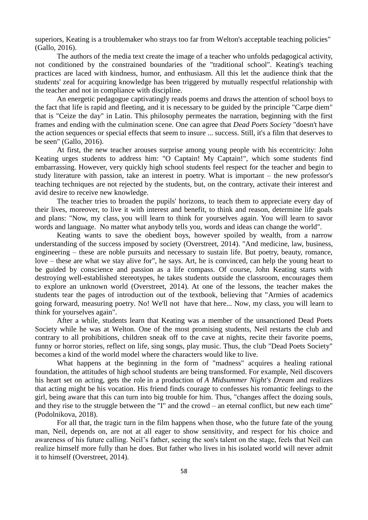superiors, Keating is a troublemaker who strays too far from Welton's acceptable teaching policies" (Gallo, 2016).

The authors of the media text create the image of a teacher who unfolds pedagogical activity, not conditioned by the constrained boundaries of the "traditional school". Keating's teaching practices are laced with kindness, humor, and enthusiasm. All this let the audience think that the students' zeal for acquiring knowledge has been triggered by mutually respectful relationship with the teacher and not in compliance with discipline.

An energetic pedagogue captivatingly reads poems and draws the attention of school boys to the fact that life is rapid and fleeting, and it is necessary to be guided by the principle "Carpe diem" that is "Ceize the day" in Latin. This philosophy permeates the narration, beginning with the first frames and ending with the culmination scene. One can agree that *Dead Poets Society* "doesn't have the action sequences or special effects that seem to insure ... success. Still, it's a film that deserves to be seen" (Gallo, 2016).

At first, the new teacher arouses surprise among young people with his eccentricity: John Keating urges students to address him: "O Captain! My Captain!", which some students find embarrassing. However, very quickly high school students feel respect for the teacher and begin to study literature with passion, take an interest in poetry. What is important – the new professor's teaching techniques are not rejected by the students, but, on the contrary, activate their interest and avid desire to receive new knowledge.

The teacher tries to broaden the pupils' horizons, to teach them to appreciate every day of their lives, moreover, to live it with interest and benefit, to think and reason, determine life goals and plans: "Now, my class, you will learn to think for yourselves again. You will learn to savor words and language. No matter what anybody tells you, words and ideas can change the world".

Keating wants to save the obedient boys, however spoiled by wealth, from a narrow understanding of the success imposed by society (Overstreet, 2014). "And medicine, law, business, engineering – these are noble pursuits and necessary to sustain life. But poetry, beauty, romance, love – these are what we stay alive for", he says. Art, he is convinced, can help the young heart to be guided by conscience and passion as a life compass. Of course, John Keating starts with destroying well-established stereotypes, he takes students outside the classroom, encourages them to explore an unknown world (Overstreet, 2014). At one of the lessons, the teacher makes the students tear the pages of introduction out of the textbook, believing that "Armies of academics going forward, measuring poetry. No! We'll not have that here... Now, my class, you [will learn to](https://genius.com/Tom-schulman-dead-poets-society-entire-script-annotated#note-11803613)  [think for yourselves again"](https://genius.com/Tom-schulman-dead-poets-society-entire-script-annotated#note-11803613).

After a while, students learn that Keating was a member of the unsanctioned Dead Poets Society while he was at Welton. One of the most promising students, Neil restarts the club and contrary to all prohibitions, children sneak off to the cave at nights, recite their favorite poems, funny or horror stories, reflect on life, sing songs, play music. Thus, the club "Dead Poets Society" becomes a kind of the world model where the characters would like to live.

What happens at the beginning in the form of "madness" acquires a healing rational foundation, the attitudes of high school students are being transformed. For example, Neil discovers his heart set on acting, gets the role in a production of *A Midsummer Night's Dream* and realizes that acting might be his vocation. His friend finds courage to confesses his romantic feelings to the girl, being aware that this can turn into big trouble for him. Thus, "changes affect the dozing souls, and they rise to the struggle between the "I" and the crowd – an eternal conflict, but new each time" (Podolnikova, 2018).

For all that, the tragic turn in the film happens when those, who the future fate of the young man, Neil, depends on, are not at all eager to show sensitivity, and respect for his choice and awareness of his future calling. Neil's father, seeing the son's talent on the stage, feels that Neil can realize himself more fully than he does. But father who lives in his isolated world will never admit it to himself (Overstreet, 2014).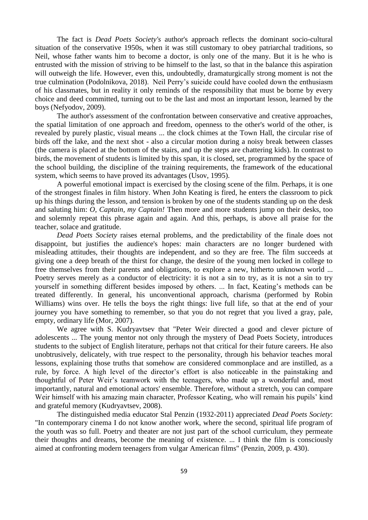The fact is *Dead Poets Society's* author's approach reflects the dominant socio-cultural situation of the conservative 1950s, when it was still customary to obey patriarchal traditions, so Neil, whose father wants him to become a doctor, is only one of the many. But it is he who is entrusted with the mission of striving to be himself to the last, so that in the balance this aspiration will outweigh the life. However, even this, undoubtedly, dramaturgically strong moment is not the true culmination (Podolnikova, 2018). Neil Perry's suicide could have cooled down the enthusiasm of his classmates, but in reality it only reminds of the responsibility that must be borne by every choice and deed committed, turning out to be the last and most an important lesson, learned by the boys (Nefyodov, 2009).

The author's assessment of the confrontation between conservative and creative approaches, the spatial limitation of one approach and freedom, openness to the other's world of the other, is revealed by purely plastic, visual means ... the clock chimes at the Town Hall, the circular rise of birds off the lake, and the next shot - also a circular motion during a noisy break between classes (the camera is placed at the bottom of the stairs, and up the steps are chattering kids). In contrast to birds, the movement of students is limited by this span, it is closed, set, programmed by the space of the school building, the discipline of the training requirements, the framework of the educational system, which seems to have proved its advantages (Usov, 1995).

A powerful emotional impact is exercised by the closing scene of the film. Perhaps, it is one of the strongest finales in film history. When John Keating is fired, he enters the classroom to pick up his things during the lesson, and tension is broken by one of the students standing up on the desk and saluting him: *O, Captain, my Captain!* Then more and more students jump on their desks, too and solemnly repeat this phrase again and again. And this, perhaps, is above all praise for the teacher, solace and gratitude.

*Dead Poets Society* raises eternal problems, and the predictability of the finale does not disappoint, but justifies the audience's hopes: main characters are no longer burdened with misleading attitudes, their thoughts are independent, and so they are free. The film succeeds at giving one a deep breath of the thirst for change, the desire of the young men locked in college to free themselves from their parents and obligations, to explore a new, hitherto unknown world ... Poetry serves merely as a conductor of electricity: it is not a sin to try, as it is not a sin to try yourself in something different besides imposed by others. ... In fact, Keating's methods can be treated differently. In general, his unconventional approach, charisma (performed by Robin Williams) wins over. He tells the boys the right things: live full life, so that at the end of your journey you have something to remember, so that you do not regret that you lived a gray, pale, empty, ordinary life (Mor, 2007).

We agree with S. Kudryavtsev that "Peter Weir directed a good and clever picture of adolescents ... The young mentor not only through the mystery of Dead Poets Society, introduces students to the subject of English literature, perhaps not that critical for their future careers. He also unobtrusively, delicately, with true respect to the personality, through his behavior teaches moral lessons, explaining those truths that somehow are considered commonplace and are instilled, as a rule, by force. A high level of the director's effort is also noticeable in the painstaking and thoughtful of Peter Weir's teamwork with the teenagers, who made up a wonderful and, most importantly, natural and emotional actors' ensemble. Therefore, without a stretch, you can compare Weir himself with his amazing main character, Professor Keating, who will remain his pupils' kind and grateful memory (Kudryavtsev, 2008).

The distinguished media educator Stal Penzin (1932-2011) appreciated *Dead Poets Society*: "In contemporary cinema I do not know another work, where the second, spiritual life program of the youth was so full. Poetry and theater are not just part of the school curriculum, they permeate their thoughts and dreams, become the meaning of existence. ... I think the film is consciously aimed at confronting modern teenagers from vulgar American films" (Penzin, 2009, p. 430).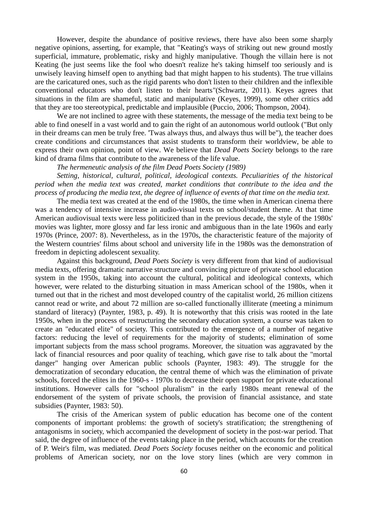However, despite the abundance of positive reviews, there have also been some sharply negative opinions, asserting, for example, that "Keating's ways of striking out new ground mostly superficial, immature, problematic, risky and highly manipulative. Though the villain here is not Keating (he just seems like the fool who doesn't realize he's taking himself too seriously and is unwisely leaving himself open to anything bad that might happen to his students). The true villains are the caricatured ones, such as the rigid parents who don't listen to their children and the inflexible conventional educators who don't listen to their hearts"(Schwartz, 2011). Keyes agrees that situations in the film are shameful, static and manipulative (Keyes, 1999), some other critics add that they are too stereotypical, predictable and implausible (Puccio, 2006; Thompson, 2004).

We are not inclined to agree with these statements, the message of the media text being to be able to find oneself in a vast world and to gain the right of an autonomous world outlook ("But only in their dreams can men be truly free. 'Twas always thus, and always thus will be"), the teacher does create conditions and circumstances that assist students to transform their worldview, be able to express their own opinion, point of view. We believe that *Dead Poets Society* belongs to the rare kind of drama films that contribute to the awareness of the life value.

*The hermeneutic analysis of the film Dead Poets Society (1989)*

*Setting, historical, cultural, political, ideological contexts. Peculiarities of the historical period when the media text was created, market conditions that contribute to the idea and the process of producing the media text, the degree of influence of events of that time on the media text.*

The media text was created at the end of the 1980s, the time when in American cinema there was a tendency of intensive increase in audio-visual texts on school/student theme. At that time American audiovisual texts were less politicized than in the previous decade, the style of the 1980s' movies was lighter, more glossy and far less ironic and ambiguous than in the late 1960s and early 1970s (Prince, 2007: 8). Nevertheless, as in the 1970s, the characteristic feature of the majority of the Western countries' films about school and university life in the 1980s was the demonstration of freedom in depicting adolescent sexuality.

Against this background, *Dead Poets Society* is very different from that kind of audiovisual media texts, offering dramatic narrative structure and convincing picture of private school education system in the 1950s, taking into account the cultural, political and ideological contexts, which however, were related to the disturbing situation in mass American school of the 1980s, when it turned out that in the richest and most developed country of the capitalist world, 26 million citizens cannot read or write, and about 72 million are so-called functionally illiterate (meeting a minimum standard of literacy) (Paynter, 1983, p. 49). It is noteworthy that this crisis was rooted in the late 1950s, when in the process of restructuring the secondary education system, a course was taken to create an "educated elite" of society. This contributed to the emergence of a number of negative factors: reducing the level of requirements for the majority of students; elimination of some important subjects from the mass school programs. Moreover, the situation was aggravated by the lack of financial resources and poor quality of teaching, which gave rise to talk about the "mortal danger" hanging over American public schools (Paynter, 1983: 49). The struggle for the democratization of secondary education, the central theme of which was the elimination of private schools, forced the elites in the 1960-s - 1970s to decrease their open support for private educational institutions. However calls for "school pluralism" in the early 1980s meant renewal of the endorsement of the system of private schools, the provision of financial assistance, and state subsidies (Paynter, 1983: 50).

The crisis of the American system of public education has become one of the content components of important problems: the growth of society's stratification; the strengthening of antagonisms in society, which accompanied the development of society in the post-war period. That said, the degree of influence of the events taking place in the period, which accounts for the creation of P. Weir's film, was mediated. *Dead Poets Society* focuses neither on the economic and political problems of American society, nor on the love story lines (which are very common in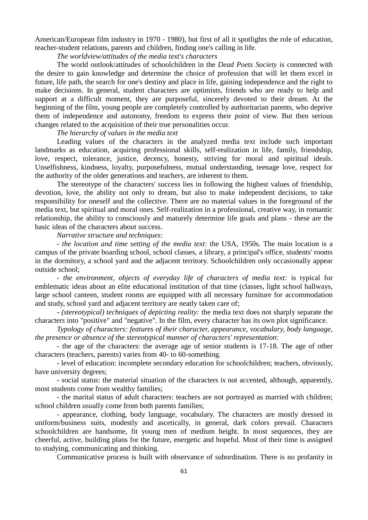American/European film industry in 1970 - 1980), but first of all it spotlights the role of education, teacher-student relations, parents and children, finding one's calling in life.

*The worldview/attitudes of the media text's characters* 

The world outlook/attitudes of schoolchildren in the *Dead Poets Society* is connected with the desire to gain knowledge and determine the choice of profession that will let them excel in future, life path, the search for one's destiny and place in life, gaining independence and the right to make decisions. In general, student characters are optimists, friends who are ready to help and support at a difficult moment, they are purposeful, sincerely devoted to their dream. At the beginning of the film, young people are completely controlled by authoritarian parents, who deprive them of independence and autonomy, freedom to express their point of view. But then serious changes related to the acquisition of their true personalities occur.

## *The hierarchy of values in the media text*

Leading values of the characters in the analyzed media text include such important landmarks as education, acquiring professional skills, self-realization in life, family, friendship, love, respect, tolerance, justice, decency, honesty, striving for moral and spiritual ideals. Unselfishness, kindness, loyalty, purposefulness, mutual understanding, teenage love, respect for the authority of the older generations and teachers, are inherent to them.

The stereotype of the characters' success lies in following the highest values of friendship, devotion, love, the ability not only to dream, but also to make independent decisions, to take responsibility for oneself and the collective. There are no material values in the foreground of the media text, but spiritual and moral ones. Self-realization in a professional, creative way, in romantic relationship, the ability to consciously and maturely determine life goals and plans - these are the basic ideas of the characters about success.

#### *Narrative structure and techniques:*

*- the location and time setting of the media text*: the USA, 1950s. The main location is a campus of the private boarding school, school classes, a library, a principal's office, students' rooms in the dormitory, a school yard and the adjacent territory. Schoolchildren only occasionally appear outside school;

*- the environment, objects of everyday life of characters of media text:* is typical for emblematic ideas about an elite educational institution of that time (classes, light school hallways, large school canteen, student rooms are equipped with all necessary furniture for accommodation and study, school yard and adjacent territory are neatly taken care of;

*- (stereotypical) techniques of depicting reality:* the media text does not sharply separate the characters into "positive" and "negative". In the film, every character has its own plot significance.

*Typology of characters: features of their character, appearance, vocabulary, body language, the presence or absence of the stereotypical manner of characters' representation:*

- the age of the characters: the average age of senior students is 17-18. The age of other characters (teachers, parents) varies from 40- to 60-something.

- level of education: incomplete secondary education for schoolchildren; teachers, obviously, have university degrees;

- social status: the material situation of the characters is not accented, although, apparently, most students come from wealthy families;

- the marital status of adult characters: teachers are not portrayed as married with children; school children usually come from both parents families;

- appearance, clothing, body language, vocabulary. The characters are mostly dressed in uniform/business suits, modestly and ascetically, in general, dark colors prevail. Characters schoolchildren are handsome, fit young men of medium height. In most sequences, they are cheerful, active, building plans for the future, energetic and hopeful. Most of their time is assigned to studying, communicating and thinking.

Communicative process is built with observance of subordination. There is no profanity in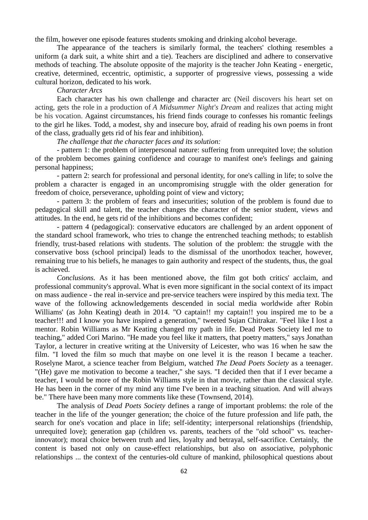the film, however one episode features students smoking and drinking alcohol beverage.

The appearance of the teachers is similarly formal, the teachers' clothing resembles a uniform (a dark suit, a white shirt and a tie). Teachers are disciplined and adhere to conservative methods of teaching. The absolute opposite of the majority is the teacher John Keating - energetic, creative, determined, eccentric, optimistic, a supporter of progressive views, possessing a wide cultural horizon, dedicated to his work.

### *Character Arcs*

Each character has his own challenge and character arc (Neil discovers his heart set on acting, gets the role in a production of *A Midsummer Night's Dream* and realizes that acting might be his vocation. Against circumstances, his friend finds courage to confesses his romantic feelings to the girl he likes. Todd, a modest, shy and insecure boy, afraid of reading his own poems in front of the class, gradually gets rid of his fear and inhibition).

*The challenge that the character faces and its solution:*

- pattern 1: the problem of interpersonal nature: suffering from unrequited love; the solution of the problem becomes gaining confidence and courage to manifest one's feelings and gaining personal happiness;

- pattern 2: search for professional and personal identity, for one's calling in life; to solve the problem a character is engaged in an uncompromising struggle with the older generation for freedom of choice, perseverance, upholding point of view and victory;

- pattern 3: the problem of fears and insecurities; solution of the problem is found due to pedagogical skill and talent, the teacher changes the character of the senior student, views and attitudes. In the end, he gets rid of the inhibitions and becomes confident;

- pattern 4 (pedagogical): conservative educators are challenged by an ardent opponent of the standard school framework, who tries to change the entrenched teaching methods; to establish friendly, trust-based relations with students. The solution of the problem: the struggle with the conservative boss (school principal) leads to the dismissal of the unorthodox teacher, however, remaining true to his beliefs, he manages to gain authority and respect of the students, thus, the goal is achieved.

*Conclusions.* As it has been mentioned above, the film got both critics' acclaim, and professional community's approval. What is even more significant in the social context of its impact on mass audience - the real in-service and pre-service teachers were inspired by this media text. The wave of the following acknowledgements descended in social media worldwide after Robin Williams' (as John Keating) death in 2014. "O captain!! my captain!! you inspired me to be a teacher!!! and I know you have inspired a generation," tweeted Sujan Chitrakar. "Feel like I lost a mentor. Robin Williams as Mr Keating changed my path in life. Dead Poets Society led me to teaching," added Cori Marino. "He made you feel like it matters, that poetry matters," says Jonathan Taylor, a lecturer in creative writing at the University of Leicester, who was 16 when he saw the film. "I loved the film so much that maybe on one level it is the reason I became a teacher. Roselyne Marot, a science teacher from Belgium, watched *The Dead Poets Society* as a teenager. "(He) gave me motivation to become a teacher," she says. "I decided then that if I ever became a teacher, I would be more of the Robin Williams style in that movie, rather than the classical style. He has been in the corner of my mind any time I've been in a teaching situation. And will always be." There have been many more comments like these (Townsend, 2014).

The analysis of *Dead Poets Society* defines a range of important problems: the role of the teacher in the life of the younger generation; the choice of the future profession and life path, the search for one's vocation and place in life; self-identity; interpersonal relationships (friendship, unrequited love); generation gap (children vs. parents, teachers of the "old school" vs. teacherinnovator); moral choice between truth and lies, loyalty and betrayal, self-sacrifice. Certainly, the content is based not only on cause-effect relationships, but also on associative, polyphonic relationships ... the context of the centuries-old culture of mankind, philosophical questions about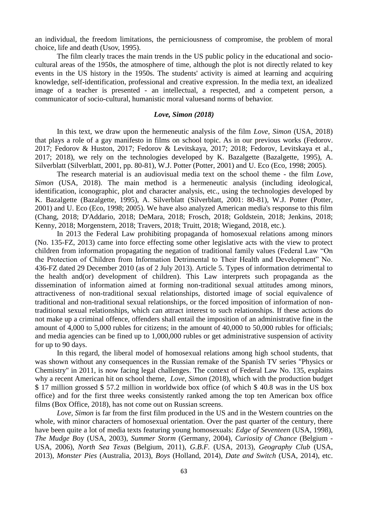an individual, the freedom limitations, the perniciousness of compromise, the problem of moral choice, life and death (Usov, 1995).

The film clearly traces the main trends in the US public policy in the educational and sociocultural areas of the 1950s, the atmosphere of time, although the plot is not directly related to key events in the US history in the 1950s. The students' activity is aimed at learning and acquiring knowledge, self-identification, professional and creative expression. In the media text, an idealized image of a teacher is presented - an intellectual, a respected, and a competent person, a communicator of socio-cultural, humanistic moral valuesand norms of behavior.

## *Love, Simon (2018)*

In this text, we draw upon the hermeneutic analysis of the film *Love, Simon* (USA, 2018) that plays a role of a gay manifesto in films on school topic. As in our previous works (Fedorov. 2017; Fedorov & Huston, 2017; Fedorov & Levitskaya, 2017; 2018; Fedorov, Levitskaya et al., 2017; 2018), we rely on the technologies developed by K. Bazalgette (Bazalgette, 1995), A. Silverblatt (Silverblatt, 2001, pp. 80-81), W.J. Potter (Potter, 2001) and U. Eco (Eco, 1998; 2005).

The research material is an audiovisual media text on the school theme - the film *Love, Simon* (USA, 2018). The main method is a hermeneutic analysis (including ideological, identification, iconographic, plot and character analysis, etc., using the technologies developed by K. Bazalgette (Bazalgette, 1995), A. Silverblatt (Silverblatt, 2001: 80-81), W.J. Potter (Potter, 2001) and U. Eco (Eco, 1998; 2005). We have also analyzed American media's response to this film (Chang, 2018; D'Addario, 2018; DeMara, 2018; Frosch, 2018; Goldstein, 2018; Jenkins, 2018; Kenny, 2018; Morgenstern, 2018; Travers, 2018; Truitt, 2018; Wiegand, 2018, etc.).

In 2013 the Federal Law prohibiting propaganda of homosexual relations among minors (No. 135-FZ, 2013) came into force effecting some other legislative acts with the view to protect children from information propagating the negation of traditional family values (Federal Law "On the Protection of Children from Information Detrimental to Their Health and Development" No. 436-FZ dated 29 December 2010 (as of 2 July 2013). Article 5. Types of information detrimental to the health and(or) development of children). This Law interprets such propaganda as the dissemination of information aimed at forming non-traditional sexual attitudes among minors, attractiveness of non-traditional sexual relationships, distorted image of social equivalence of traditional and non-traditional sexual relationships, or the forced imposition of information of nontraditional sexual relationships, which can attract interest to such relationships. If these actions do not make up a criminal offence, offenders shall entail the imposition of an administrative fine in the amount of 4,000 to 5,000 rubles for citizens; in the amount of 40,000 to 50,000 rubles for officials; and media agencies can be fined up to 1,000,000 rubles or get administrative suspension of activity for up to 90 days.

In this regard, the liberal model of homosexual relations among high school students, that was shown without any consequences in the Russian remake of the Spanish TV series "Physics or Chemistry" in 2011, is now facing legal challenges. The context of Federal Law No. 135, explains why a recent American hit on school theme, *Love, Simon* (2018), which with the production budget \$ 17 million grossed \$ 57.2 million in worldwide box office (of which \$ 40.8 was in the US box office) and for the first three weeks consistently ranked among the top ten American box office films (Box Office, 2018), has not come out on Russian screens.

*Love, Simon* is far from the first film produced in the US and in the Western countries on the whole, with minor characters of homosexual orientation. Over the past quarter of the century, there have been quite a lot of media texts featuring young homosexuals: *Edge of Seventeen* (USA, 1998), *The Mudge B*oy (USA, 2003), *Summer Storm* (Germany, 2004), *Curiosity of Chance* (Belgium - USA, 2006), *North Sea Texas* (Belgium, 2011), *G.B.F.* (USA, 2013), *Geography Club* (USA, 2013), *Monster Pies* (Australia, 2013), *Boys* (Holland, 2014), *Date and Switch* (USA, 2014), etc.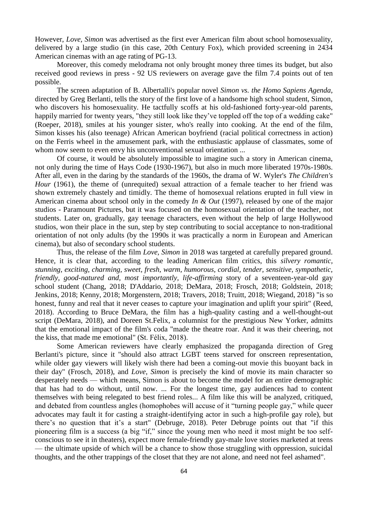However, *Love, Simon* was advertised as the first ever American film about school homosexuality, delivered by a large studio (in this case, 20th Century Fox), which provided screening in 2434 American cinemas with an age rating of PG-13.

Moreover, this comedy melodrama not only brought money three times its budget, but also received good reviews in press - 92 US reviewers on average gave the film 7.4 points out of ten possible.

The screen adaptation of B. Albertalli's popular novel *Simon vs. the Homo Sapiens Agenda*, directed by Greg Berlanti, tells the story of the first love of a handsome high school student, Simon, who discovers his homosexuality. He tactfully scoffs at his old-fashioned forty-year-old parents, happily married for twenty years, "they still look like they've toppled off the top of a wedding cake" (Roeper, 2018), smiles at his younger sister, who's really into cooking. At the end of the film, Simon kisses his (also teenage) African American boyfriend (racial political correctness in action) on the Ferris wheel in the amusement park, with the enthusiastic applause of classmates, some of whom now seem to even envy his unconventional sexual orientation ...

Of course, it would be absolutely impossible to imagine such a story in American cinema, not only during the time of Hays Code (1930-1967), but also in much more liberated 1970s-1980s. After all, even in the daring by the standards of the 1960s, the drama of W. Wyler's *The Children's Hour* (1961), the theme of (unrequited) sexual attraction of a female teacher to her friend was shown extremely chastely and timidly. The theme of homosexual relations erupted in full view in American cinema about school only in the comedy *In & Out* (1997), released by one of the major studios - Paramount Pictures, but it was focused on the homosexual orientation of the teacher, not students. Later on, gradually, gay teenage characters, even without the help of large Hollywood studios, won their place in the sun, step by step contributing to social acceptance to non-traditional orientation of not only adults (by the 1990s it was practically a norm in European and American cinema), but also of secondary school students.

Thus, the release of the film *Love, Simon* in 2018 was targeted at carefully prepared ground. Hence, it is clear that, according to the leading American film critics, this *silvery romantic, stunning, exciting, charming, sweet, fresh, warm, humorous, cordial, tender, sensitive, sympathetic, friendly, good-natured and, most importantly, life-affirming* story of a seventeen-year-old gay school student (Chang, 2018; D'Addario, 2018; DeMara, 2018; Frosch, 2018; Goldstein, 2018; Jenkins, 2018; Kenny, 2018; Morgenstern, 2018; Travers, 2018; Truitt, 2018; Wiegand, 2018) "is so honest, funny and real that it never ceases to capture your imagination and uplift your spirit" (Reed, 2018). According to Bruce DeMara, the film has a high-quality casting and a well-thought-out script (DeMara, 2018), and Doreen St.Felix, a columnist for the prestigious New Yorker, admitts that the emotional impact of the film's coda "made the theatre roar. And it was their cheering, not the kiss, that made me emotional" (St. Félix, 2018).

Some American reviewers have clearly emphasized the propaganda direction of Greg Berlanti's picture, since it "should also attract LGBT teens starved for onscreen representation, while older gay viewers will likely wish there had been a coming-out movie this buoyant back in their day" (Frosch, 2018), and *Love, Simon* is precisely the kind of movie its main character so desperately needs — which means, Simon is about to become the model for an entire demographic that has had to do without, until now. ... For the longest time, gay audiences had to content themselves with being relegated to best friend roles... A film like this will be analyzed, critiqued, and debated from countless angles (homophobes will accuse of it "turning people gay," while queer advocates may fault it for casting a straight-identifying actor in such a high-profile gay role), but there's no question that it's a start" (Debruge, 2018). Peter Debruge points out that "if this pioneering film is a success (a big "if," since the young men who need it most might be too selfconscious to see it in theaters), expect more female-friendly gay-male love stories marketed at teens — the ultimate upside of which will be a chance to show those struggling with oppression, suicidal thoughts, and the other trappings of the closet that they are not alone, and need not feel ashamed".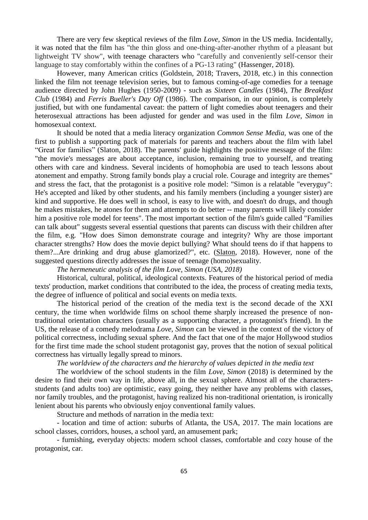There are very few skeptical reviews of the film *Love, Simon* in the US media. Incidentally, it was noted that the film has "the thin gloss and one-thing-after-another rhythm of a pleasant but lightweight TV show", with teenage characters who "carefully and conveniently self-censor their language to stay comfortably within the confines of a PG-13 rating" (Hassenger, 2018).

However, many American critics (Goldstein, 2018; Travers, 2018, etc.) in this connection linked the film not teenage television series, but to famous coming-of-age comedies for a teenage audience directed by John Hughes (1950-2009) - such as *Sixteen Candles* (1984), *The Breakfast Club* (1984) and *Ferris Bueller's Day Off* (1986). The comparison, in our opinion, is completely justified, but with one fundamental caveat: the pattern of light comedies about teenagers and their heterosexual attractions has been adjusted for gender and was used in the film *Love, Simon* in homosexual context.

It should be noted that a media literacy organization *Common Sense Media,* was one of the first to publish a supporting pack of materials for parents and teachers about the film with label "Great for families" [\(Slaton,](https://www.commonsensemedia.org/users/joyce-slaton) 2018). The parents' guide highlights the positive message of the film: "the movie's messages are about acceptance, inclusion, remaining true to yourself, and treating others with care and kindness. Several incidents of homophobia are used to teach lessons about atonement and empathy. Strong family bonds play a crucial role. Courage and integrity are themes" and stress the fact, that the protagonist is a positive role model: "Simon is a relatable "everyguy": He's accepted and liked by other students, and his family members (including a younger sister) are kind and supportive. He does well in school, is easy to live with, and doesn't do drugs, and though he makes mistakes, he atones for them and attempts to do better -- many parents will likely consider him a positive role model for teens". The most important section of the film's guide called "Families can talk about" suggests several essential questions that parents can discuss with their children after the film, e.g. "How does Simon demonstrate courage and integrity? Why are those important character strengths? How does the movie depict bullying? What should teens do if that happens to them?...Are drinking and drug abuse glamorized?", etc. [\(Slaton,](https://www.commonsensemedia.org/users/joyce-slaton) 2018). However, none of the suggested questions directly addresses the issue of teenage (homo)sexuality.

*The hermeneutic analysis of the film Love, Simon (USA, 2018)*

Historical, cultural, political, ideological contexts. Features of the historical period of media texts' production, market conditions that contributed to the idea, the process of creating media texts, the degree of influence of political and social events on media texts.

The historical period of the creation of the media text is the second decade of the XXI century, the time when worldwide films on school theme sharply increased the presence of nontraditional orientation characters (usually as a supporting character, a protagonist's friend). In the US, the release of a comedy melodrama *Love, Simon* can be viewed in the context of the victory of political correctness, including sexual sphere. And the fact that one of the major Hollywood studios for the first time made the school student protagonist gay, proves that the notion of sexual political correctness has virtually legally spread to minors.

*The worldview of the characters and the hierarchy of values depicted in the media text*

The worldview of the school students in the film *Love, Simon* (2018) is determined by the desire to find their own way in life, above all, in the sexual sphere. Almost all of the charactersstudents (and adults too) are optimistic, easy going, they neither have any problems with classes, nor family troubles, and the protagonist, having realized his non-traditional orientation, is ironically lenient about his parents who obviously enjoy conventional family values.

Structure and methods of narration in the media text:

- location and time of action: suburbs of Atlanta, the USA, 2017. The main locations are school classes, corridors, houses, a school yard, an amusement park;

- furnishing, everyday objects: modern school classes, comfortable and cozy house of the protagonist, car.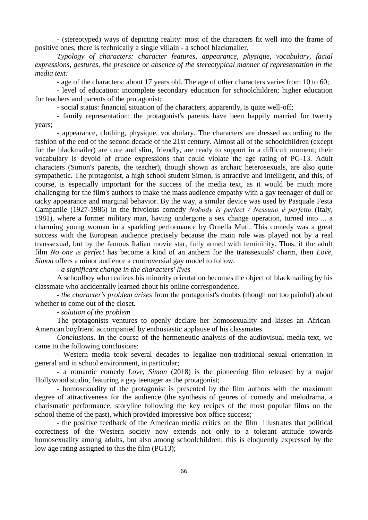- (stereotyped) ways of depicting reality: most of the characters fit well into the frame of positive ones, there is technically a single villain - a school blackmailer.

*Typology of characters: character features, appearance, physique, vocabulary, facial expressions, gestures, the presence or absence of the stereotypical manner of representation in the media text:*

- age of the characters: about 17 years old. The age of other characters varies from 10 to 60;

- level of education: incomplete secondary education for schoolchildren; higher education for teachers and parents of the protagonist;

- social status: financial situation of the characters, apparently, is quite well-off;

- family representation: the protagonist's parents have been happily married for twenty years;

- appearance, clothing, physique, vocabulary. The characters are dressed according to the fashion of the end of the second decade of the 21st century. Almost all of the schoolchildren (except for the blackmailer) are cute and slim, friendly, are ready to support in a difficult moment; their vocabulary is devoid of crude expressions that could violate the age rating of PG-13. Adult characters (Simon's parents, the teacher), though shown as archaic heterosexuals, are also quite sympathetic. The protagonist, a high school student Simon, is attractive and intelligent, and this, of course, is especially important for the success of the media text, as it would be much more challenging for the film's authors to make the mass audience empathy with a gay teenager of dull or tacky appearance and marginal behavior. By the way, a similar device was used by Pasquale Festa Campanile (1927-1986) in the frivolous comedy *Nobody is perfect / Nessuno è perfetto* (Italy, 1981), where a former military man, having undergone a sex change operation, turned into ... a charming young woman in a sparkling performance by Ornella Muti. This comedy was a great success with the European audience precisely because the main role was played not by a real transsexual, but by the famous Italian movie star, fully armed with femininity. Thus, if the adult film *No one is perfect* has become a kind of an anthem for the transsexuals' charm, then *Love, Simon* offers a minor audience a controversial gay model to follow.

*- a significant change in the characters' lives*

A schoolboy who realizes his minority orientation becomes the object of blackmailing by his classmate who accidentally learned about his online correspondence.

*- the character's problem arises* from the protagonist's doubts (though not too painful) about whether to come out of the closet.

*- solution of the problem*

The protagonists ventures to openly declare her homosexuality and kisses an African-American boyfriend accompanied by enthusiastic applause of his classmates.

*Conclusions.* In the course of the hermeneutic analysis of the audiovisual media text, we came to the following conclusions:

- Western media took several decades to legalize non-traditional sexual orientation in general and in school environment, in particular;

- a romantic comedy *Love, Simon* (2018) is the pioneering film released by a major Hollywood studio, featuring a gay teenager as the protagonist;

- homosexuality of the protagonist is presented by the film authors with the maximum degree of attractiveness for the audience (the synthesis of genres of comedy and melodrama, a charismatic performance, storyline following the key recipes of the most popular films on the school theme of the past), which provided impressive box office success;

- the positive feedback of the American media critics on the film illustrates that political correctness of the Western society now extends not only to a tolerant attitude towards homosexuality among adults, but also among schoolchildren: this is eloquently expressed by the low age rating assigned to this the film (PG13);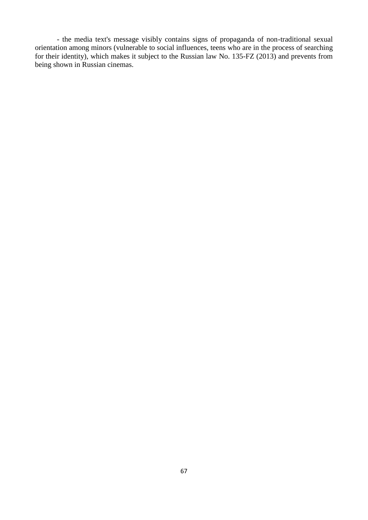- the media text's message visibly contains signs of propaganda of non-traditional sexual orientation among minors (vulnerable to social influences, teens who are in the process of searching for their identity), which makes it subject to the Russian law No. 135-FZ (2013) and prevents from being shown in Russian cinemas.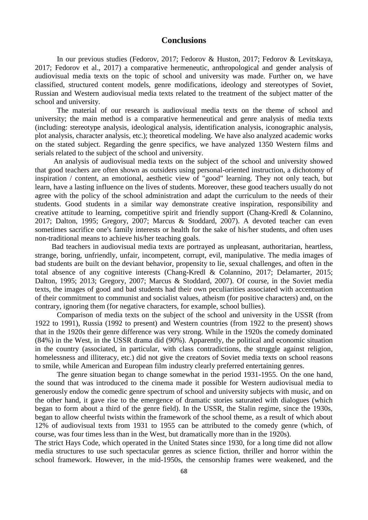# **Conclusions**

In our previous studies (Fedorov, 2017; Fedorov & Huston, 2017; Fedorov & Levitskaya, 2017; Fedorov et al., 2017) a comparative hermeneutic, anthropological and gender analysis of audiovisual media texts on the topic of school and university was made. Further on, we have classified, structured content models, genre modifications, ideology and stereotypes of Soviet, Russian and Western audiovisual media texts related to the treatment of the subject matter of the school and university.

The material of our research is audiovisual media texts on the theme of school and university; the main method is a comparative hermeneutical and genre analysis of media texts (including: stereotype analysis, ideological analysis, identification analysis, iconographic analysis, plot analysis, character analysis, etc.); theoretical modeling. We have also analyzed academic works on the stated subject. Regarding the genre specifics, we have analyzed 1350 Western films and serials related to the subject of the school and university.

 An analysis of audiovisual media texts on the subject of the school and university showed that good teachers are often shown as outsiders using personal-oriented instruction, a dichotomy of inspiration / content, an emotional, aesthetic view of "good" learning. They not only teach, but learn, have a lasting influence on the lives of students. Moreover, these good teachers usually do not agree with the policy of the school administration and adapt the curriculum to the needs of their students. Good students in a similar way demonstrate creative inspiration, responsibility and creative attitude to learning, competitive spirit and friendly support (Chang-Kredl & Colannino, 2017; Dalton, 1995; Gregory, 2007; Marcus & Stoddard, 2007). A devoted teacher can even sometimes sacrifice one's family interests or health for the sake of his/her students, and often uses non-traditional means to achieve his/her teaching goals.

 Bad teachers in audiovisual media texts are portrayed as unpleasant, authoritarian, heartless, strange, boring, unfriendly, unfair, incompetent, corrupt, evil, manipulative. The media images of bad students are built on the deviant behavior, propensity to lie, sexual challenges, and often in the total absence of any cognitive interests (Chang-Kredl & Colannino, 2017; Delamarter, 2015; Dalton, 1995; 2013; Gregory, 2007; Marcus & Stoddard, 2007). Of course, in the Soviet media texts, the images of good and bad students had their own peculiarities associated with accentuation of their commitment to communist and socialist values, atheism (for positive characters) and, on the contrary, ignoring them (for negative characters, for example, school bullies).

Comparison of media texts on the subject of the school and university in the USSR (from 1922 to 1991), Russia (1992 to present) and Western countries (from 1922 to the present) shows that in the 1920s their genre difference was very strong. While in the 1920s the comedy dominated (84%) in the West, in the USSR drama did (90%). Apparently, the political and economic situation in the country (associated, in particular, with class contradictions, the struggle against religion, homelessness and illiteracy, etc.) did not give the creators of Soviet media texts on school reasons to smile, while American and European film industry clearly preferred entertaining genres.

The genre situation began to change somewhat in the period 1931-1955. On the one hand, the sound that was introduced to the cinema made it possible for Western audiovisual media to generously endow the comedic genre spectrum of school and university subjects with music, and on the other hand, it gave rise to the emergence of dramatic stories saturated with dialogues (which began to form about a third of the genre field). In the USSR, the Stalin regime, since the 1930s, began to allow cheerful twists within the framework of the school theme, as a result of which about 12% of audiovisual texts from 1931 to 1955 can be attributed to the comedy genre (which, of course, was four times less than in the West, but dramatically more than in the 1920s).

The strict Hays Code, which operated in the United States since 1930, for a long time did not allow media structures to use such spectacular genres as science fiction, thriller and horror within the school framework. However, in the mid-1950s, the censorship frames were weakened, and the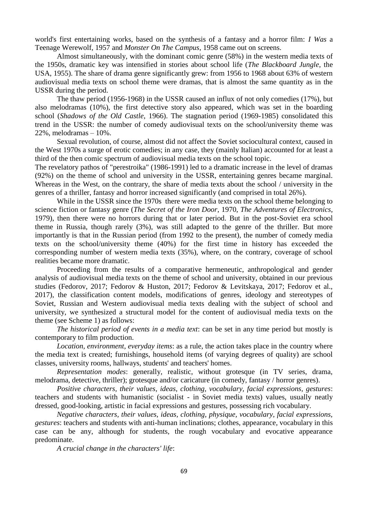world's first entertaining works, based on the synthesis of a fantasy and a horror film: *I Was* a Teenage Werewolf, 1957 and *Monster On The Campus*, 1958 came out on screens.

Almost simultaneously, with the dominant comic genre (58%) in the western media texts of the 1950s, dramatic key was intensified in stories about school life (*The Blackboard Jungle,* the USA, 1955). The share of drama genre significantly grew: from 1956 to 1968 about 63% of western audiovisual media texts on school theme were dramas, that is almost the same quantity as in the USSR during the period.

The thaw period (1956-1968) in the USSR caused an influx of not only comedies (17%), but also melodramas (10%), the first detective story also appeared, which was set in the boarding school (*Shadows of the Old Castle*, 1966). The stagnation period (1969-1985) consolidated this trend in the USSR: the number of comedy audiovisual texts on the school/university theme was 22%, melodramas – 10%.

Sexual revolution, of course, almost did not affect the Soviet sociocultural context, caused in the West 1970s a surge of erotic comedies; in any case, they (mainly Italian) accounted for at least a third of the then comic spectrum of audiovisual media texts on the school topic.

The revelatory pathos of "perestroika" (1986-1991) led to a dramatic increase in the level of dramas (92%) on the theme of school and university in the USSR, entertaining genres became marginal. Whereas in the West, on the contrary, the share of media texts about the school / university in the genres of a thriller, fantasy and horror increased significantly (and comprised in total 26%).

While in the USSR since the 1970s there were media texts on the school theme belonging to science fiction or fantasy genre (*The Secret of the Iron Door*, 1970, *The Adventures of Electronics*, 1979), then there were no horrors during that or later period. But in the post-Soviet era school theme in Russia, though rarely (3%), was still adapted to the genre of the thriller. But more importantly is that in the Russian period (from 1992 to the present), the number of comedy media texts on the school/university theme (40%) for the first time in history has exceeded the corresponding number of western media texts (35%), where, on the contrary, coverage of school realities became more dramatic.

Proceeding from the results of a comparative hermeneutic, anthropological and gender analysis of audiovisual media texts on the theme of school and university, obtained in our previous studies (Fedorov, 2017; Fedorov & Huston, 2017; Fedorov & Levitskaya, 2017; Fedorov et al., 2017), the classification content models, modifications of genres, ideology and stereotypes of Soviet, Russian and Western audiovisual media texts dealing with the subject of school and university, we synthesized a structural model for the content of audiovisual media texts on the theme (see Scheme 1) as follows:

*The historical period of events in a media text*: can be set in any time period but mostly is contemporary to film production.

*Location, environment, everyday items*: as a rule, the action takes place in the country where the media text is created; furnishings, household items (of varying degrees of quality) are school classes, university rooms, hallways, students' and teachers' homes.

*Representation modes*: generally, realistic, without grotesque (in TV series, drama, melodrama, detective, thriller); grotesque and/or caricature (in comedy, fantasy / horror genres).

*Positive characters, their values, ideas, clothing, vocabulary, facial expressions, gestures*: teachers and students with humanistic (socialist - in Soviet media texts) values, usually neatly dressed, good-looking, artistic in facial expressions and gestures, possessing rich vocabulary.

*Negative characters, their values, ideas, clothing, physique, vocabulary, facial expressions, gestures*: teachers and students with anti-human inclinations; clothes, appearance, vocabulary in this case can be any, although for students, the rough vocabulary and evocative appearance predominate.

*A crucial change in the characters' life*: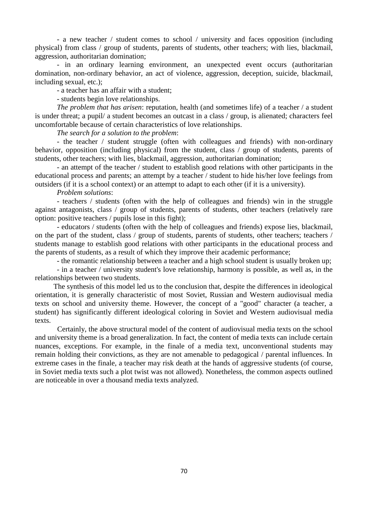- a new teacher / student comes to school / university and faces opposition (including physical) from class / group of students, parents of students, other teachers; with lies, blackmail, aggression, authoritarian domination;

- in an ordinary learning environment, an unexpected event occurs (authoritarian domination, non-ordinary behavior, an act of violence, aggression, deception, suicide, blackmail, including sexual, etc.);

- a teacher has an affair with a student;

- students begin love relationships.

*The problem that has arisen*: reputation, health (and sometimes life) of a teacher / a student is under threat; a pupil/ a student becomes an outcast in a class / group, is alienated; characters feel uncomfortable because of certain characteristics of love relationships.

*The search for a solution to the problem*:

- the teacher / student struggle (often with colleagues and friends) with non-ordinary behavior, opposition (including physical) from the student, class / group of students, parents of students, other teachers; with lies, blackmail, aggression, authoritarian domination;

- an attempt of the teacher / student to establish good relations with other participants in the educational process and parents; an attempt by a teacher / student to hide his/her love feelings from outsiders (if it is a school context) or an attempt to adapt to each other (if it is a university).

*Problem solutions*:

- teachers / students (often with the help of colleagues and friends) win in the struggle against antagonists, class / group of students, parents of students, other teachers (relatively rare option: positive teachers / pupils lose in this fight);

- educators / students (often with the help of colleagues and friends) expose lies, blackmail, on the part of the student, class / group of students, parents of students, other teachers; teachers / students manage to establish good relations with other participants in the educational process and the parents of students, as a result of which they improve their academic performance;

- the romantic relationship between a teacher and a high school student is usually broken up;

- in a teacher / university student's love relationship, harmony is possible, as well as, in the relationships between two students.

 The synthesis of this model led us to the conclusion that, despite the differences in ideological orientation, it is generally characteristic of most Soviet, Russian and Western audiovisual media texts on school and university theme. However, the concept of a "good" character (a teacher, a student) has significantly different ideological coloring in Soviet and Western audiovisual media texts.

 Certainly, the above structural model of the content of audiovisual media texts on the school and university theme is a broad generalization. In fact, the content of media texts can include certain nuances, exceptions. For example, in the finale of a media text, unconventional students may remain holding their convictions, as they are not amenable to pedagogical / parental influences. In extreme cases in the finale, a teacher may risk death at the hands of aggressive students (of course, in Soviet media texts such a plot twist was not allowed). Nonetheless, the common aspects outlined are noticeable in over a thousand media texts analyzed.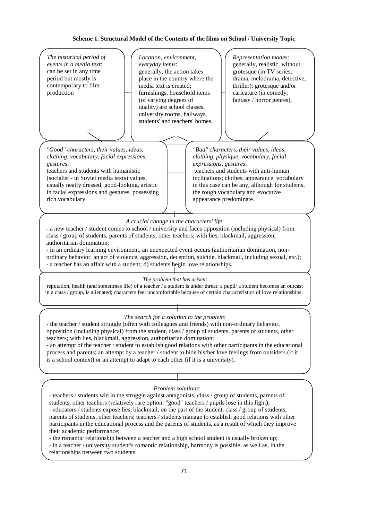#### **Scheme 1. Structural Model of the Contents of the films on School / University Topic**



- teachers / students win in the struggle against antagonists, class / group of students, parents of students, other teachers (relatively rare option: "good" teachers / pupils lose in this fight); - educators / students expose lies, blackmail, on the part of the student, class / group of students, parents of students, other teachers; teachers / students manage to establish good relations with other participants in the educational process and the parents of students, as a result of which they improve their academic performance;

- the romantic relationship between a teacher and a high school student is usually broken up;

- in a teacher / university student's romantic relationship, harmony is possible, as well as, in the relationships between two students.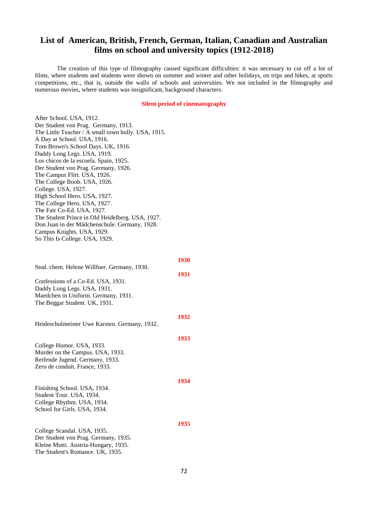# **List of American, British, French, German, Italian, Canadian and Australian films on school and university topics (1912-2018)**

The creation of this type of filmography caused significant difficulties: it was necessary to cut off a lot of films, where students and students were shown on summer and winter and other holidays, on trips and hikes, at sports competitions, etc., that is, outside the walls of schools and universities. We not included in the filmography and numerous movies, where students was insignificant, background characters.

#### **Silent period of cinematography**

**1930**

After School. USA, 1912. Der Student von Prag. Germany, 1913. The Little Teacher / A small town bully. USA, 1915. A Day at School. USA, 1916. Tom Brown's School Days. UK, 1916. Daddy Long Legs. USA, 1919. Los chicos de la escuela. Spain, 1925. Der Student von Prag. Germany, 1926. The Campus Flirt. USA, 1926. The College Boob. USA, 1926. College. USA, 1927. High School Hero. USA, 1927. The College Hero. USA, 1927. The Fair Co-Ed. USA, 1927. The Student Prince in Old Heidelberg. USA, 1927. Don Juan in der Mädchenschule. Germany, 1928. Campus Knights. USA, 1929. So This Is College. USA, 1929.

| Stud. chem. Helene Willfuer. Germany, 1930.                                                                                                     | 1790 |
|-------------------------------------------------------------------------------------------------------------------------------------------------|------|
| Confessions of a Co-Ed. USA, 1931.<br>Daddy Long Legs. USA, 1931.<br>Maedchen in Uniform. Germany, 1931.<br>The Beggar Student. UK, 1931.       | 1931 |
| Heideschulmeister Uwe Karsten. Germany, 1932.                                                                                                   | 1932 |
| College Humor. USA, 1933.<br>Murder on the Campus. USA, 1933.<br>Reifende Jugend. Germany, 1933.<br>Zero de conduit. France, 1933.              | 1933 |
| Finishing School. USA, 1934.<br>Student Tour. USA, 1934.<br>College Rhythm. USA, 1934.<br>School for Girls. USA, 1934.                          | 1934 |
| College Scandal. USA, 1935.<br>Der Student von Prag. Germany, 1935.<br>Kleine Mutti. Austria-Hungary, 1935.<br>The Student's Romance. UK, 1935. | 1935 |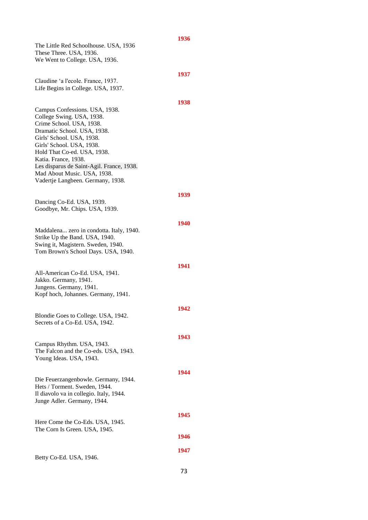| The Little Red Schoolhouse. USA, 1936<br>These Three. USA, 1936.                                                                                                                                                                                                                                                                                         | 1936 |
|----------------------------------------------------------------------------------------------------------------------------------------------------------------------------------------------------------------------------------------------------------------------------------------------------------------------------------------------------------|------|
| We Went to College. USA, 1936.                                                                                                                                                                                                                                                                                                                           |      |
| Claudine 'a l'ecole. France, 1937.<br>Life Begins in College. USA, 1937.                                                                                                                                                                                                                                                                                 | 1937 |
| Campus Confessions. USA, 1938.<br>College Swing. USA, 1938.<br>Crime School. USA, 1938.<br>Dramatic School. USA, 1938.<br>Girls' School. USA, 1938.<br>Girls' School. USA, 1938.<br>Hold That Co-ed. USA, 1938.<br>Katia. France, 1938.<br>Les disparus de Saint-Agil. France, 1938.<br>Mad About Music. USA, 1938.<br>Vadertje Langbeen. Germany, 1938. | 1938 |
| Dancing Co-Ed. USA, 1939.<br>Goodbye, Mr. Chips. USA, 1939.                                                                                                                                                                                                                                                                                              | 1939 |
| Maddalena zero in condotta. Italy, 1940.<br>Strike Up the Band. USA, 1940.<br>Swing it, Magistern. Sweden, 1940.<br>Tom Brown's School Days. USA, 1940.                                                                                                                                                                                                  | 1940 |
| All-American Co-Ed. USA, 1941.<br>Jakko. Germany, 1941.<br>Jungens. Germany, 1941.<br>Kopf hoch, Johannes. Germany, 1941.                                                                                                                                                                                                                                | 1941 |
| Blondie Goes to College. USA, 1942.<br>Secrets of a Co-Ed. USA, 1942.                                                                                                                                                                                                                                                                                    | 1942 |
| Campus Rhythm. USA, 1943.<br>The Falcon and the Co-eds. USA, 1943.<br>Young Ideas. USA, 1943.                                                                                                                                                                                                                                                            | 1943 |
| Die Feuerzangenbowle. Germany, 1944.<br>Hets / Torment. Sweden, 1944.<br>Il diavolo va in collegio. Italy, 1944.<br>Junge Adler. Germany, 1944.                                                                                                                                                                                                          | 1944 |
| Here Come the Co-Eds. USA, 1945.<br>The Corn Is Green. USA, 1945.                                                                                                                                                                                                                                                                                        | 1945 |
|                                                                                                                                                                                                                                                                                                                                                          | 1946 |
| Betty Co-Ed. USA, 1946.                                                                                                                                                                                                                                                                                                                                  | 1947 |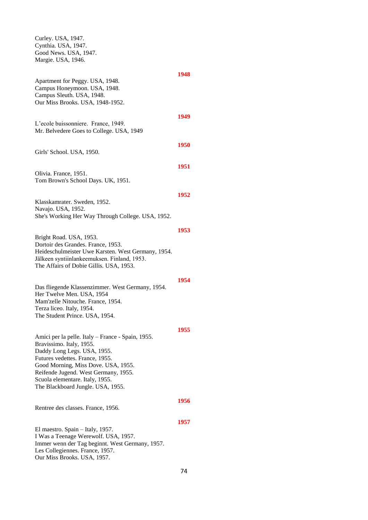Curley. USA, 1947. Cynthia. USA, 1947. Good News. USA, 1947. Margie. USA, 1946.

Apartment for Peggy. USA, 1948. Campus Honeymoon. USA, 1948. Campus Sleuth. USA, 1948. Our Miss Brooks. USA, 1948-1952.

L'ecole buissonniere. France, 1949. Mr. Belvedere Goes to College. USA, 1949

Girls' School. USA, 1950.

Olivia. France, 1951. Tom Brown's School Days. UK, 1951.

Klasskamrater. Sweden, 1952. Navajo. USA, 1952. She's Working Her Way Through College. USA, 1952.

Bright Road. USA, 1953. Dortoir des Grandes. France, 1953. Heideschulmeister Uwe Karsten. West Germany, 1954. Jälkeen syntiinlankeemuksen. Finland, 1953. The Affairs of Dobie Gillis. USA, 1953.

#### **1954**

**1948**

**1949**

**1950**

**1951**

**1952**

**1953**

Das fliegende Klassenzimmer. West Germany, 1954. Her Twelve Men. USA, 1954 Mam'zelle Nitouche. France, 1954. Terza liceo. Italy, 1954. The Student Prince. USA, 1954.

#### **1955**

Amici per la pelle. Italy – France - Spain, 1955. Bravissimo. Italy, 1955. Daddy Long Legs. USA, 1955. Futures vedettes. France, 1955. Good Morning, Miss Dove. USA, 1955. Reifende Jugend. West Germany, 1955. Scuola elementare. Italy, 1955. The Blackboard Jungle. USA, 1955.

Rentree des classes. France, 1956.

## **1957**

**1956**

El maestro. Spain – Italy, 1957. I Was a Teenage Werewolf. USA, 1957. Immer wenn der Tag beginnt. West Germany, 1957. Les Collegiennes. France, 1957. Our Miss Brooks. USA, 1957.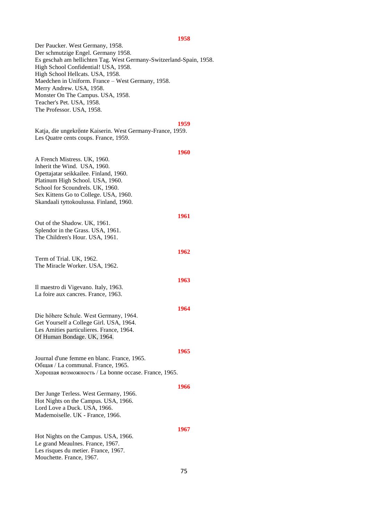## **1958**

Der Paucker. West Germany, 1958. Der schmutzige Engel. Germany 1958. Es geschah am hellichten Tag. West Germany-Switzerland-Spain, 1958. High School Confidential! USA, 1958. High School Hellcats. USA, 1958. Maedchen in Uniform. France – West Germany, 1958. Merry Andrew. USA, 1958. Monster On The Campus. USA, 1958. Teacher's Pet. USA, 1958. The Professor. USA, 1958.

#### **1959**

**1960**

**1961**

**1962**

**1963**

**1964**

Katja, die ungekrönte Kaiserin. West Germany-France, 1959. Les Quatre cents coups. France, 1959.

A French Mistress. UK, 1960. Inherit the Wind. USA, 1960. Opettajatar seikkailee. Finland, 1960. Platinum High School. USA, 1960. School for Scoundrels. UK, 1960. Sex Kittens Go to College. USA, 1960. Skandaali tyttokoulussa. Finland, 1960.

Out of the Shadow. UK, 1961. Splendor in the Grass. USA, 1961. The Children's Hour. USA, 1961.

Term of Trial. UK, 1962. The Miracle Worker. USA, 1962.

Il maestro di Vigevano. Italy, 1963. La foire aux cancres. France, 1963.

Die höhere Schule. West Germany, 1964. Get Yourself a College Girl. USA, 1964. Les Amities particulieres. France, 1964. Of Human Bondage. UK, 1964.

**1965**

**1966**

Journal d'une femme en blanc. France, 1965. Общая / La communal. France, 1965. Хорошая возможность / La bonne occase. France, 1965.

Der Junge Terless. West Germany, 1966. Hot Nights on the Campus. USA, 1966. Lord Love a Duck. USA, 1966. Mademoiselle. UK - France, 1966.

Hot Nights on the Campus. USA, 1966. Le grand Meaulnes. France, 1967. Les risques du metier. France, 1967. Mouchette. France, 1967.

**1967**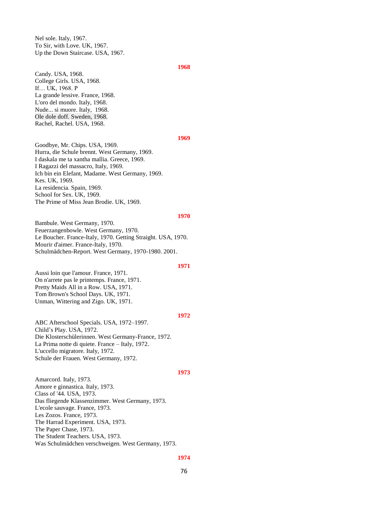Nel sole. Italy, 1967. To Sir, with Love. UK, 1967. Up the Down Staircase. USA, 1967.

## **1968**

Candy. USA, 1968. College Girls. USA, 1968. If… UK, 1968. Р La grande lessive. France, 1968. L'oro del mondo. Italy, 1968. Nude... si muore. Italy, 1968. Ole dole doff. Sweden, 1968. Rachel, Rachel. USA, 1968.

#### **1969**

Goodbye, Mr. Chips. USA, 1969. Hurra, die Schule brennt. West Germany, 1969. I daskala me ta xantha mallia. Greece, 1969. I Ragazzi del massacro, Italy, 1969. Ich bin ein Elefant, Madame. West Germany, 1969. Kes. UK, 1969. La residencia. Spain, 1969. School for Sex. UK, 1969. The Prime of Miss Jean Brodie. UK, 1969.

#### **1970**

Bambule. West Germany, 1970. Feuerzangenbowle. West Germany, 1970. Le Boucher. France-Italy, 1970. Getting Straight. USA, 1970. Mourir d'aimer. France-Italy, 1970. Schulmädchen-Report. West Germany, 1970-1980. 2001.

#### **1971**

Aussi loin que l'amour. France, 1971. On n'arrete pas le printemps. France, 1971. Pretty Maids All in a Row. USA, 1971. Tom Brown's School Days. UK, 1971. Unman, Wittering and Zigo. UK, 1971.

## **1972**

ABC Afterschool Specials. USA, 1972–1997. Child's Play. USA, 1972. Die Klosterschülerinnen. West Germany-France, 1972. La Prima notte di quiete. France – Italy, 1972. L'uccello migratore. Italy, 1972. Schule der Frauen. West Germany, 1972.

#### **1973**

Amarcord. Italy, 1973. Amore e ginnastica. Italy, 1973. Class of '44. USA, 1973. Das fliegende Klassenzimmer. West Germany, 1973. L'ecole sauvage. France, 1973. Les Zozos. France, 1973. The Harrad Experiment. USA, 1973. The Paper Chase, 1973. The Student Teachers. USA, 1973. Was Schulmädchen verschweigen. West Germany, 1973.

## **1974**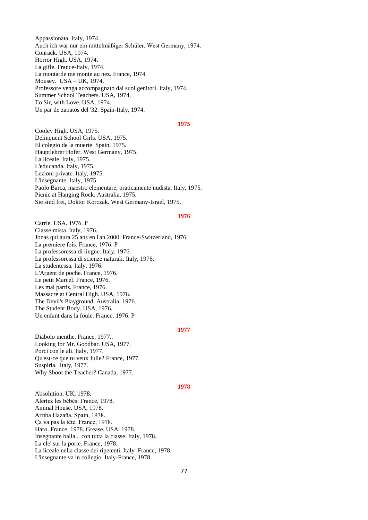Appassionata. Italy, 1974. Auch ich war nur ein mittelmäßiger Schüler. West Germany, 1974. Conrack. USA, 1974. Horror High. USA, 1974. La gifle. France-Italy, 1974. La moutarde me monte au nez. France, 1974. Mousey. USA – UK, 1974. Professore venga accompagnato dai suoi genitori. Italy, 1974. Summer School Teachers. USA, 1974. To Sir, with Love. USA, 1974. Un par de zapatos del '32. Spain-Italy, 1974.

#### **1975**

Cooley High. USA, 1975. Delinquent School Girls. USA, 1975. El colegio de la muerte. Spain, 1975. Hauptlehrer Hofer. West Germany, 1975. La liceale. Italy, 1975. L'educanda. Italy, 1975. Lezioni private. Italy, 1975. L'insegnante. Italy, 1975. Paolo Barca, maestro elementare, praticamente nudista. Italy, 1975. Picnic at Hanging Rock. Australia, 1975. Sie sind frei, Doktor Korczak. West Germany-Israel, 1975.

## **1976**

Carrie. USA, 1976. Р Classe mista. Italy, 1976. Jonas qui aura 25 ans en l'an 2000. France-Switzerland, 1976. La premiеre fois. France, 1976. Р La professoressa di lingue. Italy, 1976. La professoressa di scienze naturali. Italy, 1976. La studentessa. Italy, 1976. L'Argent de poche. France, 1976. Le petit Marcel. France, 1976. Les mal partis. France, 1976. Massacre at Central High. USA, 1976. The Devil's Playground. Australia, 1976. The Student Body. USA, 1976. Un enfant dans la foule. France, 1976. Р

#### **1977**

Diabolo menthe. France, 1977.. Looking for Mr. Goodbar. USA, 1977. Porci con le ali. Italy, 1977. Qu'est-ce que tu veux Julie? France, 1977. Suspiria. Italy, 1977. Why Shoot the Teacher? Canada, 1977.

#### **1978**

Absolution. UK, 1978. Alertez les bébés. France, 1978. Animal House. USA, 1978. Arriba Hazaña. Spain, 1978. Ça va pas la tête. France, 1978. Haro. France, 1978. Grease. USA, 1978. Insegnante balla... con tutta la classe. Italy, 1978. La cle' sur la porte. France, 1978. La liceale nella classe dei ripetenti. Italy–France, 1978. L'insegnante va in collegio. Italy-France, 1978.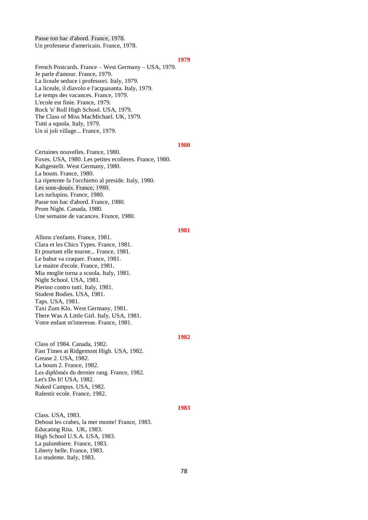Passe ton bac d'abord. France, 1978. Un professeur d'americain. France, 1978.

## **1979**

French Postcards. France – West Germany – USA, 1979. Je parle d'amour. France, 1979. La liceale seduce i professori. Italy, 1979. La liceale, il diavolo e l'acquasanta. Italy, 1979. Le temps des vacances. France, 1979. L'ecole est finie. France, 1979. Rock 'n' Roll High School. USA, 1979. The Class of Miss MacMichael. UK, 1979. Tutti a squola. Italy, 1979. Un si joli village... France, 1979.

## **1980**

Certaines nouvelles. France, 1980. Foxes. USA, 1980. Les petites ecolieres. France, 1980. Kaltgestellt. West Germany, 1980. La boum. France, 1980. La ripetente fa l'occhietto al preside. Italy, 1980. Les sous-doués. France, 1980. Les turlupins. France, 1980. Passe ton bac d'abord. France, 1980. Prom Night. Canada, 1980. Une semaine de vacances. France, 1980.

#### **1981**

Allons z'enfants. France, 1981. Clara et les Chics Types. France, 1981. Et pourtant elle tourne... France, 1981. Le bahut va craquer. France, 1981. Le maitre d'ecole. France, 1981. Mia moglie torna a scuola. Italy, 1981. Night School. USA, 1981. Pierino contro tutti. Italy, 1981. Student Bodies. USA, 1981. Taps. USA, 1981. Taxi Zum Klo. West Germany, 1981. There Was A Little Girl. Italy, USA, 1981. Votre enfant m'interesse. France, 1981.

## **1982**

Class of 1984. Canada, 1982. Fast Times at Ridgemont High. USA, 1982. Grease 2. USA, 1982. La boum 2. France, 1982. Les diplômés du dernier rang. France, 1982. Let's Do It! USA, 1982. Naked Campus. USA, 1982. Ralentir ecole. France, 1982.

#### **1983**

Class. USA, 1983. Debout les crabes, la mer monte! France, 1983. Educating Rita. UK, 1983. High School U.S.A. USA, 1983. La palombiere. France, 1983. Liberty belle. France, 1983. Lo studente. Italy, 1983.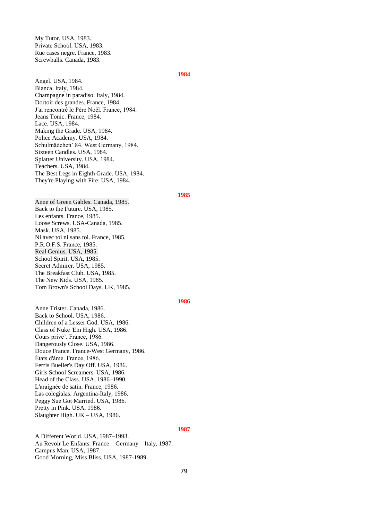My Tutor. USA, 1983. Private School. USA, 1983. Rue cases negre. France, 1983. Screwballs. Canada, 1983.

#### **1984**

Angel. USA, 1984. Bianca. Italy, 1984. Champagne in paradiso. Italy, 1984. Dortoir des grandes. France, 1984. J'ai rencontré le Père Noël. France, 1984. Jeans Tonic. France, 1984. Lace. USA, 1984. Making the Grade. USA, 1984. Police Academy. USA, 1984. Schulmädchen' 84. West Germany, 1984. Sixteen Candles. USA, 1984. Splatter University. USA, 1984. Teachers. USA, 1984. The Best Legs in Eighth Grade. USA, 1984. They're Playing with Fire. USA, 1984.

## **1985**

Anne of Green Gables. Canada, 1985. Back to the Future. USA, 1985. Les enfants. France, 1985. Loose Screws. USA-Canada, 1985. Mask. USA, 1985. Ni avec toi ni sans toi. France, 1985. P.R.O.F.S. France, 1985. Real Genius. USA, 1985. School Spirit. USA, 1985. Secret Admirer. USA, 1985. The Breakfast Club. USA, 1985. The New Kids. USA, 1985. Tom Brown's School Days. UK, 1985.

#### **1986**

Anne Trister. Canada, 1986. Back to School. USA, 1986. Children of a Lesser God. USA, 1986. Class of Nuke 'Em High. USA, 1986. Cours prive'. France, 1986. Dangerously Close. USA, 1986. Douce France. France-West Germany, 1986. États d'âme. France, 1986. Ferris Bueller's Day Off. USA, 1986. Girls School Screamers. USA, 1986. Head of the Class. USA, 1986–1990. L'araignée de satin. France, 1986. Las colegialas. Argentina-Italy, 1986. Peggy Sue Got Married. USA, 1986. Pretty in Pink. USA, 1986. Slaughter High. UK – USA, 1986.

#### **1987**

A Different World. USA, 1987–1993. Au Revoir Le Enfants. France – Germany – Italy, 1987. Campus Man. USA, 1987. Good Morning, Miss Bliss. USA, 1987-1989.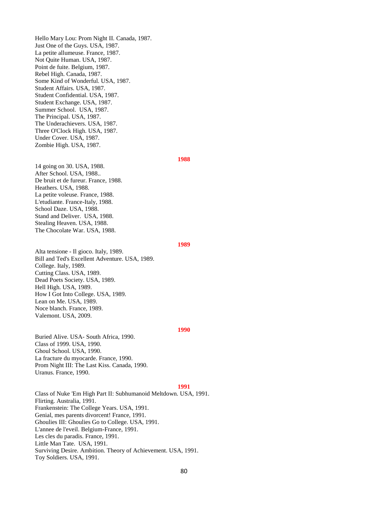Hello Mary Lou: Prom Night II. Canada, 1987. Just One of the Guys. USA, 1987. La petite allumeuse. France, 1987. Not Quite Human. USA, 1987. Point de fuite. Belgium, 1987. Rebel High. Canada, 1987. Some Kind of Wonderful. USA, 1987. Student Affairs. USA, 1987. Student Confidential. USA, 1987. Student Exchange. USA, 1987. Summer School. USA, 1987. The Principal. USA, 1987. The Underachievers. USA, 1987. Three O'Clock High. USA, 1987. Under Cover. USA, 1987. Zombie High. USA, 1987.

## **1988**

14 going on 30. USA, 1988. After School. USA, 1988.. De bruit et de fureur. France, 1988. Heathers. USA, 1988. La petite voleuse. France, 1988. L'etudiante. France-Italy, 1988. School Daze. USA, 1988. Stand and Deliver. USA, 1988. Stealing Heaven. USA, 1988. The Chocolate War. USA, 1988.

#### **1989**

Alta tensione - Il gioco. Italy, 1989. Bill and Ted's Excellent Adventure. USA, 1989. College. Italy, 1989. Cutting Class. USA, 1989. Dead Poets Society. USA, 1989. Hell High. USA, 1989. How I Got Into College. USA, 1989. Lean on Me. USA, 1989. Noce blanch. France, 1989. Valemont. USA, 2009.

#### **1990**

Buried Alive. USA- South Africa, 1990. Class of 1999. USA, 1990. Ghoul School. USA, 1990. La fracture du myocarde. France, 1990. Prom Night III: The Last Kiss. Canada, 1990. Uranus. France, 1990.

#### **1991**

Class of Nuke 'Em High Part II: Subhumanoid Meltdown. USA, 1991. Flirting. Australia, 1991. Frankenstein: The College Years. USA, 1991. Genial, mes parents divorcent! France, 1991. Ghoulies III: Ghoulies Go to College. USA, 1991. L'annee de l'eveil. Belgium-France, 1991. Les cles du paradis. France, 1991. Little Man Tate. USA, 1991. Surviving Desire. Ambition. Theory of Achievement. USA, 1991. Toy Soldiers. USA, 1991.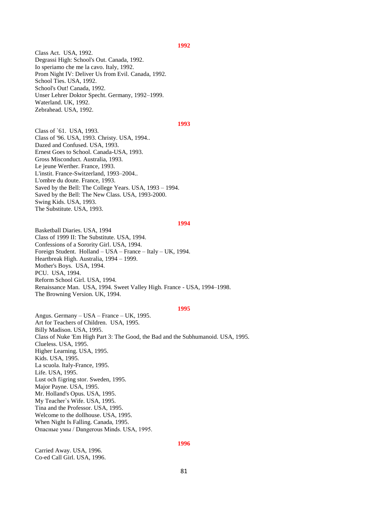Class Act. USA, 1992. Degrassi High: School's Out. Canada, 1992. Io speriamo che me la cavo. Italy, 1992. Prom Night IV: Deliver Us from Evil. Canada, 1992. School Ties. USA, 1992. School's Out! Canada, 1992. Unser Lehrer Doktor Specht. Germany, 1992–1999. Waterland. UK, 1992. Zebrahead. USA, 1992.

#### **1993**

Class of `61. USA, 1993. Class of '96. USA, 1993. Christy. USA, 1994.. Dazed and Confused. USA, 1993. Ernest Goes to School. Canada-USA, 1993. Gross Misconduct. Australia, 1993. Le jeune Werther. France, 1993. L'instit. France-Switzerland, 1993–2004.. L'ombre du doute. France, 1993. Saved by the Bell: The College Years. USA, 1993 – 1994. Saved by the Bell: The New Class. USA, 1993-2000. Swing Kids. USA, 1993. The Substitute. USA, 1993.

#### **1994**

Basketball Diaries. USA, 1994 Class of 1999 II: The Substitute. USA, 1994. Confessions of a Sorority Girl. USA, 1994. Foreign Student. Holland – USA – France – Italy – UK, 1994. Heartbreak High. Australia, 1994 – 1999. Mother's Boys. USA, 1994. PCU. USA, 1994. Reform School Girl. USA, 1994. Renaissance Man. USA, 1994. Sweet Valley High. France - USA, 1994–1998. The Browning Version. UK, 1994.

## **1995**

Angus. Germany – USA – France – UK, 1995. Art for Teachers of Children. USA, 1995. Billy Madison. USA, 1995. Class of Nuke 'Em High Part 3: The Good, the Bad and the Subhumanoid. USA, 1995. Clueless. USA, 1995. Higher Learning. USA, 1995. Kids. USA, 1995. La scuola. Italy-France, 1995. Life. USA, 1995. Lust och fägring stor. Sweden, 1995. Major Payne. USA, 1995. Mr. Holland's Opus. USA, 1995. My Teacher`s Wife. USA, 1995. Tina and the Professor. USA, 1995. Welcome to the dollhouse. USA, 1995. When Night Is Falling. Canada, 1995. Опасные умы / Dangerous Minds. USA, 1995.

Carried Away. USA, 1996. Co-ed Call Girl. USA, 1996.

#### **1996**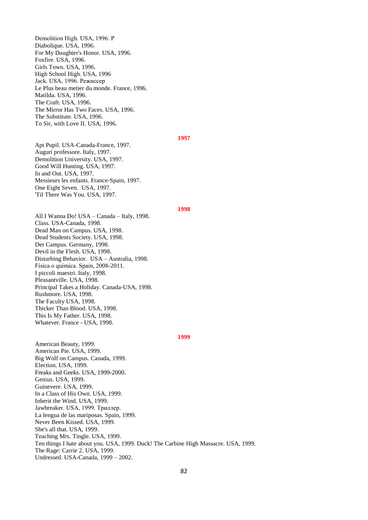Demolition High. USA, 1996. Р Diabolique. USA, 1996. For My Daughter's Honor. USA, 1996. Foxfire. USA, 1996. Girls Town. USA, 1996. High School High. USA, 1996 Jack. USA, 1996. Режиссер Le Plus beau metier du monde. France, 1996. Matilda. USA, 1996. The Craft. USA, 1996. The Mirror Has Two Faces. USA, 1996. The Substitute. USA, 1996. To Sir, with Love II. USA, 1996.

#### **1997**

Apt Pupil. USA-Canada-France, 1997. Auguri professore. Italy, 1997. Demolition University. USA, 1997. Good Will Hunting. USA, 1997. In and Out. USA, 1997. Messieurs les enfants. France-Spain, 1997. One Eight Seven. USA, 1997. 'Til There Was You. USA, 1997.

## **1998**

All I Wanna Do! USA – Canada – Italy, 1998. Class. USA-Canada, 1998. Dead Man on Campus. USA, 1998. Dead Students Society. USA, 1998. Der Campus. Germany, 1998. Devil in the Flesh. USA, 1998. Disturbing Behavior. USA – Australia, 1998. Física o química. Spain, 2008-2011. I piccoli maestri. Italy, 1998. Pleasantville. USA, 1998. Principal Takes a Holiday. Canada-USA, 1998. Rushmore. USA, 1998. The Faculty USA, 1998. Thicker Than Blood. USA, 1998. This Is My Father. USA, 1998. Whatever. France - USA, 1998.

### **1999**

American Beauty, 1999. American Pie. USA, 1999. Big Wolf on Campus. Canada, 1999. Election. USA, 1999. Freaks and Geeks. USA, 1999-2000. Genius. USA, 1999. Guinevere. USA, 1999. In a Class of His Own. USA, 1999. Inherit the Wind. USA, 1999. Jawbreaker. USA, 1999. Триллер. La lengua de las mariposas. Spain, 1999. Never Been Kissed. USA, 1999. She's all that. USA, 1999. Teaching Mrs. Tingle. USA, 1999. Ten things I hate about you. USA, 1999. Duck! The Carbine High Massacre. USA, 1999. The Rage: Carrie 2. USA, 1999. Undressed. USA-Canada, 1999 – 2002.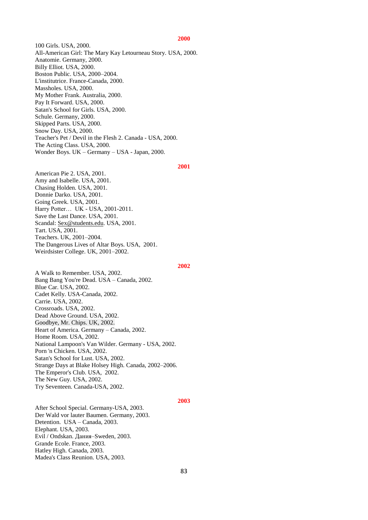## **2000**

100 Girls. USA, 2000. All-American Girl: The Mary Kay Letourneau Story. USA, 2000. Anatomie. Germany, 2000. Billy Elliot. USA, 2000. Boston Public. USA, 2000–2004. L'institutrice. France-Canada, 2000. Massholes. USA, 2000. My Mother Frank. Australia, 2000. Pay It Forward. USA, 2000. Satan's School for Girls. USA, 2000. Schule. Germany, 2000. Skipped Parts. USA, 2000. Snow Day. USA, 2000. Teacher's Pet / Devil in the Flesh 2. Canada - USA, 2000. The Acting Class. USA, 2000. Wonder Boys. UK – Germany – USA - Japan, 2000.

## **2001**

American Pie 2. USA, 2001. Amy and Isabelle. USA, 2001. Chasing Holden. USA, 2001. Donnie Darko. USA, 2001. Going Greek. USA, 2001. Harry Potter… UK - USA, 2001-2011. Save the Last Dance. USA, 2001. Scandal: [Sex@students.edu.](mailto:Sex@students.edu) USA, 2001. Tart. USA, 2001. Teachers. UK, 2001–2004. The Dangerous Lives of Altar Boys. USA, 2001. Weirdsister College. UK, 2001–2002.

#### **2002**

A Walk to Remember. USA, 2002. Bang Bang You're Dead. USA – Canada, 2002. Blue Car. USA, 2002. Cadet Kelly. USA-Canada, 2002. Carrie. USA, 2002. Crossroads. USA, 2002. Dead Above Ground. USA, 2002. Goodbye, Mr. Chips. UK, 2002. Heart of America. Germany – Canada, 2002. Home Room. USA, 2002. National Lampoon's Van Wilder. Germany - USA, 2002. Porn 'n Chicken. USA, 2002. Satan's School for Lust. USA, 2002. Strange Days at Blake Holsey High. Canada, 2002–2006. The Emperor's Club. USA, 2002. The New Guy. USA, 2002. Try Seventeen. Canada-USA, 2002.

#### **2003**

After School Special. Germany-USA, 2003. Der Wald vor lauter Baumen. Germany, 2003. Detention. USA – Canada, 2003. Elephant. USA, 2003. Evil / Ondskan. Дания–Sweden, 2003. Grande Ecole. France, 2003. Hatley High. Canada, 2003. Madea's Class Reunion. USA, 2003.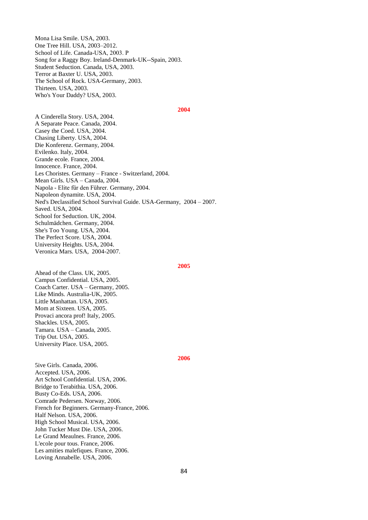Mona Lisa Smile. USA, 2003. One Tree Hill. USA, 2003–2012. School of Life. Canada-USA, 2003. Р Song for a Raggy Boy. Ireland-Denmark-UK--Spain, 2003. Student Seduction. Canada, USA, 2003. Terror at Baxter U. USA, 2003. The School of Rock. USA-Germany, 2003. Thirteen. USA, 2003. Who's Your Daddy? USA, 2003.

#### **2004**

A Cinderella Story. USA, 2004. A Separate Peace. Canada, 2004. Casey the Coed. USA, 2004. Chasing Liberty. USA, 2004. Die Konferenz. Germany, 2004. Evilenko. Italy, 2004. Grande ecole. France, 2004. Innocence. France, 2004. Les Choristes. Germany – France - Switzerland, 2004. Mean Girls. USA – Canada, 2004. Napola - Elite für den Führer. Germany, 2004. Napoleon dynamite. USA, 2004. Ned's Declassified School Survival Guide. USA-Germany, 2004 – 2007. Saved. USA, 2004. School for Seduction. UK, 2004. Schulmädchen. Germany, 2004. She's Too Young. USA, 2004. The Perfect Score. USA, 2004. University Heights. USA, 2004. Veronica Mars. USA, 2004-2007.

### **2005**

Ahead of the Class. UK, 2005. Campus Confidential. USA, 2005. Coach Carter. USA – Germany, 2005. Like Minds. Australia-UK, 2005. Little Manhattan. USA, 2005. Mom at Sixteen. USA, 2005. Provaci ancora prof! Italy, 2005. Shackles. USA, 2005. Tamara. USA – Canada, 2005. Trip Out. USA, 2005. University Place. USA, 2005.

#### **2006**

5ive Girls. Canada, 2006. Accepted. USA, 2006. Art School Confidential. USA, 2006. Bridge to Terabithia. USA, 2006. Busty Co-Eds. USA, 2006. Comrade Pedersen. Norway, 2006. French for Beginners. Germany-France, 2006. Half Nelson. USA, 2006. High School Musical. USA, 2006. John Tucker Must Die. USA, 2006. Le Grand Meaulnes. France, 2006. L'ecole pour tous. France, 2006. Les amities malefiques. France, 2006. Loving Annabelle. USA, 2006.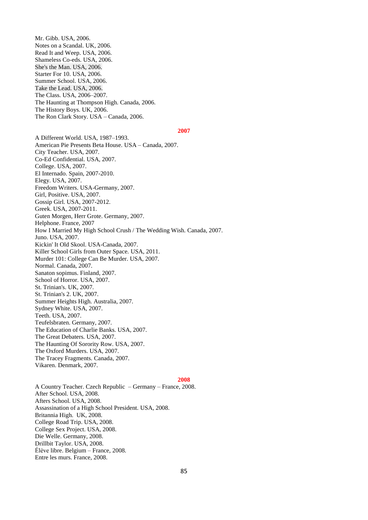Mr. Gibb. USA, 2006. Notes on a Scandal. UK, 2006. Read It and Weep. USA, 2006. Shameless Co-eds. USA, 2006. She's the Man. USA, 2006. Starter For 10. USA, 2006. Summer School. USA, 2006. Take the Lead. USA, 2006. The Class. USA, 2006–2007. The Haunting at Thompson High. Canada, 2006. The History Boys. UK, 2006. The Ron Clark Story. USA – Canada, 2006. **2007** A Different World. USA, 1987–1993. American Pie Presents Beta House. USA – Canada, 2007. City Teacher. USA, 2007. Co-Ed Confidential. USA, 2007. College. USA, 2007. El Internado. Spain, 2007-2010. Elegy. USA, 2007. Freedom Writers. USA-Germany, 2007. Girl, Positive. USA, 2007. Gossip Girl. USA, 2007-2012. Greek. USA, 2007-2011. Guten Morgen, Herr Grote. Germany, 2007. Helphone. France, 2007 How I Married My High School Crush / The Wedding Wish. Canada, 2007. Juno. USA, 2007. Kickin' It Old Skool. USA-Canada, 2007. Killer School Girls from Outer Space. USA, 2011. Murder 101: College Can Be Murder. USA, 2007. Normal. Canada, 2007. Sanaton sopimus. Finland, 2007. School of Horror. USA, 2007. St. Trinian's. UK, 2007. St. Trinian's 2. UK, 2007. Summer Heights High. Australia, 2007. Sydney White. USA, 2007. Teeth. USA, 2007. Teufelsbraten. Germany, 2007.

#### **2008**

A Country Teacher. Czech Republic – Germany – France, 2008. After School. USA, 2008. Afters School. USA, 2008. Assassination of a High School President. USA, 2008. Britannia High. UK, 2008. College Road Trip. USA, 2008. College Sex Project. USA, 2008. Die Welle. Germany, 2008. Drillbit Taylor. USA, 2008. Élève libre. Belgium – France, 2008. Entre les murs. France, 2008.

The Education of Charlie Banks. USA, 2007.

The Haunting Of Sorority Row. USA, 2007.

The Great Debaters. USA, 2007.

The Oxford Murders. USA, 2007. The Tracey Fragments. Canada, 2007.

Vikaren. Denmark, 2007.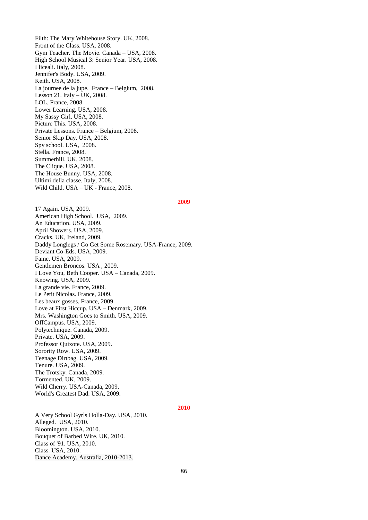Filth: The Mary Whitehouse Story. UK, 2008. Front of the Class. USA, 2008. Gym Teacher. The Movie. Canada – USA, 2008. High School Musical 3: Senior Year. USA, 2008. I liceali. Italy, 2008. Jennifer's Body. USA, 2009. Keith. USA, 2008. La journee de la jupe. France – Belgium, 2008. Lesson 21. Italy – UK, 2008. LOL. France, 2008. Lower Learning. USA, 2008. My Sassy Girl. USA, 2008. Picture This. USA, 2008. Private Lessons. France – Belgium, 2008. Senior Skip Day. USA, 2008. Spy school. USA, 2008. Stella. France, 2008. Summerhill. UK, 2008. The Clique. USA, 2008. The House Bunny. USA, 2008. Ultimi della classe. Italy, 2008. Wild Child. USA – UK - France, 2008.

#### **2009**

17 Again. USA, 2009. American High School. USA, 2009. An Education. USA, 2009. April Showers. USA, 2009. Cracks. UK, Ireland, 2009. Daddy Longlegs / Go Get Some Rosemary. USA-France, 2009. Deviant Co-Eds. USA, 2009. Fame. USA, 2009. Gentlemen Broncos. USA , 2009. I Love You, Beth Cooper. USA – Canada, 2009. Knowing. USA, 2009. La grande vie. France, 2009. Le Petit Nicolas. France, 2009. Les beaux gosses. France, 2009. Love at First Hiccup. USA – Denmark, 2009. Mrs. Washington Goes to Smith. USA, 2009. OffCampus. USA, 2009. Polytechnique. Canada, 2009. Private. USA, 2009. Professor Quixote. USA, 2009. Sorority Row. USA, 2009. Teenage Dirtbag. USA, 2009. Tenure. USA, 2009. The Trotsky. Canada, 2009. Tormented. UK, 2009. Wild Cherry. USA-Canada, 2009.

World's Greatest Dad. USA, 2009.

### **2010**

A Very School Gyrls Holla-Day. USA, 2010. Alleged. USA, 2010. Bloomington. USA, 2010. Bouquet of Barbed Wire. UK, 2010. Class of '91. USA, 2010. Class. USA, 2010. Dance Academy. Australia, 2010-2013.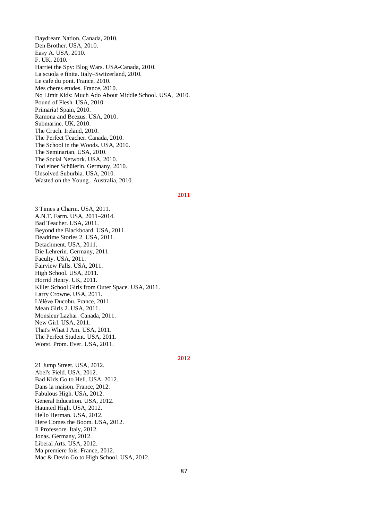Daydream Nation. Canada, 2010. Den Brother. USA, 2010. Easy A. USA, 2010. F. UK, 2010. Harriet the Spy: Blog Wars. USA-Canada, 2010. La scuola e finita. Italy–Switzerland, 2010. Le cafe du pont. France, 2010. Mes cheres etudes. France, 2010. No Limit Kids: Much Ado About Middle School. USA, 2010. Pound of Flesh. USA, 2010. Primaria! Spain, 2010. Ramona and Beezus. USA, 2010. Submarine. UK, 2010. The Cruch. Ireland, 2010. The Perfect Teacher. Canada, 2010. The School in the Woods. USA, 2010. The Seminarian. USA, 2010. The Social Network. USA, 2010. Tod einer Schülerin. Germany, 2010. Unsolved Suburbia. USA, 2010. Wasted on the Young. Australia, 2010.

## **2011**

3 Times a Charm. USA, 2011. A.N.T. Farm. USA, 2011–2014. Bad Teacher. USA, 2011. Beyond the Blackboard. USA, 2011. Deadtime Stories 2. USA, 2011. Detachment. USA, 2011. Die Lehrerin. Germany, 2011. Faculty. USA, 2011. Fairview Falls. USA, 2011. High School. USA, 2011. Horrid Henry. UK, 2011. Killer School Girls from Outer Space. USA, 2011. Larry Crowne. USA, 2011. L'élève Ducobu. France, 2011. Mean Girls 2. USA, 2011. Monsieur Lazhar. Canada, 2011. New Girl. USA, 2011. That's What I Am. USA, 2011. The Perfect Student. USA, 2011. Worst. Prom. Ever. USA, 2011.

## **2012**

21 Jump Street. USA, 2012. Abel's Field. USA, 2012. Bad Kids Go to Hell. USA, 2012. Dans la maison. France, 2012. Fabulous High. USA, 2012. General Education. USA, 2012. Haunted High. USA, 2012. Hello Herman. USA, 2012. Here Comes the Boom. USA, 2012. Il Professore. Italy, 2012. Jonas. Germany, 2012. Liberal Arts. USA, 2012. Ma premiere fois. France, 2012. Mac & Devin Go to High School. USA, 2012.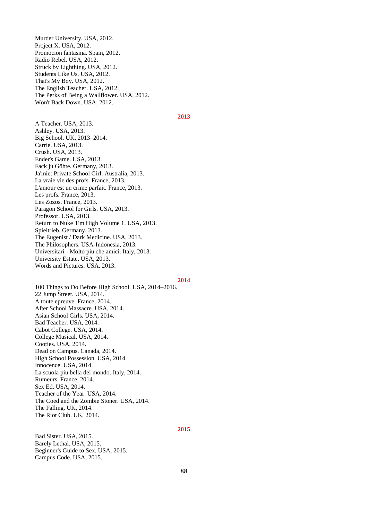Murder University. USA, 2012. Project X. USA, 2012. Promocion fantasma. Spain, 2012. Radio Rebel. USA, 2012. Struck by Lighthing. USA, 2012. Students Like Us. USA, 2012. That's My Boy. USA, 2012. The English Teacher. USA, 2012. The Perks of Being a Wallflower. USA, 2012. Won't Back Down. USA, 2012.

#### **2013**

A Teacher. USA, 2013. Ashley. USA, 2013. Big School. UK, 2013–2014. Carrie. USA, 2013. Crush. USA, 2013. Ender's Game. USA, 2013. Fack ju Göhte. Germany, 2013. Ja'mie: Private School Girl. Australia, 2013. La vraie vie des profs. France, 2013. L'amour est un crime parfait. France, 2013. Les profs. France, 2013. Les Zozos. France, 2013. Paragon School for Girls. USA, 2013. Professor. USA, 2013. Return to Nuke 'Em High Volume 1. USA, 2013. Spieltrieb. Germany, 2013. The Eugenist / Dark Medicine. USA, 2013. The Philosophers. USA-Indonesia, 2013. Universitari - Molto piu che amici. Italy, 2013. University Estate. USA, 2013. Words and Pictures. USA, 2013.

#### **2014**

100 Things to Do Before High School. USA, 2014–2016. 22 Jump Street. USA, 2014. A toute epreuve. France, 2014. After School Massacre. USA, 2014. Asian School Girls. USA, 2014. Bad Teacher. USA, 2014. Cabot College. USA, 2014. College Musical. USA, 2014. Cooties. USA, 2014. Dead on Campus. Canada, 2014. High School Possession. USA, 2014. Innocence. USA, 2014. La scuola piu bella del mondo. Italy, 2014. Rumeurs. France, 2014. Sex Ed. USA, 2014. Teacher of the Year. USA, 2014. The Coed and the Zombie Stoner. USA, 2014. The Falling. UK, 2014. The Riot Club. UK, 2014.

Bad Sister. USA, 2015. Barely Lethal. USA, 2015. Beginner's Guide to Sex. USA, 2015. Campus Code. USA, 2015.

#### **2015**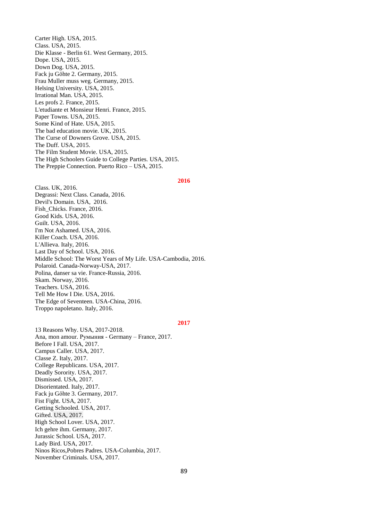Carter High. USA, 2015. Class. USA, 2015. Die Klasse - Berlin 61. West Germany, 2015. Dope. USA, 2015. Down Dog. USA, 2015. Fack ju Göhte 2. Germany, 2015. Frau Muller muss weg. Germany, 2015. Helsing University. USA, 2015. Irrational Man. USA, 2015. Les profs 2. France, 2015. L'etudiante et Monsieur Henri. France, 2015. Paper Towns. USA, 2015. Some Kind of Hate. USA, 2015. The bad education movie. UK, 2015. The Curse of Downers Grove. USA, 2015. The Duff. USA, 2015. The Film Student Movie. USA, 2015. The High Schoolers Guide to College Parties. USA, 2015. The Preppie Connection. Puerto Rico – USA, 2015.

## **2016**

Class. UK, 2016. Degrassi: Next Class. Canada, 2016. Devil's Domain. USA, 2016. Fish\_Chicks. France, 2016. Good Kids. USA, 2016. Guilt. USA, 2016. I'm Not Ashamed. USA, 2016. Killer Coach. USA, 2016. L'Allieva. Italy, 2016. Last Day of School. USA, 2016. Middle School: The Worst Years of My Life. USA-Cambodia, 2016. Polaroid. Canada-Norway-USA, 2017. Polina, danser sa vie. France-Russia, 2016. Skam. Norway, 2016. Teachers. USA, 2016. Tell Me How I Die. USA, 2016. The Edge of Seventeen. USA-China, 2016. Troppo napoletano. Italy, 2016.

#### **2017**

13 Reasons Why. USA, 2017-2018. Ana, mon amour. Румыния - Germany – France, 2017. Before I Fall. USA, 2017. Campus Caller. USA, 2017. Classe Z. Italy, 2017. College Republicans. USA, 2017. Deadly Sorority. USA, 2017. Dismissed. USA, 2017. Disorientated. Italy, 2017. Fack ju Göhte 3. Germany, 2017. Fist Fight. USA, 2017. Getting Schooled. USA, 2017. Gifted. USA, 2017. High School Lover. USA, 2017. Ich gehre ihm. Germany, 2017. Jurassic School. USA, 2017. Lady Bird. USA, 2017. Ninos Ricos,Pobres Padres. USA-Columbia, 2017. November Criminals. USA, 2017.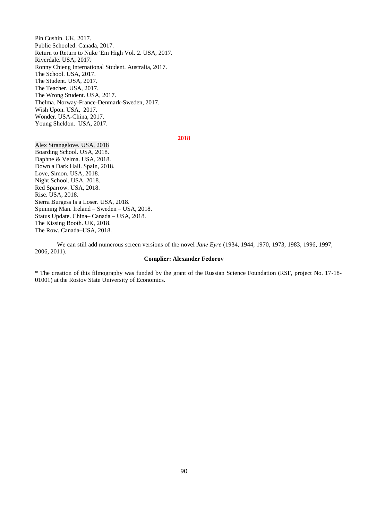Pin Cushin. UK, 2017. Public Schooled. Canada, 2017. Return to Return to Nuke 'Em High Vol. 2. USA, 2017. Riverdale. USA, 2017. Ronny Chieng International Student. Australia, 2017. The School. USA, 2017. The Student. USA, 2017. The Teacher. USA, 2017. The Wrong Student. USA, 2017. Thelma. Norway-France-Denmark-Sweden, 2017. Wish Upon. USA, 2017. Wonder. USA-China, 2017. Young Sheldon. USA, 2017.

#### **2018**

Alex Strangelove. USA, 2018 Boarding School. USA, 2018. Daphne & Velma. USA, 2018. Down a Dark Hall. Spain, 2018. Love, Simon. USA, 2018. Night School. USA, 2018. Red Sparrow. USA, 2018. Rise. USA, 2018. Sierra Burgess Is a Loser. USA, 2018. Spinning Man. Ireland – Sweden – USA, 2018. Status Update. China– Canada – USA, 2018. The Kissing Booth. UK, 2018. The Row. Canada–USA, 2018.

We can still add numerous screen versions of the novel *Jane Eyre* (1934, 1944, 1970, 1973, 1983, 1996, 1997, 2006, 2011).

## **Complier: Alexander Fedorov**

\* The creation of this filmography was funded by the grant of the Russian Science Foundation (RSF, project No. 17-18- 01001) at the Rostov State University of Economics.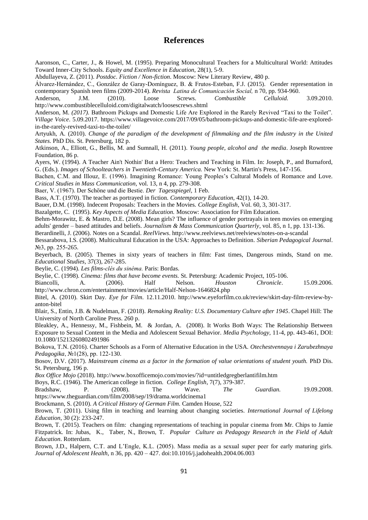## **References**

Aaronson, C., Carter, J., & Howel, M*.* (1995). Preparing Monocultural Teachers for a Multicultural World: Attitudes Toward Inner-City Schools. *Equity and Excellence in Education,* 28(1), 5-9.

Abdullayeva, Z. (2011). *Postdoc. Fiction / Non-fiction*. Moscow: New Literary Review, 480 p.

Álvarez-Hernández, C., González de Garay-Domínguez, B. & Frutos-Esteban, F.J. (2015). Gender representation in contemporary Spanish teen films (2009-2014). *Revista Latina de Comunicación Social,* n 70, pp. 934-960.

Anderson, J.M. (2010). Loose Screws. *Combustible Celluloid.* 3.09.2010. <http://www.combustiblecelluloid.com/digitalwatch/loosescrews.shtml>

Anderson, M. *(2017).* Bathroom Pickups and Domestic Life Are Explored in the Rarely Revived "Taxi to the Toilet". *[Village Voice](https://www.rottentomatoes.com/source-472)*. 5.09.2017. https://www.villagevoice.com/2017/09/05/bathroom-pickups-and-domestic-life-are-exploredin-the-rarely-revived-taxi-to-the-toilet/

Artyukh, A. (2010). *Change of the paradigm of the development of filmmaking and the film industry in the United States.* PhD Dis. St. Petersburg, 182 p.

Atkinson, A., Elliott, G., Bellis, M. and Sumnall, H. (2011). *Young people, alcohol and the media*. Joseph Rowntree Foundation, 86 p.

Ayers, W. (1994). A Teacher Ain't Nothin' But a Hero: Teachers and Teaching in Film. In: Joseph, P., and Burnaford, G. (Eds.). *Images of Schoolteachers in Twentieth-Century America.* New York: St. Martin's Press, 147-156.

Bachen, C.M. and Illouz, E. (1996). Imagining Romance: Young Peoples's Cultural Models of Romance and Love. *Critical Studies in Mass Communication,* vol. 13, n 4, pp. 279-308.

Baer, V. (1967). Der Schöne und die Bestie. *Der Tagesspiegel,* 1 Feb.

Bass, A.T*.* (1970). The teacher as portrayed in fiction. *Contemporary Education,* 42(1), 14-20.

Bauer, D.M. (1998). Indecent Proposals: Teachers in the Movies. *College English*, Vol. 60, 3, 301-317.

Bazalgette, C. (1995). *Key Aspects of Media Education.* Moscow: Association for Film Education.

Behm-Morawitz, E. & Mastro, D.E. (2008). Mean girls? The influence of gender portrayals in teen movies on emerging adults' gender – based attitudes and beliefs. *Journalism & Mass Communication Quarterly*, vol. 85, n 1, pp. 131-136.

Berardinelli, J. (2006). Notes on a Scandal. *[ReelViews](https://www.rottentomatoes.com/source-387)*. http://www.reelviews.net/reelviews/notes-on-a-scandal

Bessarabova, I.S. (2008). Multicultural Education in the USA: Approaches to Definition*. Siberian Pedagogical Journal*. №3, pp. 255-265.

Beyerbach, B. (2005). Themes in sixty years of teachers in film: Fast times, Dangerous minds, Stand on me. *Educational Studies,* 37(3), 267-285.

Beylie, C. (1994). *Les films-clés du sinéma.* Paris: Bordas.

Beylie, С. (1998). *Cinema: films that have become events.* St. Petersburg: Academic Project, 105-106.

Biancolli, A. (2006). Half Nelson. *[Houston Chronicle](https://www.rottentomatoes.com/source-219)*. 15.09.2006. http://www.chron.com/entertainment/movies/article/Half-Nelson-1646824.php

Bitel, A*.* (2010). Skirt Day. *Eye for Film*. 12.11.2010. http://www.eyeforfilm.co.uk/review/skirt-day-film-review-byanton-bitel

Blair, S., Entin, J.B. & Nudelman, F. (2018). *Remaking Reality: U.S. Documentary Culture after 1945*. Chapel Hill: The University of North Caroline Press. 260 p.

Bleakley, A., Hennessy, M., Fishbein, M. & Jordan, A. (2008). It Works Both Ways: The Relationship Between Exposure to Sexual Content in the Media and Adolescent Sexual Behavior. *Media Psychology,* 11-4, pp. 443-461, DOI: 10.1080/15213260802491986

Bokova, T.N. (2016). Charter Schools as a Form of Alternative Education in the USA. *Otechestvennaya i Zarubezhnaya Pedagogika*, №1(28), pp. 122-130.

Bosov, D.V. (2017). *Mainstream cinema as a factor in the formation of value orientations of student youth.* PhD Dis. St. Petersburg, 196 p.

*Box Office Mojo* (2018).<http://www.boxofficemojo.com/movies/?id=untitledgregberlantifilm.htm>

Boys, R.C. (1946). The American college in fiction. *College English*, 7(7), 379-387.

Bradshaw, P. (2008). The Wave. *The Guardian.* 19.09.2008. https://www.theguardian.com/film/2008/sep/19/drama.worldcinema1

Brockmann, S. (2010). *[A Critical History of German Film.](https://books.google.ru/books?id=hz1I0Ty9AUYC&printsec=frontcover&hl=ru#v=onepage&q&f=false)* Camden House, 522

Brown, T. (2011). Using film in teaching and learning about changing societies. *International Journal of Lifelong Education*, 30 (2): 233-247.

Brown, T*.* (2015). Teachers on film: changing representations of teaching in popular cinema from Mr. Chips to Jamie Fitzpatrick*.* In: Jubas, K., Taber, N., Brown, T. *Popular Culture as Pedagogy Research in the Field of Adult Education*. Rotterdam.

Brown, J.D., Halpern, C.T. and L'Engle, K.L. (2005). Mass media as a sexual super peer for early maturing girls. *Journal of Adolescent Health,* n 36, pp. 420 – 427. doi:10.1016/j.jadohealth.2004.06.003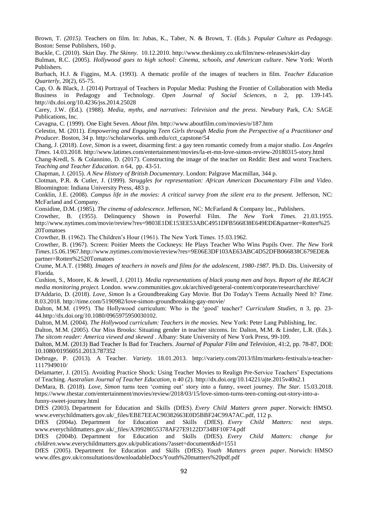Brown, T. *(2015).* Teachers on film. In: Jubas, K., Taber, N. & Brown, T. (Eds.). *Popular Culture as Pedagogy.* Boston: Sense Publishers, 160 p.

Buckle, C. (2010). Skirt Day. *The Skinny.* 10.12.2010. http://www.theskinny.co.uk/film/new-releases/skirt-day

Bulman, R.C. (2005). *Hollywood goes to high school: Cinema, schools, and American culture*. New York: Worth Publishers.

Burbach, H.J. & Figgins, M.A. (1993). A thematic profile of the images of teachers in film. *Teacher Education Quarterly*, 20(2), 65-75.

Cap, O. & Black, J. (2014) Portrayal of Teachers in Popular Media: Pushing the Frontier of Collaboration with Media Business in Pedagogy and Technology. *Open Journal of Social Sciences*, n 2, pp. 139-145. <http://dx.doi.org/10.4236/jss.2014.25028>

Carey, J.W. (Ed.). (1988). *Media, myths, and narratives: Television and the press*. Newbury Park, CA: SAGE Publications, Inc.

Cavagna, C*.* (1999). One Eight Seven. *About film.* http://www.aboutfilm.com/movies/o/187.htm

Celestin, M. (2011). *Empowering and Engaging Teen Girls through Media from the Perspective of a Practitioner and Producer.* Boston, 34 p. http://scholarworks. umb.edu/cct\_capstone/54

Chang, J. (2018). *Love, Simon* is a sweet, disarming first: a gay teen romantic comedy from a major studio. *[Los Angeles](https://www.rottentomatoes.com/source-268)  [Times](https://www.rottentomatoes.com/source-268)*. 14.03.2018[. http://www.latimes.com/entertainment/movies/la-et-mn-love-simon-review-20180315-story.html](http://www.latimes.com/entertainment/movies/la-et-mn-love-simon-review-20180315-story.html)

Chang-Kredl, S. & Colannino, D. (2017). Constructing the image of the teacher on Reddit: Best and worst Teachers. *Teaching and Teacher Education.* n 64, pp. 43-51.

Chapman, J. (2015). *A New History of British Documentary*. London: Palgrave Macmillan, 344 p.

Clotman, P.R. & Cutler, J. (1999). *Struggles for representation: African American Documentary Film and Video*. Bloomington: Indiana University Press, 483 p.

Conklin, J.E. (2008). *Campus life in the movies: A critical survey from the silent era to the present.* Jefferson, NC: McFarland and Company.

Considine, D.M. (1985). *The cinema of adolescence.* Jefferson, NC: McFarland & Company Inc., Publishers.

Crowther, B. (1955). Delinquency Shown in Powerful Film. *The New York Times*. 21.03.1955. http://www.nytimes.com/movie/review?res=9803E1DE153EE53ABC4951DFB566838E649EDE&partner=Rotten%25 20Tomatoes

Crowther, B. (1962). The Children's Hour (1961). The New York Times. 15.03.1962.

Crowther, B. (1967). Screen: Poitier Meets the Cockneys: He Plays Teacher Who Wins Pupils Over. *The New York Times*.15.06.1967.http://www.nytimes.com/movie/review?res=9E06E3DF103AE63ABC4D52DFB066838C679EDE& partner=Rotten%2520Tomatoes

Crume, M.A.T. (1988). *Images of teachers in novels and films for the adolescent, 1980-1987.* Ph.D. Dis. University of Florida.

Cushion, S., Moore, K. & Jewell, J. (2011). *Media representations of black young men and boys. Report of the REACH media monitoring project.* London. [www.communities.gov.uk/archived/general-content/corporate/researcharchive/](http://www.communities.gov.uk/archived/general-content/corporate/researcharchive/)

[D'Addario,](http://time.com/author/daniel-daddario/) D. (2018). *Love, Simon* Is a Groundbreaking Gay Movie. But Do Today's Teens Actually Need It? *Time.*  8.03.2018[. http://time.com/5190982/love-simon-groundbreaking-gay-movie/](http://time.com/5190982/love-simon-groundbreaking-gay-movie/)

Dalton, M.M. (1995). The Hollywood curriculum: Who is the 'good' teacher? *Curriculum Studies,* n 3, pp. 23- 44.http://dx.doi.org/10.1080/0965975950030102.

Dalton, M.M. (2004). *The Hollywood curriculum: Teachers in the movies.* New York: Peter Lang Publishing, Inc.

Dalton, M.M. (2005). Our Miss Brooks: Situating gender in teacher sitcoms. In: Dalton, M.M. & Linder, L.R. (Eds.). *The sitcom reader: America viewed and skewed* . Albany: State University of New York Press, 99-109.

Dalton, M.M. (2013) Bad Teacher Is Bad for Teachers. *Journal of Popular Film and Television*, 41:2, pp. 78-87, DOI: 10.1080/01956051.2013.787352

Debruge, P. (2013). A Teacher. *Variety.* 18.01.2013. http://variety.com/2013/film/markets-festivals/a-teacher-1117949010/

Delamarter, J. (2015). Avoiding Practice Shock: Using Teacher Movies to Realign Pre-Service Teachers' Expectations of Teaching. *Australian Journal of Teacher Education,* n 40 (2).<http://dx.doi.org/10.14221/ajte.2015v40n2.1>

[DeMara,](https://www.thestar.com/authors.demara_bruce.html) B. (2018). *Love, Simon* turns teen 'coming out' story into a funny, sweet journey. *The Star.* 15.03.2018. [https://www.thestar.com/entertainment/movies/review/2018/03/15/love-simon-turns-teen-coming-out-story-into-a](https://www.thestar.com/entertainment/movies/review/2018/03/15/love-simon-turns-teen-coming-out-story-into-a-funny-sweet-journey.html)[funny-sweet-journey.html](https://www.thestar.com/entertainment/movies/review/2018/03/15/love-simon-turns-teen-coming-out-story-into-a-funny-sweet-journey.html)

DfES (2003). Department for Education and Skills (DfES). *Every Child Matters green paper*. Norwich: HMSO. www.everychildmatters.gov.uk/\_files/EBE7EEAC90382663E0D5BBF24C99A7AC.pdf, 112 p.

DfES (2004a). Department for Education and Skills (DfES). *Every Child Matters: next steps*. www.everychildmatters.gov.uk/\_files/A39928055378AF27E9122D734BF10F74.pdf

DfES (2004b). Department for Education and Skills (DfES). *Every Child Matters: change for children*.www.everychildmatters.gov.uk/publications/?asset=document&id=1551

DfES (2005). Department for Education and Skills (DfES). *Youth Matters green paper*. Norwich: HMSO www.dfes.gov.uk/consultations/downloadableDocs/Youth%20mattters%20pdf.pdf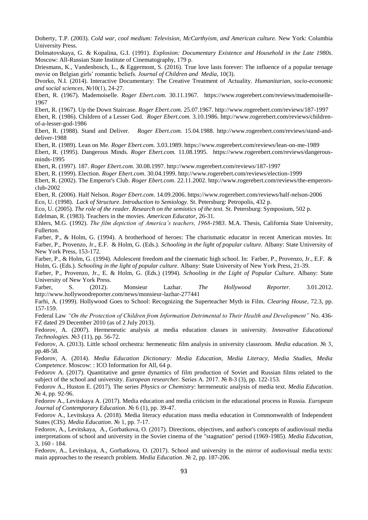Doherty, T.P. (2003). *Cold war, cool medium: Television, McCarthyism, and American culture.* New York: Columbia University Press.

Dolmatovskaya, G. & Kopalina, G.I. (1991). *Explosion: Documentary Existence and Household in the Late 1980s*. Moscow: All-Russian State Institute of Cinematography, 179 p.

Driesmans, K., Vandenbosch, L., & Eggermont, S. (2016). True love lasts forever: The influence of a popular teenage movie on Belgian girls' romantic beliefs. *Journal of Children and Media,* 10(3).

Dvorko, N.I. (2014). Interactive Documentary: The Creative Treatment of Actuality. *Humanitarian, socio-economic and social sciences*, №10(1), 24-27.

Ebert, R. (1967). Mademoiselle. *Roger Ebert.com.* 30.11.1967. https://www.rogerebert.com/reviews/mademoiselle-1967

Ebert, R. (1967). Up the Down Staircase. *Roger Ebert.com.* 25.07.1967. http://www.rogerebert.com/reviews/187-1997

Ebert, R. (1986). Children of a Lesser God. *Roger Ebert.com.* 3.10.1986. http://www.rogerebert.com/reviews/childrenof-a-lesser-god-1986

Ebert, R. (1988). Stand and Deliver. *Roger Ebert.com.* 15.04.1988. http://www.rogerebert.com/reviews/stand-anddeliver-1988

Ebert, R. (1989). Lean on Me. *Roger Ebert.com.* 3.03.1989. https://www.rogerebert.com/reviews/lean-on-me-1989

Ebert, R. (1995). Dangerous Minds. *Roger Ebert.com.* 11.08.1995. https://www.rogerebert.com/reviews/dangerousminds-1995

Ebert, R. (1997). 187. *Roger Ebert.com.* 30.08.1997. http://www.rogerebert.com/reviews/187-1997

Ebert, R. (1999). Election. *Roger Ebert.com*. 30.04.1999. http://www.rogerebert.com/reviews/election-1999

Ebert, R. (2002). The Emperor's Club. *Roger Ebert.com*. 22.11.2002. http://www.rogerebert.com/reviews/the-emperorsclub-2002

Ebert, R*.* (2006). Half Nelson. *Roger Ebert.com*. 14.09.2006. https://www.rogerebert.com/reviews/half-nelson-2006 Eco, U. (1998). *Lack of Structure. Introduction to Semiology.* St. Petersburg: Petropolis, 432 p.

Eco, U. (2005). *The role of the reader. Research on the semiotics of the text.* St. Petersburg: Symposium, 502 p.

Edelman, R. (1983). Teachers in the movies. *American Educator,* 26-31.

Ehlers, M.G. (1992). *The film depiction of America's teachers, 1968-1983*. M.A. Thesis, California State University, Fullerton.

Farber, P., & Holm, G. (1994). A brotherhood of heroes: The charismatic educator in recent American movies. In: Farber, P., Provenzo, Jr., E.F. & Holm, G. (Eds.). *Schooling in the light of popular culture.* Albany: State University of New York Press, 153-172.

Farber, P., & Holm, G. (1994). Adolescent freedom and the cinematic high school. In: Farber, P., Provenzo, Jr., E.F. & Holm, G. (Eds.). *Schooling in the light of popular culture.* Albany: State University of New York Press, 21-39.

Farber, P., Provenzo, Jr., E. & Holm, G*.* (Eds.) (1994). *Schooling in the Light of Popular Culture.* Albany: State University of New York Press.

Farber, S. (2012). Monsieur Lazhar. *The Hollywood Reporter.* 3.01.2012. http://www.hollywoodreporter.com/news/monsieur-lazhar-277441

Farhi, A. (1999). Hollywood Goes to School: Recognizing the Superteacher Myth in Film. *Clearing House,* 72.3, pp. 157-159.

Federal Law *"On the Protection of Children from Information Detrimental to Their Health and Development"* No. 436- FZ dated 29 December 2010 (as of 2 July 2013).

Fedorov, A. (2007). Hermeneutic analysis at media education classes in university. *Innovative Educational Technologies.* №3 (11), pp. 56-72.

Fedorov, A. (2013). Little school orchestra: hermeneutic film analysis in university classroom. *Media education*. № 3, pp.48-58.

Fedorov, A. (2014). *Media Education Dictionary: Media Education, Media Literacy, Media Studies, Media Competence*. Moscow: : ICO Information for All, 64 p.

Fedorov A. (2017). Quantitative and genre dynamics of film production of Soviet and Russian films related to the subject of the school and university. *European researcher.* Series A. 2017. № 8-3 (3), pp. 122-153.

Fedorov A., Huston E. (2017). The series *Physics or Chemistry*: hermeneutic analysis of media text. *Media Education*. № 4, pp. 92-96.

Fedorov A., Levitskaya A. (2017). Media education and media criticism in the educational process in Russia. *European Journal of Contemporary Education*. № 6 (1), pp. 39-47.

Fedorov A., Levitskaya A. (2018). Media literacy education mass media education in Commonwealth of Independent States (CIS). *Media Education*. № 1, pp. 7-17.

Fedorov, A., Levitskaya, A., Gorbatkova, O. (2017). Directions, objectives, and author's concepts of audiovisual media interpretations of school and university in the Soviet cinema of the "stagnation" period (1969-1985). *Media Education*, 3, 160 - 184.

Fedorov, A., Levitskaya, A., Gorbatkova, O. (2017). School and university in the mirror of audiovisual media texts: main approaches to the research problem. *Media Education*. № 2, pp. 187-206.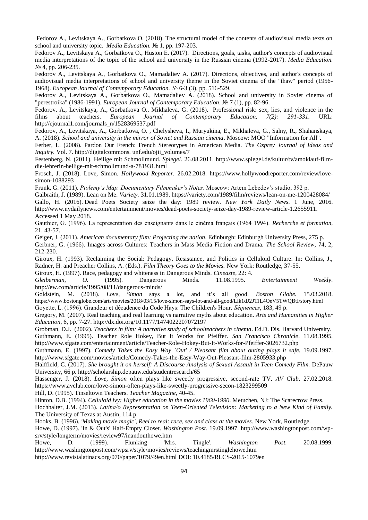Fedorov A., Levitskaya A., Gorbatkova O. (2018). The structural model of the contents of audiovisual media texts on school and university topic. *Media Education.* № 1, pp. 197-203.

Fedorov A., Levitskaya A., Gorbatkova O., Huston E. (2017). Directions, goals, tasks, author's concepts of audiovisual media interpretations of the topic of the school and university in the Russian cinema (1992-2017). *Media Education.* № 4, pp. 206-235.

Fedorov A., Levitskaya A., Gorbatkova O., Mamadaliev A. (2017). Directions, objectives, and author's concepts of audiovisual media interpretations of school and university theme in the Soviet cinema of the "thaw" period (1956- 1968). *European Journal of Contemporary Education.* № 6-3 (3), pp. 516-529.

Fedorov A., Levitskaya A., Gorbatkova O., Mamadaliev A. (2018). School and university in Soviet cinema of "perestroika" (1986-1991). *European Journal of Contemporary Education*. № 7 (1), pp. 82-96.

Fedorov, A., Levitskaya, A., Gorbatkova O., Mikhaleva, G. (2018). Professional risk: sex, lies, and violence in the films about teachers. *European Journal of Contemporary Education, 7(2): 291-331.* URL: http://ejournal1.com/journals\_n/1528369537.pdf

Fedorov, A., Levitskaya, A., Gorbatkova, O. , Chelysheva, I., Muryukina, E., Mikhaleva, G., Salny, R., Shahanskaya, A. (2018). *School and university in the mirror of Soviet and Russian cinema*. Moscow: MOO "Information for All".

Ferber, L. (2008). Pardon Our French: French Stereotypes in American Media. *The Osprey Journal of Ideas and Inquiry.* Vol. 7. http://digitalcommons. unf.edu/ojii\_volumes/7

Festenberg, N. (2011). Heilige mit Schmollmund. *Spiegel.* 26.08.2011. http://www.spiegel.de/kultur/tv/amoklauf-filmdie-lehrerin-heilige-mit-schmollmund-a-781931.html

Frosch, J. (2018). Love, Simon. *Hollywood Reporter.* 26.02.2018. [https://www.hollywoodreporter.com/review/love](https://www.hollywoodreporter.com/review/love-simon-1088293)[simon-1088293](https://www.hollywoodreporter.com/review/love-simon-1088293)

Frunk, G. (2011). *Ptolemy's Map. Documentary Filmmaker's Notes*. Moscow: Artem Lebedev's studio, 392 p.

Galbraith, J. (1989). Lean on Me. *Variety.* 31.01.1989. https://variety.com/1989/film/reviews/lean-on-me-1200428084/ [Gallo,](https://www.rottentomatoes.com/critic/hank-gallo/) H. (2016). Dead Poets Society seize the day: 1989 review. *[New York Daily News](https://www.rottentomatoes.com/source-586)*. 1 June, 2016. http://www.nydailynews.com/entertainment/movies/dead-poets-society-seize-day-1989-review-article-1.2655911. Accessed 1 May 2018.

Gauthier, G. (1996). La representation des enseignants dans le cinéma français (1964 1994). *Recherche et formation,* 21, 43-57.

Geiger, J. (2011). *American documentary film: Projecting the nation*. Edinburgh: Edinburgh University Press, 275 p. Gerbner, G. (1966). Images across Cultures: Teachers in Mass Media Fiction and Drama. *The School Review,* 74, 2, 212-230.

Giroux, H. (1993). Reclaiming the Social: Pedagogy, Resistance, and Politics in Celluloid Culture. In: Collins, J., Radner, H. and Preacher Collins, A. (Eds.). *Film Theory Goes to the Movies.* New York: Routledge, 37-55.

Giroux, H. (1997). Race, pedagogy and whiteness in Dangerous Minds. *Cineaste*, 22: 4.

*Gleiberman, O.* (1995). Dangerous Minds. 11.08.1995. *[Entertainment Weekly](https://www.rottentomatoes.com/source-150)*. http://ew.com/article/1995/08/11/dangerous-minds/

[Goldstein,](https://www.bostonglobe.com/staff/goldstein) M. (2018). *Love, Simon* says a lot, and it's all good. *Boston Globe.* 15.03.2018. <https://www.bostonglobe.com/arts/movies/2018/03/15/love-simon-says-lot-and-all-good/Lik1dJ2JTJL4OeV5TWQBtI/story.html> Goyette, L. (1996). Grandeur et décadence du Code Hays: The Children's Hour. *Séquences*, 183, 49 p.

Gregory, M. (2007). Real teaching and real learning vs narrative myths about education. *Arts and Humanities in Higher Education*, 6, pp. 7-27. http://dx.doi.org/10.1177/1474022207072197

Grobman, D.J. (2002). *Teachers in film: A narrative study of schoolteachers in cinema*. Ed.D. Dis. Harvard University. Guthmann, E. (1995). Teacher Role Hokey, But It Works for Pfeiffer. *[San Francisco Chronicle](https://www.rottentomatoes.com/source-402)*. 11.08.1995. http://www.sfgate.com/entertainment/article/Teacher-Role-Hokey-But-It-Works-for-Pfeiffer-3026732.php

Guthmann, E. (1997). *Comedy Takes the Easy Way `Out' / Pleasant film about outing plays it safe.* 19.09.1997. http://www.sfgate.com/movies/article/Comedy-Takes-the-Easy-Way-Out-Pleasant-film-2805933.php

Halffield, C. (2017). *She brought it on herself: A Discourse Analysis of Sexual Assault in Teen Comedy Film.* DePauw University, 66 p. http://scholarship.depauw.edu/studentresearch/65

[Hassenger,](https://kinja.com/rockmarooned#_ga=2.175052514.1312168030.1527777983-153571219.1527777983) J. (2018). *Love, Simon* [often plays like sweetly progressive, second-rate TV.](https://www.avclub.com/love-simon-often-plays-like-sweetly-progressive-secon-1823299509) *[AV Club](https://www.rottentomatoes.com/source-833)*. 27.02.2018. <https://www.avclub.com/love-simon-often-plays-like-sweetly-progressive-secon-1823299509>

Hill, D. (1995). Tinseltown Teachers. *Teacher Magazine,* 40-45.

Hinton, D.B. (1994). *Celluloid ivy: Higher education in the movies 1960-1990*. Metuchen, NJ: The Scarecrow Press.

Hochhalter, J.M. (2013). *Latina/o Representation on Teen-Oriented Television: Marketing to a New Kind of Family.* The University of Texas at Austin, 114 p.

Hooks, B. (1996). *'Making movie magic', Reel to real: race, sex and class at the movies*. New York, Routledge.

Howe, D. (1997). 'In & Out's' Half-Empty Closet. *Washington Post.* 19.09.1997. http://www.washingtonpost.com/wpsrv/style/longterm/movies/review97/inandouthowe.htm

Howe, D. (1999). Flunking 'Mrs. Tingle'. *Washington Post.* 20.08.1999. http://www.washingtonpost.com/wpsrv/style/movies/reviews/teachingmrstinglehowe.htm

<http://www.revistalatinacs.org/070/paper/1079/49en.html> DOI: 10.4185/RLCS-2015-1079en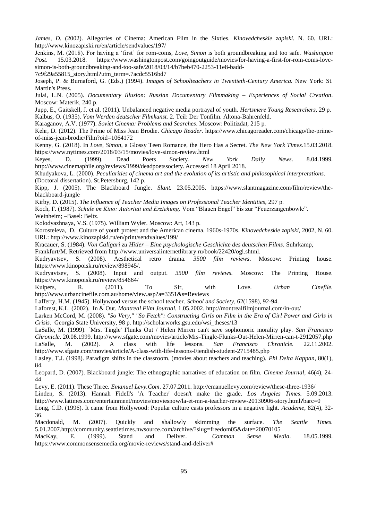*James, D.* (2002). Allegories of Cinema: American Film in the Sixties. *Kinovedcheskie zapiski.* N. 60. URL: http://www.kinozapiski.ru/en/article/sendvalues/197/

Jenkins, M. (2018). For having a 'first' for rom-coms, *Love, Simon* is both groundbreaking and too safe. *Washington Post*. 15.03.2018. [https://www.washingtonpost.com/goingoutguide/movies/for-having-a-first-for-rom-coms-love](https://www.washingtonpost.com/goingoutguide/movies/for-having-a-first-for-rom-coms-love-simon-is-both-groundbreaking-and-too-safe/2018/03/14/b7beb470-2253-11e8-badd-7c9f29a55815_story.html?utm_term=.7acdc5516bd7)[simon-is-both-groundbreaking-and-too-safe/2018/03/14/b7beb470-2253-11e8-badd-](https://www.washingtonpost.com/goingoutguide/movies/for-having-a-first-for-rom-coms-love-simon-is-both-groundbreaking-and-too-safe/2018/03/14/b7beb470-2253-11e8-badd-7c9f29a55815_story.html?utm_term=.7acdc5516bd7)

[7c9f29a55815\\_story.html?utm\\_term=.7acdc5516bd7](https://www.washingtonpost.com/goingoutguide/movies/for-having-a-first-for-rom-coms-love-simon-is-both-groundbreaking-and-too-safe/2018/03/14/b7beb470-2253-11e8-badd-7c9f29a55815_story.html?utm_term=.7acdc5516bd7)

Joseph, P. & Burnaford, G. (Eds.) (1994). *Images of Schoolteachers in Twentieth-Century America.* New York: St. Martin's Press.

Julai, L.N. (2005). *Documentary Illusion: Russian Documentary Filmmaking – Experiences of Social Creation*. Moscow: Materik, 240 p.

Jupp, E., Gaitskell, J. et al. (2011). Unbalanced negative media portrayal of youth. *Hertsmere Young Researchers,* 29 p. Kalbus, O. (1935). *Vom Werden deutscher Filmkunst.* 2. Teil: Der Tonfilm. Altona-Bahrenfeld.

Karaganov, A.V. (1977). *Soviet Cinema: Problems and Searches*. Moscow: Politizdat, 215 p.

Kehr, D. (2012). The Prime of Miss Jean Brodie. *Chicago Reader.* https://www.chicagoreader.com/chicago/the-primeof-miss-jean-brodie/Film?oid=1064172

Kenny, G. (2018). In *Love, Simon*, a Glossy Teen Romance, the Hero Has a Secret. *The New York Times.*15.03.2018. <https://www.nytimes.com/2018/03/15/movies/love-simon-review.html>

[Keyes,](https://www.rottentomatoes.com/critic/david-keyes/) D. (1999). Dead Poets Society. *[New York Daily News](https://www.rottentomatoes.com/source-586)*. 8.04.1999. [http://www.cinemaphile.org/reviews/1999/deadpoetssociety.](http://www.cinemaphile.org/reviews/1999/deadpoetssociety) Accessed 18 April 2018.

Khudyakova, L. (2000). *Peculiarities of cinema art and the evolution of its artistic and philosophical interpretations*. (Doctoral dissertation). St.Petersburg, 142 p.

Kipp, J. (2005). The Blackboard Jungle. *Slant.* 23.05.2005. https://www.slantmagazine.com/film/review/theblackboard-jungle

Kirby, D. (2015). *The Influence of Teacher Media Images on Professional Teacher Identities,* 297 p.

Koch, F. (1987). *Schule im Kino: Autorität und Erziehung.* Vom "Blauen Engel" bis zur "Feuerzangenbowle". Weinheim; –Basel: Beltz.

Kolodyazhnaya, V.S. (1975). William Wyler. Moscow: Art, 143 p.

Korosteleva, D. Culture of youth protest and the American cinema. 1960s-1970s. *Kinovedcheskie zapiski,* 2002, N. 60. URL: http://www.kinozapiski.ru/en/print/sendvalues/199/

Kracauer, S. (1984). *Von Caligari zu Hitler – Eine psychologische Geschichte des deutschen Films.* Suhrkamp,

Frankfurt/M. Retrieved from http://www.universalinternetlibrary.ru/book/22420/ogl.shtml.

Kudryavtsev, S. (2008). Aesthetical retro drama. *3500 film reviews*. Moscow: Printing house. https://www.kinopoisk.ru/review/898945/.

Kudryavtsev, S. (2008). Input and output. *3500 film reviews.* Moscow: The Printing House. https://www.kinopoisk.ru/review/854664/

Kuipers, R. (2011). To Sir, with Love. *Urban Cinefile.* http://www.urbancinefile.com.au/home/view.asp?a=3351&s=Reviews

Lafferty, H.M. (1945). Hollywood versus the school teacher. *School and Society,* 62(1598), 92-94.

Laforest, K.L*.* (2002). In & Out. *Montreal Film Journal.* 1.05.2002. http://montrealfilmjournal.com/in-out/

Larken McCord, M. (2008). *"So Very," "So Fetch": Constructing Girls on Film in the Era of Girl Power and Girls in Crisis.* Georgia State University, 98 p. http://scholarworks.gsu.edu/wsi\_theses/13

LaSalle, M. (1999). `Mrs. Tingle' Flunks Out / Helen Mirren can't save sophomoric morality play. *[San Francisco](https://www.rottentomatoes.com/source-402)  [Chronicle](https://www.rottentomatoes.com/source-402)*. 20.08.1999. http://www.sfgate.com/movies/article/Mrs-Tingle-Flunks-Out-Helen-Mirren-can-t-2912057.php LaSalle, M. (2002). A class with life lessons. *San Francisco Chronicle.* 22.11.2002. http://www.sfgate.com/movies/article/A-class-with-life-lessons-Fiendish-student-2715485.php

Lasley, T.J. (1998). Paradigm shifts in the classroom. (movies about teachers and teaching). *Phi Delta Kappan,* 80(1), 84.

Leopard, D*.* (2007). Blackboard jungle: The ethnographic narratives of education on film. *Cinema Journal*, 46(4), 24- 44.

Levy, E. (2011). These Three. *Emanuel Levy.Com*. 27.07.2011. http://emanuellevy.com/review/these-three-1936/

Linden, S. (2013). Hannah Fidell's 'A Teacher' doesn't make the grade. *[Los Angeles Times](https://www.rottentomatoes.com/source-268)*. 5.09.2013. http://www.latimes.com/entertainment/movies/moviesnow/la-et-mn-a-teacher-review-20130906-story.html?barc=0 Long, C.D. (1996). It came from Hollywood: Popular culture casts professors in a negative light. *Academe,* 82(4), 32-

36.

Macdonald, M. (2007). Quickly and shallowly skimming the surface. *The Seattle Times.* 5.01.2007.http://community.seattletimes.nwsource.com/archive/?slug=freedom05&date=20070105

MacKay, E. (1999). Stand and Deliver. *Common Sense Media*. 18.05.1999. https://www.commonsensemedia.org/movie-reviews/stand-and-deliver#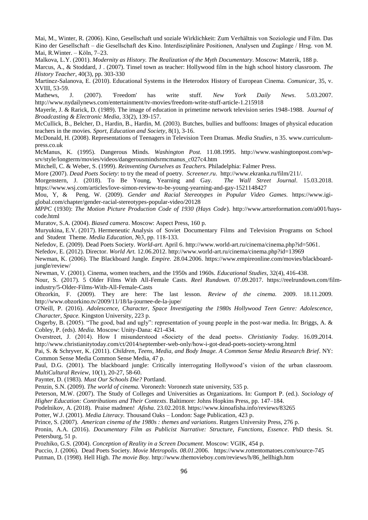Mai, M., Winter, R. (2006). Kino, Gesellschaft und soziale Wirklichkeit: Zum Verhältnis von Soziologie und Film. Das Kino der Gesellschaft – die Gesellschaft des Kino. Interdisziplinäre Positionen, Analysen und Zugänge / Hrsg. von M. Mai, R.Winter. – Köln, 7–23.

Malkova, L.Y. (2001). *Modernity as History. The Realization of the Myth Documentary*. Moscow: Materik, 188 p.

Marcus, A., & Stoddard, J . (2007). Tinsel town as teacher: Hollywood film in the high school history classroom. *The History Teacher*, 40(3), pp. 303-330

Martínez-Salanova, E. (2010). Educational Systems in the Heterodox History of European Cinema. *Comunicar,* 35, v. XVIII, 53-59.

Mathews, J. (2007). 'Freedom' has write stuff. *[New York Daily News](https://www.rottentomatoes.com/source-586)*. 5.03.2007. http://www.nydailynews.com/entertainment/tv-movies/freedom-write-stuff-article-1.215918

Mayerle, J. & Rarick, D. (1989). The image of education in primetime network television series 1948-1988. *Journal of Broadcasting & Electronic Media*, 33(2), 139-157.

McCullick, B., Belcher, D., Hardin, B., Hardin, M. (2003). Butches, bullies and buffoons: Images of physical education teachers in the movies. *Sport, Education and Society*, 8(1), 3-16.

McDonald, H. (2008). Representations of Teenagers in Television Teen Dramas. *Media Studies,* n 35. www.curriculumpress.co.uk

McManus, K. (1995). Dangerous Minds. *Washington Post.* 11.08.1995. http://www.washingtonpost.com/wpsrv/style/longterm/movies/videos/dangerousmindsrmcmanus\_c027c4.htm

Mitchell, C. & Weber, S. (1999). *Reinventing Ourselves as Teachers.* Philadelphia: Falmer Press.

More (2007). *Dead Poets Society*: to try the mead of poetry. *Screener.ru*. [http://www.ekranka.ru/film/211/.](http://www.ekranka.ru/film/211/)

Morgenstern, J. (2018). To Be Young, Yearning and Gay. *The Wall Street Journal*. 15.03.2018. <https://www.wsj.com/articles/love-simon-review-to-be-young-yearning-and-gay-1521148427>

Mou, Y, & Peng, W. (2009). *Gender and Racial Stereotypes in Popular Video Games.* [https://www.igi](https://www.igi-global.com/chapter/gender-racial-stereotypes-popular-video/20128)[global.com/chapter/gender-racial-stereotypes-popular-video/20128](https://www.igi-global.com/chapter/gender-racial-stereotypes-popular-video/20128)

*MPPC* (1930): *The Motion Picture Production Code of 1930 (Hays Code*). http://www.artsreformation.com/a001/hayscode.html

Muratov, S.A. (2004). *Biased camera*. Moscow: Aspect Press, 160 p.

Muryukina, E.V. (2017). Hermeneutic Analysis of Soviet Documentary Films and Television Programs on School and Student Theme. *Media Education*, №3, pp. 118-133.

Nefedov, E. (2009). Dead Poets Society. *World-art.* April 6. [http://www.world-art.ru/cinema/cinema.php?id=5061.](http://www.world-art.ru/cinema/cinema.php?id=5061)

Nefedov, E. (2012). Director. *World Art.* 12.06.2012. http://www.world-art.ru/cinema/cinema.php?id=13969

Newman, K. (2006). The Blackboard Jungle. *Empire.* 28.04.2006. [https://www.empireonline.com/movies/blackboard](https://www.empireonline.com/movies/blackboard-jungle/review/)[jungle/review/](https://www.empireonline.com/movies/blackboard-jungle/review/)

Newman, V. (2001). Cinema, women teachers, and the 1950s and 1960s. *Educational Studies*, 32(4), 416-438.

Nour, S. (2017). 5 Older Films With All-Female Casts. *Reel Rundown.* 07.09.2017. https://reelrundown.com/filmindustry/5-Older-Films-With-All-Female-Casts

Obzorkin, F. (2009). They are here: The last lesson. *Review of the cinema.* 2009. 18.11.2009. http://www.obzorkino.tv/2009/11/18/la-journee-de-la-jupe/

O'Neill, P. (2016). *Adolescence, Character, Space Investigating the 1980s Hollywood Teen Genre: Adolescence, Character, Space.* Kingston University, 223 p.

Osgerby, B. (2005). "The good, bad and ugly": representation of young people in the post-war media. In: Briggs, A. & Cobley, P. (eds). *Media*. Moscow: Unity-Dana: 421-434.

Overstreet, J. (2014). How I misunderstood «Society of the dead poets». *[Christianity Today.](http://www.christianitytoday.com/)* 16.09.*2*014. http://www.christianitytoday.com/ct/2014/september-web-only/how-i-got-dead-poets-society-wrong.html

Pai, S. & Schryver, K. (2011). *Children, Teens, Media, and Body Image. A Common Sense Media Research Brief*. NY: Common Sense Media Common Sense Media, 47 p.

Paul, D.G. (2001). The blackboard jungle: Critically interrogating Hollywood's vision of the urban classroom. *MultiCultural Review*, 10(1), 20-27, 58-60.

Paynter, D. (1983). *Must Our Schools Die?* Portland.

Penzin, S.N. (2009). *The world of cinema.* Voronezh: Voronezh state university, 535 p.

Peterson, M.W. (2007). The Study of Colleges and Universities as Organizations. In: Gumport P. (ed.). *Sociology of Higher Education: Contributions and Their Contexts*. Baltimore: Johns Hopkins Press, pp. 147–184.

Podelnikov, A. (2018). Praise madmen! *Afisha.* 23.02.2018. https://www.kinoafisha.info/reviews/83265

Potter, W.J. (2001). *Media Literacy.* Thousand Oaks – London: Sage Publication, 423 p.

Prince, S. (2007). *American cinema of the 1980s : themes and variations*. Rutgers University Press, 276 p.

Pronin, A.A. (2016). *Documentary Film as Publicist Narrative: Structure, Functions, Essence*. PhD thesis. St. Petersburg, 51 p.

Prozhiko, G.S. (2004). *Conception of Reality in a Screen Document*. Moscow: VGIK, 454 p.

[Puccio,](https://www.rottentomatoes.com/critic/john-j-puccio/) J. (2006). Dead Poets Society. *[Movie Metropolis.](https://www.rottentomatoes.com/source-745) 08.01.*2006. <https://www.rottentomatoes.com/source-745>

Putman, D. (1998). Hell High. *The movie Boy.* http://www.themovieboy.com/reviews/h/86\_hellhigh.htm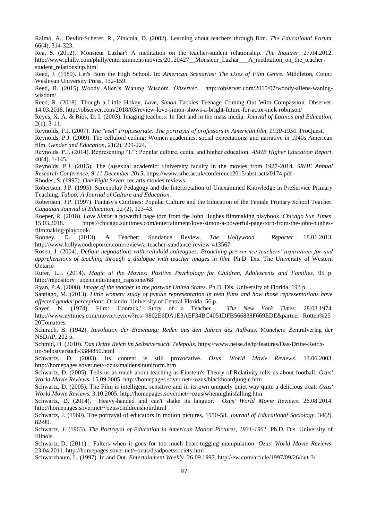Raimo, A., Devlin-Scherer, R., Zinicola, D. (2002). Learning about teachers through film. *The Educational Forum*, 66(4), 314-323.

Rea, S. (2012). 'Monsieur Lazhar': A meditation on the teacher-student relationship. *The Inquirer.* 27.04.2012. http://www.philly.com/philly/entertainment/movies/20120427\_\_Monsieur\_Lazhar\_\_\_A\_meditation\_on\_the\_teacherstudent\_relationship.html

Reed, J*.* (1989). Let's Bum the High School. In: *American Scenarios: The Uses of Film Genre.* Middleton, Conn.: Wesleyan University Press, 132-159.

Reed, R. (2015). Woody Allen's Waning Wisdom. *Observer.* http://observer.com/2015/07/woody-allens-waningwisdom/

Reed, R. (2018). Though a Little Hokey, *Love, Simon* Tackles Teenage Coming Out With Compassion. Observer. 14.03.2018[. http://observer.com/2018/03/review-love-simon-shows-a-bright-future-for-actor-nick-robinson/](http://observer.com/2018/03/review-love-simon-shows-a-bright-future-for-actor-nick-robinson/)

Reyes, X. A. & Rios, D. I*.* (2003). Imaging teachers: In fact and in the mass media. *Journal of Latinos and Education,* 2(1), 3-11.

Reynolds, P.J. (2007). *The "reel" Professoriate: The portrayal of professors in American film, 1930-1950.* ProQuest.

Reynolds, P.J. (2009). The celluloid ceiling: Women academics, social expectations, and narrative in 1940s American film. *Gender and Education*, 21(2), 209-224.

Reynolds, P.J. (2014). Representing "U": Popular culture, cedia, and higher education. *ASHE Higher Education Report,* 40(4), 1-145.

Reynolds, P.J. (2015). The (a)sexual academic: University faculty in the movies from 1927-2014. *SRHE Annual Research Conference, 9-11 December 2015***.** https://www.srhe.ac.uk/conference2015/abstracts/0174.pdf

Rhodes, S. (1997). *One Eight Seven*. rec.arts.movies.reviews

Robertson, J.P*.* (1995). Screenplay Pedagogy and the Interpretation of Unexamined Knowledge in PreService Primary Teaching. *Taboo: A Journal of Culture and Education.*

Robertson, J.P. (1997). Fantasy's Confines: Popular Culture and the Education of the Female Primary School Teacher. *Canadian Journal of Education,* 22 (2), 123-43.

Roeper, R. (2018). *Love Simon* a powerful page torn from the John Hughes filmmaking playbook. *Chicago Sun Times*. 15.03.2018. [https://chicago.suntimes.com/entertainment/love-simon-a-powerful-page-torn-from-the-john-hughes](https://chicago.suntimes.com/entertainment/love-simon-a-powerful-page-torn-from-the-john-hughes-filmmaking-playbook/)[filmmaking-playbook/](https://chicago.suntimes.com/entertainment/love-simon-a-powerful-page-torn-from-the-john-hughes-filmmaking-playbook/)

Rooney, D. (2013). A Teacher: Sundance Review. *The Hollywood Reporter.* 18.01.2013. http://www.hollywoodreporter.com/review/a-teacher-sundance-review-413567

Rosen, J. (2004). *Defiant negotiations with celluloid colleagues: Broaching pre-service teachers' aspirations for and apprehensions of teaching through a dialogue with teacher images in film.* Ph.D. Dis. The University of Western Ontario

Rufer, L.J. (2014). *Magic at the Movies: Positive Psychology for Children, Adolescents and Families*, 95 p. http://repository . upenn.edu/mapp\_capstone/68

Ryan, P.A. (2008). *Image of the teacher in the postwar United States.* Ph.D. Dis. University of Florida, 193 p.

Santiago, M. (2013). *Little women: study of female representation in teen films and how those representations have affected gender perceptions*. Orlando: University of Central Florida, 56 p.

Sayer, N. (1974). Film: 'Conrack,' Story of a Teacher. *The New York Times*. 28.03.1974. http://www.nytimes.com/movie/review?res=9802E6DA1E3AEF34BC4051DFB566838F669EDE&partner=Rotten%25 20Tomatoes

Schirach, B. (1942). *Revolution der Erziehung: Reden aus den Jahren des Aufbaus.* München: Zentralverlag der NSDAP, 202 p.

Schmid, H. (2010). *Das Dritte Reich im Selbstversuch. Telepolis*. https://www.heise.de/tp/features/Das-Dritte-Reichim-Selbstversuch-3384850.html

Schwartz, D. (2003). Its content is still provocative. *Ozus' World Movie Reviews.* 13.06.2003. http://homepages.sover.net/~ozus/maidensinuniform.htm

Schwartz, D. (2005). Tells us as much about teaching as Einstein's Theory of Relativity tells us about football. *Ozus' World Movie Reviews.* 15.09.2005. http://homepages.sover.net/~ozus/blackboardjungle.htm

Schwartz, D. (2005). The Film is intelligent, sensitive and in its own uniquely quiet way quite a delicious treat. *Ozus' World Movie Reviews.* 3.10.2005. http://homepages.sover.net/~ozus/whennightisfalling.htm

Schwartz, D. (2014). Heavy-handed and can't shake its languor. *[Ozus' World Movie Reviews](https://www.rottentomatoes.com/source-873)*. 26.08.2014. <http://homepages.sover.net/~ozus/childrenshour.html>

Schwartz, J. (1960). The portrayal of educators in motion pictures, 1950-58. *Journal of Educational Sociology,* 34(2), 82-90.

Schwartz, *J*. (1963). *The Portrayal of Education in American Motion Pictures, 1931-1961.* Ph.D. Dis. University of Illinois.

[Schwartz,](https://www.rottentomatoes.com/critic/dennis-schwartz/) D. (2011) . Falters when it goes for too much heart-tugging manipulation. *[Ozus' World Movie Reviews](https://www.rottentomatoes.com/source-873)*. 23.04.2011. http://homepages.sover.net/~ozus/deadpoetssociety.htm

Schwarzbaum, L. (1997). In and Out. *Entertainment Weekly.* 26.09.1997. http://ew.com/article/1997/09/26/out-3/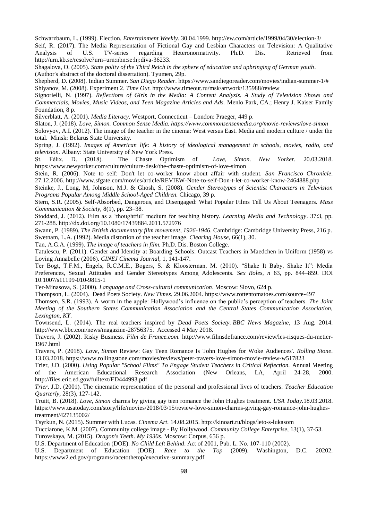Schwarzbaum, L. (1999). Election. *Entertainment Weekly*. 30.04.1999. http://ew.com/article/1999/04/30/election-3/ Seif, R. (2017). The Media Representation of Fictional Gay and Lesbian Characters on Television: A Qualitative Analysis of U.S. TV-series regarding Heteronormativity. Ph.D. Dis. Retrieved from http://urn.kb.se/resolve?urn=urn:nbn:se:hj:diva-36233.

Shagalova, O. (2005). *State polity of the Third Reich in the sphere of education and upbringing of German youth*. (Author's abstract of the doctoral dissertation). Tyumen, 29p.

Shepherd*,* D. (2008). Indian Summer. *San Diego Reader*. https://www.sandiegoreader.com/movies/indian-summer-1/# Shiyanov, M. (2008). Experiment 2. *Time Out*. http://www.timeout.ru/msk/artwork/135988/review

Signorielli, N. (1997). *Reflections of Girls in the Media: A Content Analysis. A Study of Television Shows and Commercials, Movies, Music Videos, and Teen Magazine Articles and Ads.* Menlo Park, CA.; Henry J. Kaiser Family Foundation, 8 p.

Silverblatt, A. (2001). *Media Literacy.* Westport, Connecticut – London: Praeger, 449 p.

[Slaton,](https://www.commonsensemedia.org/users/joyce-slaton) J. (2018). *Love, Simon. Common Sense Media[. https://www.commonsensemedia.org/movie-reviews/love-simon](https://www.commonsensemedia.org/movie-reviews/love-simon)* Solovyov, A.I. (2012). The image of the teacher in the cinema: West versus East. Media and modern culture / under the total. Minsk: Belarus State University.

Spring, J. (1992). *Images of American life: A history of ideological management in schools, movies, radio, and television.* Albany: State University of New York Press.

St. Félix, D. (2018). The Chaste Optimism of *Love, Simon. New Yorker.* 20.03.2018. <https://www.newyorker.com/culture/culture-desk/the-chaste-optimism-of-love-simon>

Stein, R. (2006). Note to self: Don't let co-worker know about affair with student. *[San Francisco Chronicle](https://www.rottentomatoes.com/source-402)*. 27.12.2006. http://www.sfgate.com/movies/article/REVIEW-Note-to-self-Don-t-let-co-worker-know-2464888.php

Steinke, J., Long, M, Johnson, M.J. & Ghosh, S. (2008). *Gender Stereotypes of Scientist Characters in Television Programs Popular Among Middle School-Aged Children.* Chicago, 39 p.

Stern, S.R. (2005). Self-Absorbed, Dangerous, and Disengaged: What Popular Films Tell Us About Teenagers. *Mass Communication & Society,* 8(1), pp. 23–38.

Stoddard, J. (2012). Film as a 'thoughtful' medium for teaching history. *Learning Media and Technology*. 37:3, pp. 271-288.<http://dx.doi.org/10.1080/17439884.2011.572976>

Swann, P. (1989). *The British documentary film movement, 1926-1946*. Cambridge: Cambridge University Press, 216 p. Swetnam, L.A. (1992). Media distortion of the teacher image. *Clearing House*, 66(1), 30.

Tan, A.G.A. (1999). *The image of teachers in film.* Ph.D. Dis. Boston College.

Tatulescu, P. (2011). Gender and Identity at Boarding Schools: Outcast Teachers in Maedchen in Uniform (1958) vs Loving Annabelle (2006). *CINEJ Cinema Journal,* 1, 141-147.

Ter Bogt, T.F.M., Engels, R.C.M.E., Bogers, S. & Kloosterman, M. (2010). "Shake It Baby, Shake It": Media Preferences, Sexual Attitudes and Gender Stereotypes Among Adolescents. *Sex Roles, n* 63, pp. 844–859. DOI 10.1007/s11199-010-9815-1

Ter-Minasova, S. (2000). *Language and Cross-cultural communication*. Moscow: Slovo, 624 p.

[Thompson,](https://www.rottentomatoes.com/critic/luke-y-thompson/) L. (2004). Dead Poets Society. *[New Times](https://www.rottentomatoes.com/source-497)*. 29.06.2004[. https://www.rottentomatoes.com/source-497](https://www.rottentomatoes.com/source-497)

Thomsen, S.R. (1993). A worm in the apple: Hollywood's influence on the public's perception of teachers. *The Joint Meeting of the Southern States Communication Association and the Central States Communication Association, Lexington, KY*.

Townsend, L. (2014). The real teachers inspired by *Dead Poets Society. BBC News Magazine*, 13 Aug. 2014. http://www.bbc.com/news/magazine-28756375. Accessed 4 May 2018.

Travers, J. (2002). Risky Business. *Film de France.com.* http://www.filmsdefrance.com/review/les-risques-du-metier-1967.html

Travers, P. (2018). *Love, Simon* Review: Gay Teen Romance Is 'John Hughes for Woke Audiences'. *Rolling Stone*. 13.03.2018[. https://www.rollingstone.com/movies/reviews/peter-travers-love-simon-movie-review-w517823](https://www.rollingstone.com/movies/reviews/peter-travers-love-simon-movie-review-w517823)

Trier, J.D. (2000). *Using Popular "School Films" To Engage Student Teachers in Critical Reflection.* Annual Meeting of the American Educational Research Association (New Orleans, LA, April 24-28, 2000. http://files.eric.ed.gov/fulltext/ED444993.pdf

*Trier,* J.D. (2001). The cinematic representation of the personal and professional lives of teachers. *Teacher Education Quarterly*, 28(3), 127-142.

Truitt, B. (2018). *Love, Simon* charms by giving gay teen romance the John Hughes treatment. *USA Today.*18.03.2018. [https://www.usatoday.com/story/life/movies/2018/03/15/review-love-simon-charms-giving-gay-romance-john-hughes](https://www.usatoday.com/story/life/movies/2018/03/15/review-love-simon-charms-giving-gay-romance-john-hughes-treatment/427135002/)[treatment/427135002/](https://www.usatoday.com/story/life/movies/2018/03/15/review-love-simon-charms-giving-gay-romance-john-hughes-treatment/427135002/)

Tsyrkun, N*.* (2015). Summer with Lucas. *Cinema Art*. 14.08.2015. http://kinoart.ru/blogs/leto-s-lukasom

Tucciarone, K.M*.* (2007). Community college image - By Hollywood. *Community College Enterprise*, 13(1), 37-53.

Turovskaya, M. (2015). *Dragon's Teeth. My 1930s*. Moscow: Corpus, 656 p.

U.S. Department of Education (DOE). *No Child Left Behind*. Act of 2001, Pub. L. No. 107-110 (2002).

U.S. Department of Education (DOE). *Race to the Top* (2009). Washington, D.C. 20202. https://www2.ed.gov/programs/racetothetop/executive-summary.pdf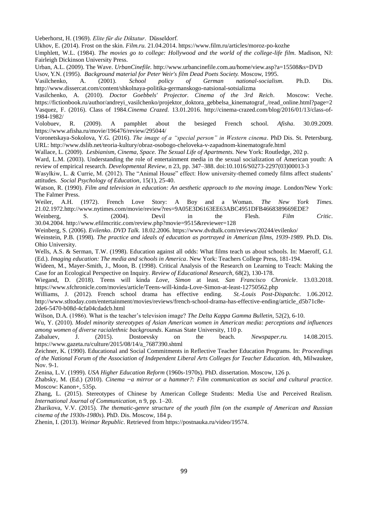Ueberhorst, H. (1969). *Elite für die Diktatur*. Düsseldorf.

Ukhov, E. (2014). Frost on the skin. *Film.ru.* 21.04.2014. https://www.film.ru/articles/moroz-po-kozhe

Umphlett, W.L. (1984). *The movies go to college: Hollywood and the world of the college-life film*. Madison, NJ: Fairleigh Dickinson University Press.

Urban, A.L. (2009). The Wave. *UrbanCinefile.* http://www.urbancinefile.com.au/home/view.asp?a=15508&s=DVD Usov, Y.N. (1995). *Background material for Peter Weir's film Dead Poets Society.* Moscow, 1995.

Vasilchenko, A. (2001). *School policy of German national-socialism*. Ph.D. Dis. http://www.dissercat.com/content/shkolnaya-politika-germanskogo-natsional-sotsializma

Vasilchenko, A. (2010). *Doctor Goebbels' Projector. Cinema of the 3rd Reich*. Moscow: Veche. [https://fictionbook.ru/author/andreyi\\_vasilchenko/projektor\\_doktora\\_gebbelsa\\_kinematograf\\_/read\\_online.html?page=2](https://fictionbook.ru/author/andreyi_vasilchenko/projektor_doktora_gebbelsa_kinematograf_/read_online.html?page=2) Vasquez, F. (2016). Class of 1984.*Cinema Crazed.* 13.01.2016. http://cinema-crazed.com/blog/2016/01/13/class-of-1984-1982/

Volobuev, R. (2009). A pamphlet about the besieged French school. *Afisha*. 30.09.2009. https://www.afisha.ru/movie/196476/review/295044/

Voronetskaya-Sokolova, Y.G*.* (2016). *The image of a "special person" in Western cinema*. PhD Dis. St. Petersburg. URL: http://www.dslib.net/teoria-kultury/obraz-osobogo-cheloveka-v-zapadnom-kinematografe.html

Wallace, L. (2009). *Lesbianism, Cinema, Space. The Sexual Life of Apartments.* New York: Routledge, 202 p.

Ward, L.M. (2003). Understanding the role of entertainment media in the sexual socialization of American youth: A review of empirical research. *Developmental Review,* n 23, pp. 347–388. doi:10.1016/S0273-2297(03)00013-3

Wasylkiw, L. & Currie, M. (2012). The "Animal House" effect: How university-themed comedy films affect students' attitudes. *Social Psychology of Education*, 15(1), 25-40.

Watson, R. (1990). *Film and television in education: An aesthetic approach to the moving image.* London/New York: The Falmer Press.

Weiler, A.H*.* (1972). French Love Story: A Boy and a Woman. *The New York Times.* 21.02.1972.http://www.nytimes.com/movie/review?res=9A05E3D6163EE63ABC4951DFB4668389669EDE?

Weinberg, S. (2004). Devil in the Flesh. *Film Critic*. 30.04.2004. http://www.efilmcritic.com/review.php?movie=9515&reviewer=128

Weinberg, S. (2006). *Evilenko*. *DVD Talk.* 18.02.2006. https://www.dvdtalk.com/reviews/20244/evilenko/

Weinstein, P.B*.* (1998). *The practice and ideals of education as portrayed in American films, 1939-1989*. Ph.D. Dis. Ohio University.

Wells, A.S. & Serman, T.W. (1998). Education against all odds: What films teach us about schools. In: Maeroff, G.I. (Ed.). *Imaging education: The media and schools in America*. New York: Teachers College Press, 181-194.

Wideen, M., Mayer-Smith, J., Moon, B*.* (1998). Critical Analysis of the Research on Learning to Teach: Making the Case for an Ecological Perspective on Inquiry. *Review of Educational Research,* 68(2), 130-178.

[Wiegand,](https://www.sfchronicle.com/author/david-wiegand/) D. (2018). Teens will kinda *Love, Simon* at least*. [San Francisco Chronicle](https://www.rottentomatoes.com/source-402)*. 13.03.2018. <https://www.sfchronicle.com/movies/article/Teens-will-kinda-Love-Simon-at-least-12750562.php>

Williams, J. (2012). French school drama has effective ending. *St.-Louis Post-Dispatchc.* 1.06.2012. http://www.stltoday.com/entertainment/movies/reviews/french-school-drama-has-effective-ending/article\_d5b71c8e-2de6-5470-b08d-4cfa04cdadcb.html

Wilson, D.A*.* (1986). What is the teacher's television image? *The Delta Kappa Gamma Bulletin*, 52(2), 6-10.

Wu, Y. (2010). *Model minority stereotypes of Asian American women in American media: perceptions and influences among women of diverse racialethnic backgrounds*. Kansas State University, 110 p.

Zabaluev, J. (2015). Dostoevsky on the beach. *Newspaper.ru.* 14.08.2015. https://www.gazeta.ru/culture/2015/08/14/a\_7687390.shtml

Zeichner, K*.* (1990). Educational and Social Commitments in Reflective Teacher Education Programs. In: *Proceedings of the National Forum of the Association of Independent Liberal Arts Colleges for Teacher Education.* 4th, Milwaukee, Nov. 9-1.

Zenina, L.V. (1999). *USA Higher Education Reform* (1960s-1970s). PhD. dissertation. Moscow, 126 p.

Zhabsky, M. (Ed.) (2010). *Cinema −a mirror or a hammer?: Film communication as social and cultural practice.* Moscow: Kanon+, 535p.

Zhang, L. (2015). Stereotypes of Chinese by American College Students: Media Use and Perceived Realism. *International Journal of Communication,* n 9, pp. 1–20.

Zharikova, V.V. (2015). *The thematic-genre structure of the youth film (on the example of American and Russian cinema of the 1930s-1980s*). PhD. Dis. Moscow, 184 p.

Zhenin, I. (2013). *Weimar Republic*. Retrieved from https://postnauka.ru/video/19574.